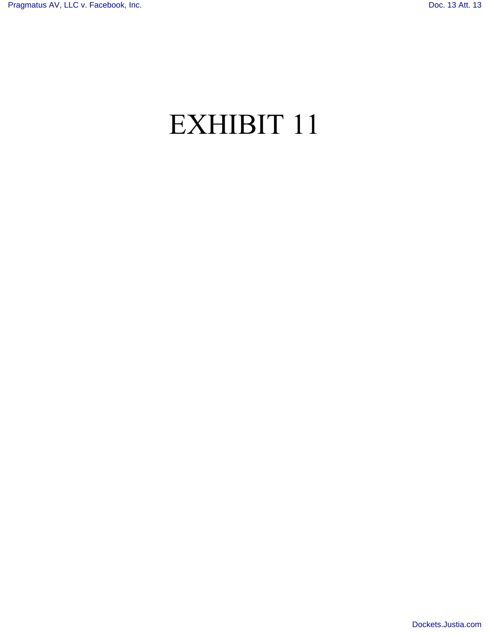# EXHIBIT 11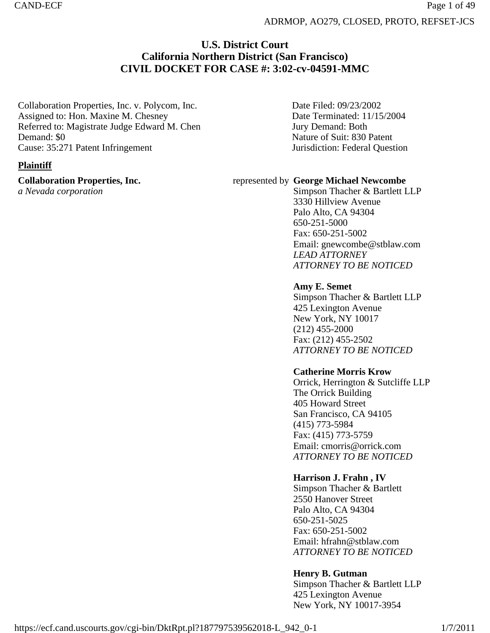# **U.S. District Court California Northern District (San Francisco) CIVIL DOCKET FOR CASE #: 3:02-cv-04591-MMC**

Collaboration Properties, Inc. v. Polycom, Inc. Assigned to: Hon. Maxine M. Chesney Referred to: Magistrate Judge Edward M. Chen Demand: \$0 Cause: 35:271 Patent Infringement

### **Plaintiff**

**Collaboration Properties, Inc.**

*a Nevada corporation*

Date Filed: 09/23/2002 Date Terminated: 11/15/2004 Jury Demand: Both Nature of Suit: 830 Patent Jurisdiction: Federal Question

### represented by **George Michael Newcombe**

Simpson Thacher & Bartlett LLP 3330 Hillview Avenue Palo Alto, CA 94304 650-251-5000 Fax: 650-251-5002 Email: gnewcombe@stblaw.com *LEAD ATTORNEY ATTORNEY TO BE NOTICED*

### **Amy E. Semet**

Simpson Thacher & Bartlett LLP 425 Lexington Avenue New York, NY 10017 (212) 455-2000 Fax: (212) 455-2502 *ATTORNEY TO BE NOTICED*

### **Catherine Morris Krow**

Orrick, Herrington & Sutcliffe LLP The Orrick Building 405 Howard Street San Francisco, CA 94105 (415) 773-5984 Fax: (415) 773-5759 Email: cmorris@orrick.com *ATTORNEY TO BE NOTICED*

### **Harrison J. Frahn , IV**

Simpson Thacher & Bartlett 2550 Hanover Street Palo Alto, CA 94304 650-251-5025 Fax: 650-251-5002 Email: hfrahn@stblaw.com *ATTORNEY TO BE NOTICED*

### **Henry B. Gutman**

Simpson Thacher & Bartlett LLP 425 Lexington Avenue New York, NY 10017-3954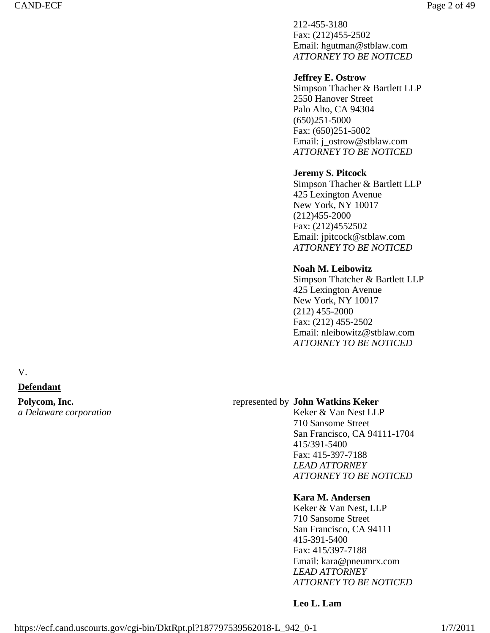212-455-3180 Fax: (212)455-2502 Email: hgutman@stblaw.com *ATTORNEY TO BE NOTICED*

#### **Jeffrey E. Ostrow**

Simpson Thacher & Bartlett LLP 2550 Hanover Street Palo Alto, CA 94304 (650)251-5000 Fax: (650)251-5002 Email: j\_ostrow@stblaw.com *ATTORNEY TO BE NOTICED*

#### **Jeremy S. Pitcock**

Simpson Thacher & Bartlett LLP 425 Lexington Avenue New York, NY 10017 (212)455-2000 Fax: (212)4552502 Email: jpitcock@stblaw.com *ATTORNEY TO BE NOTICED*

#### **Noah M. Leibowitz**

Simpson Thatcher & Bartlett LLP 425 Lexington Avenue New York, NY 10017 (212) 455-2000 Fax: (212) 455-2502 Email: nleibowitz@stblaw.com *ATTORNEY TO BE NOTICED*

V.

#### **Defendant**

**Polycom, Inc.** *a Delaware corporation*

#### represented by **John Watkins Keker**

Keker & Van Nest LLP 710 Sansome Street San Francisco, CA 94111-1704 415/391-5400 Fax: 415-397-7188 *LEAD ATTORNEY ATTORNEY TO BE NOTICED*

#### **Kara M. Andersen**

Keker & Van Nest, LLP 710 Sansome Street San Francisco, CA 94111 415-391-5400 Fax: 415/397-7188 Email: kara@pneumrx.com *LEAD ATTORNEY ATTORNEY TO BE NOTICED*

#### **Leo L. Lam**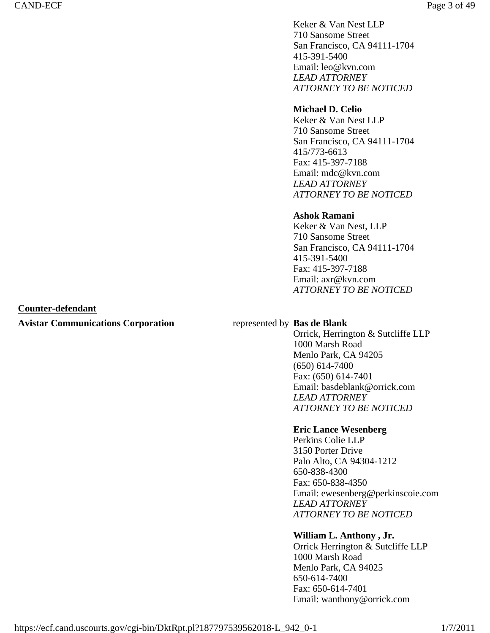Keker & Van Nest LLP 710 Sansome Street San Francisco, CA 94111-1704 415-391-5400 Email: leo@kvn.com *LEAD ATTORNEY ATTORNEY TO BE NOTICED*

#### **Michael D. Celio**

Keker & Van Nest LLP 710 Sansome Street San Francisco, CA 94111-1704 415/773-6613 Fax: 415-397-7188 Email: mdc@kvn.com *LEAD ATTORNEY ATTORNEY TO BE NOTICED*

### **Ashok Ramani**

Keker & Van Nest, LLP 710 Sansome Street San Francisco, CA 94111-1704 415-391-5400 Fax: 415-397-7188 Email: axr@kvn.com *ATTORNEY TO BE NOTICED*

#### **Counter-defendant**

#### **Avistar Communications Corporation** represented by **Bas de Blank**

Orrick, Herrington & Sutcliffe LLP 1000 Marsh Road Menlo Park, CA 94205 (650) 614-7400 Fax: (650) 614-7401 Email: basdeblank@orrick.com *LEAD ATTORNEY ATTORNEY TO BE NOTICED*

#### **Eric Lance Wesenberg**

Perkins Colie LLP 3150 Porter Drive Palo Alto, CA 94304-1212 650-838-4300 Fax: 650-838-4350 Email: ewesenberg@perkinscoie.com *LEAD ATTORNEY ATTORNEY TO BE NOTICED*

#### **William L. Anthony , Jr.**

Orrick Herrington & Sutcliffe LLP 1000 Marsh Road Menlo Park, CA 94025 650-614-7400 Fax: 650-614-7401 Email: wanthony@orrick.com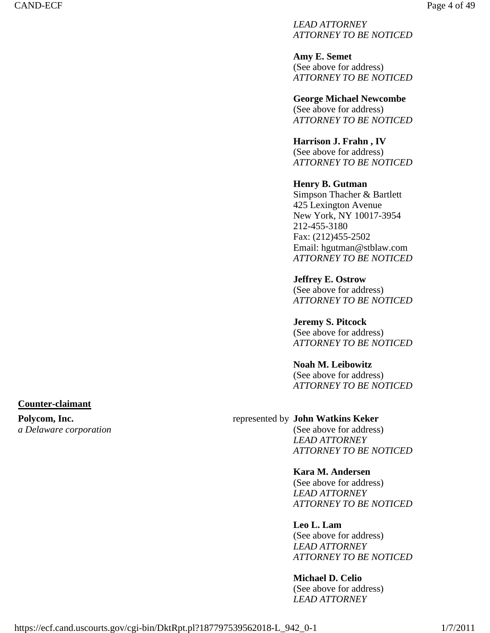*LEAD ATTORNEY ATTORNEY TO BE NOTICED*

**Amy E. Semet**  (See above for address) *ATTORNEY TO BE NOTICED*

**George Michael Newcombe**  (See above for address) *ATTORNEY TO BE NOTICED*

**Harrison J. Frahn , IV**  (See above for address) *ATTORNEY TO BE NOTICED*

#### **Henry B. Gutman**  Simpson Thacher & Bartlett 425 Lexington Avenue New York, NY 10017-3954 212-455-3180 Fax: (212)455-2502 Email: hgutman@stblaw.com *ATTORNEY TO BE NOTICED*

**Jeffrey E. Ostrow**  (See above for address) *ATTORNEY TO BE NOTICED*

**Jeremy S. Pitcock**  (See above for address) *ATTORNEY TO BE NOTICED*

#### **Noah M. Leibowitz**  (See above for address) *ATTORNEY TO BE NOTICED*

**Counter-claimant** 

**Polycom, Inc.** *a Delaware corporation*

### represented by **John Watkins Keker**

(See above for address) *LEAD ATTORNEY ATTORNEY TO BE NOTICED*

### **Kara M. Andersen**

(See above for address) *LEAD ATTORNEY ATTORNEY TO BE NOTICED*

### **Leo L. Lam**

(See above for address) *LEAD ATTORNEY ATTORNEY TO BE NOTICED*

### **Michael D. Celio**

(See above for address) *LEAD ATTORNEY*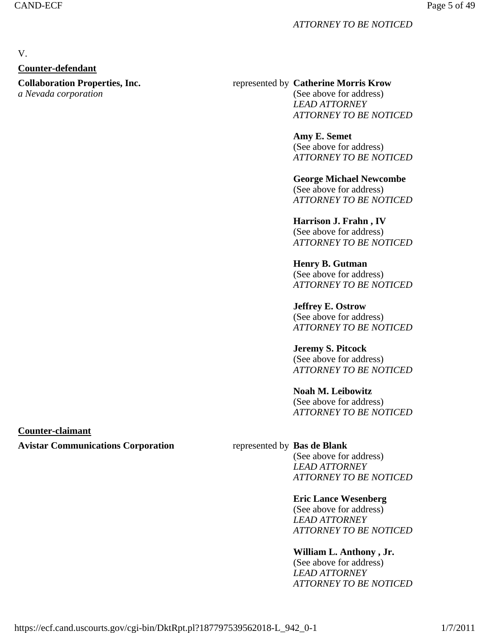#### *ATTORNEY TO BE NOTICED*

# V.

### **Counter-defendant**

**Collaboration Properties, Inc.**

*a Nevada corporation*

#### represented by **Catherine Morris Krow**

(See above for address) *LEAD ATTORNEY ATTORNEY TO BE NOTICED*

**Amy E. Semet**  (See above for address) *ATTORNEY TO BE NOTICED*

**George Michael Newcombe**  (See above for address) *ATTORNEY TO BE NOTICED*

**Harrison J. Frahn , IV**  (See above for address) *ATTORNEY TO BE NOTICED*

**Henry B. Gutman**  (See above for address) *ATTORNEY TO BE NOTICED*

**Jeffrey E. Ostrow**  (See above for address) *ATTORNEY TO BE NOTICED*

**Jeremy S. Pitcock**  (See above for address) *ATTORNEY TO BE NOTICED*

**Noah M. Leibowitz**  (See above for address) *ATTORNEY TO BE NOTICED*

### **Counter-claimant**

### **Avistar Communications Corporation** represented by **Bas de Blank**

(See above for address) *LEAD ATTORNEY ATTORNEY TO BE NOTICED*

### **Eric Lance Wesenberg**

(See above for address) *LEAD ATTORNEY ATTORNEY TO BE NOTICED*

### **William L. Anthony , Jr.**

(See above for address) *LEAD ATTORNEY ATTORNEY TO BE NOTICED*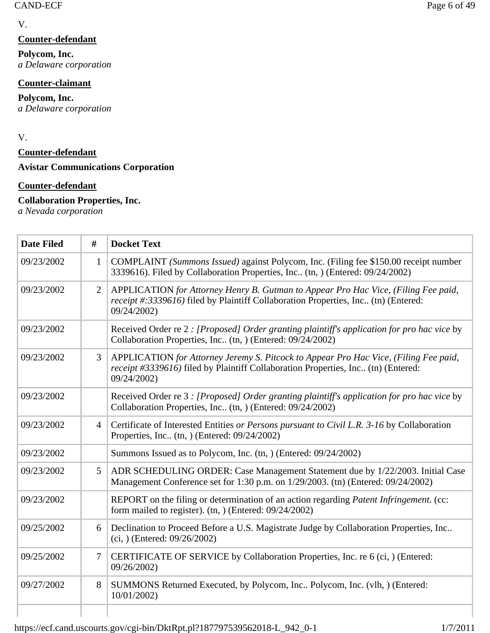### **Counter-defendant**

**Polycom, Inc.** *a Delaware corporation*

### **Counter-claimant**

**Polycom, Inc.** *a Delaware corporation*

V.

**Counter-defendant** 

**Avistar Communications Corporation**

### **Counter-defendant**

### **Collaboration Properties, Inc.**

*a Nevada corporation*

| <b>Date Filed</b> | #              | <b>Docket Text</b>                                                                                                                                                                       |
|-------------------|----------------|------------------------------------------------------------------------------------------------------------------------------------------------------------------------------------------|
| 09/23/2002        | $\mathbf{1}$   | COMPLAINT (Summons Issued) against Polycom, Inc. (Filing fee \$150.00 receipt number<br>3339616). Filed by Collaboration Properties, Inc (tn, ) (Entered: 09/24/2002)                    |
| 09/23/2002        | $\overline{2}$ | APPLICATION for Attorney Henry B. Gutman to Appear Pro Hac Vice, (Filing Fee paid,<br>receipt #:3339616) filed by Plaintiff Collaboration Properties, Inc (tn) (Entered:<br>09/24/2002)  |
| 09/23/2002        |                | Received Order re 2 : [Proposed] Order granting plaintiff's application for pro hac vice by<br>Collaboration Properties, Inc (tn, ) (Entered: 09/24/2002)                                |
| 09/23/2002        | 3              | APPLICATION for Attorney Jeremy S. Pitcock to Appear Pro Hac Vice, (Filing Fee paid,<br>receipt #3339616) filed by Plaintiff Collaboration Properties, Inc (tn) (Entered:<br>09/24/2002) |
| 09/23/2002        |                | Received Order re 3 : [Proposed] Order granting plaintiff's application for pro hac vice by<br>Collaboration Properties, Inc (tn, ) (Entered: 09/24/2002)                                |
| 09/23/2002        | $\overline{4}$ | Certificate of Interested Entities or Persons pursuant to Civil L.R. 3-16 by Collaboration<br>Properties, Inc. (tn, ) (Entered: 09/24/2002)                                              |
| 09/23/2002        |                | Summons Issued as to Polycom, Inc. (tn, ) (Entered: 09/24/2002)                                                                                                                          |
| 09/23/2002        | $\mathfrak{S}$ | ADR SCHEDULING ORDER: Case Management Statement due by 1/22/2003. Initial Case<br>Management Conference set for 1:30 p.m. on 1/29/2003. (tn) (Entered: 09/24/2002)                       |
| 09/23/2002        |                | REPORT on the filing or determination of an action regarding Patent Infringement. (cc:<br>form mailed to register). (tn, ) (Entered: 09/24/2002)                                         |
| 09/25/2002        | 6              | Declination to Proceed Before a U.S. Magistrate Judge by Collaboration Properties, Inc<br>$(ci, )$ (Entered: 09/26/2002)                                                                 |
| 09/25/2002        | 7              | CERTIFICATE OF SERVICE by Collaboration Properties, Inc. re 6 (ci, ) (Entered:<br>09/26/2002)                                                                                            |
| 09/27/2002        | 8              | SUMMONS Returned Executed, by Polycom, Inc., Polycom, Inc. (vlh, ) (Entered:<br>10/01/2002)                                                                                              |
|                   |                |                                                                                                                                                                                          |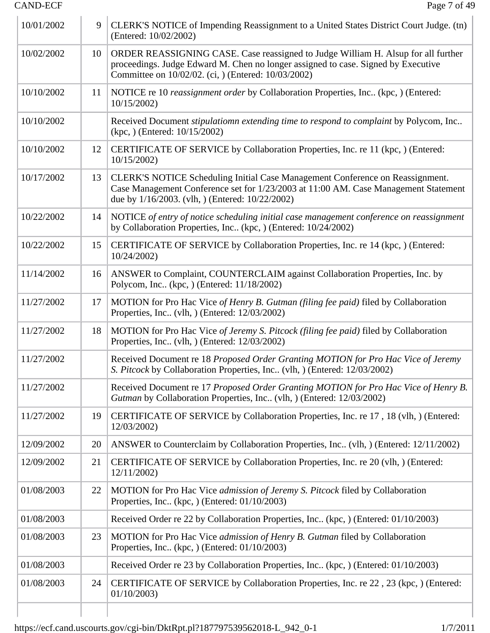| 10/01/2002 | 9  | CLERK'S NOTICE of Impending Reassignment to a United States District Court Judge. (tn)<br>(Entered: 10/02/2002)                                                                                                               |
|------------|----|-------------------------------------------------------------------------------------------------------------------------------------------------------------------------------------------------------------------------------|
| 10/02/2002 | 10 | ORDER REASSIGNING CASE. Case reassigned to Judge William H. Alsup for all further<br>proceedings. Judge Edward M. Chen no longer assigned to case. Signed by Executive<br>Committee on 10/02/02. (ci, ) (Entered: 10/03/2002) |
| 10/10/2002 | 11 | NOTICE re 10 reassignment order by Collaboration Properties, Inc., (kpc, ) (Entered:<br>10/15/2002                                                                                                                            |
| 10/10/2002 |    | Received Document stipulatiomn extending time to respond to complaint by Polycom, Inc<br>$(kpc, )$ (Entered: $10/15/2002$ )                                                                                                   |
| 10/10/2002 | 12 | CERTIFICATE OF SERVICE by Collaboration Properties, Inc. re 11 (kpc, ) (Entered:<br>10/15/2002                                                                                                                                |
| 10/17/2002 | 13 | CLERK'S NOTICE Scheduling Initial Case Management Conference on Reassignment.<br>Case Management Conference set for 1/23/2003 at 11:00 AM. Case Management Statement<br>due by 1/16/2003. (vlh, ) (Entered: 10/22/2002)       |
| 10/22/2002 | 14 | NOTICE of entry of notice scheduling initial case management conference on reassignment<br>by Collaboration Properties, Inc (kpc, ) (Entered: 10/24/2002)                                                                     |
| 10/22/2002 | 15 | CERTIFICATE OF SERVICE by Collaboration Properties, Inc. re 14 (kpc, ) (Entered:<br>10/24/2002                                                                                                                                |
| 11/14/2002 | 16 | ANSWER to Complaint, COUNTERCLAIM against Collaboration Properties, Inc. by<br>Polycom, Inc. (kpc, ) (Entered: 11/18/2002)                                                                                                    |
| 11/27/2002 | 17 | MOTION for Pro Hac Vice of Henry B. Gutman (filing fee paid) filed by Collaboration<br>Properties, Inc. (vlh.) (Entered: 12/03/2002)                                                                                          |
| 11/27/2002 | 18 | MOTION for Pro Hac Vice of Jeremy S. Pitcock (filing fee paid) filed by Collaboration<br>Properties, Inc (vlh, ) (Entered: 12/03/2002)                                                                                        |
| 11/27/2002 |    | Received Document re 18 Proposed Order Granting MOTION for Pro Hac Vice of Jeremy<br>S. Pitcock by Collaboration Properties, Inc. (vlh.) (Entered: 12/03/2002)                                                                |
| 11/27/2002 |    | Received Document re 17 Proposed Order Granting MOTION for Pro Hac Vice of Henry B.<br>Gutman by Collaboration Properties, Inc (vlh, ) (Entered: 12/03/2002)                                                                  |
| 11/27/2002 | 19 | CERTIFICATE OF SERVICE by Collaboration Properties, Inc. re 17, 18 (vlh, ) (Entered:<br>12/03/2002)                                                                                                                           |
| 12/09/2002 | 20 | ANSWER to Counterclaim by Collaboration Properties, Inc. (vlh.) (Entered: 12/11/2002)                                                                                                                                         |
| 12/09/2002 | 21 | CERTIFICATE OF SERVICE by Collaboration Properties, Inc. re 20 (vlh, ) (Entered:<br>12/11/2002)                                                                                                                               |
| 01/08/2003 | 22 | MOTION for Pro Hac Vice admission of Jeremy S. Pitcock filed by Collaboration<br>Properties, Inc., (kpc, ) (Entered: $01/10/2003$ )                                                                                           |
| 01/08/2003 |    | Received Order re 22 by Collaboration Properties, Inc. (kpc, ) (Entered: 01/10/2003)                                                                                                                                          |
| 01/08/2003 | 23 | MOTION for Pro Hac Vice admission of Henry B. Gutman filed by Collaboration<br>Properties, Inc. (kpc, ) (Entered: $01/10/2003$ )                                                                                              |
| 01/08/2003 |    | Received Order re 23 by Collaboration Properties, Inc (kpc, ) (Entered: 01/10/2003)                                                                                                                                           |
| 01/08/2003 | 24 | CERTIFICATE OF SERVICE by Collaboration Properties, Inc. re 22, 23 (kpc, ) (Entered:<br>01/10/2003                                                                                                                            |
|            |    |                                                                                                                                                                                                                               |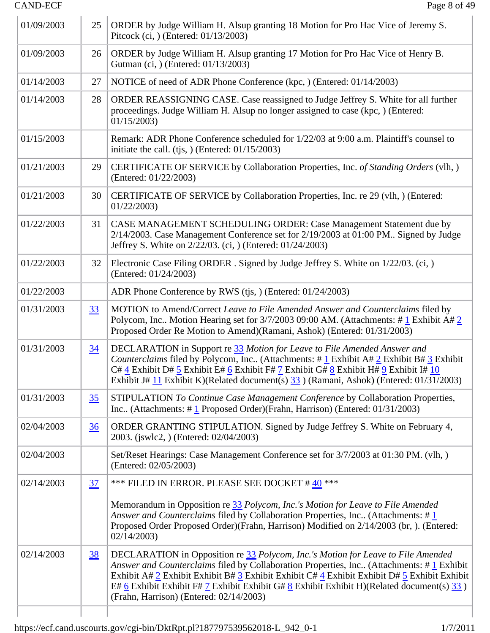| 01/09/2003 | 25               | ORDER by Judge William H. Alsup granting 18 Motion for Pro Hac Vice of Jeremy S.<br>Pitcock (ci, ) (Entered: 01/13/2003)                                                                                                                                                                                                                                                                                                                       |
|------------|------------------|------------------------------------------------------------------------------------------------------------------------------------------------------------------------------------------------------------------------------------------------------------------------------------------------------------------------------------------------------------------------------------------------------------------------------------------------|
| 01/09/2003 | 26               | ORDER by Judge William H. Alsup granting 17 Motion for Pro Hac Vice of Henry B.<br>Gutman (ci, ) (Entered: 01/13/2003)                                                                                                                                                                                                                                                                                                                         |
| 01/14/2003 | 27               | NOTICE of need of ADR Phone Conference (kpc, ) (Entered: 01/14/2003)                                                                                                                                                                                                                                                                                                                                                                           |
| 01/14/2003 | 28               | ORDER REASSIGNING CASE. Case reassigned to Judge Jeffrey S. White for all further<br>proceedings. Judge William H. Alsup no longer assigned to case (kpc, ) (Entered:<br>01/15/2003                                                                                                                                                                                                                                                            |
| 01/15/2003 |                  | Remark: ADR Phone Conference scheduled for 1/22/03 at 9:00 a.m. Plaintiff's counsel to<br>initiate the call. (tjs, ) (Entered: $01/15/2003$ )                                                                                                                                                                                                                                                                                                  |
| 01/21/2003 | 29               | CERTIFICATE OF SERVICE by Collaboration Properties, Inc. of Standing Orders (vlh, )<br>(Entered: 01/22/2003)                                                                                                                                                                                                                                                                                                                                   |
| 01/21/2003 | 30               | CERTIFICATE OF SERVICE by Collaboration Properties, Inc. re 29 (vlh, ) (Entered:<br>01/22/2003                                                                                                                                                                                                                                                                                                                                                 |
| 01/22/2003 | 31               | CASE MANAGEMENT SCHEDULING ORDER: Case Management Statement due by<br>2/14/2003. Case Management Conference set for 2/19/2003 at 01:00 PM Signed by Judge<br>Jeffrey S. White on 2/22/03. (ci, ) (Entered: 01/24/2003)                                                                                                                                                                                                                         |
| 01/22/2003 | 32               | Electronic Case Filing ORDER . Signed by Judge Jeffrey S. White on 1/22/03. (ci, )<br>(Entered: 01/24/2003)                                                                                                                                                                                                                                                                                                                                    |
| 01/22/2003 |                  | ADR Phone Conference by RWS (tjs.) (Entered: 01/24/2003)                                                                                                                                                                                                                                                                                                                                                                                       |
| 01/31/2003 | 33               | MOTION to Amend/Correct Leave to File Amended Answer and Counterclaims filed by<br>Polycom, Inc Motion Hearing set for $3/7/2003$ 09:00 AM. (Attachments: #1 Exhibit A#2<br>Proposed Order Re Motion to Amend)(Ramani, Ashok) (Entered: 01/31/2003)                                                                                                                                                                                            |
| 01/31/2003 | $\underline{34}$ | DECLARATION in Support re 33 Motion for Leave to File Amended Answer and<br><i>Counterclaims</i> filed by Polycom, Inc (Attachments: # $\frac{1}{2}$ Exhibit A# $\frac{2}{2}$ Exhibit B# $\frac{3}{2}$ Exhibit<br>$C#4$ Exhibit D# 5 Exhibit E# 6 Exhibit F# 7 Exhibit G# 8 Exhibit H# 9 Exhibit I# 10<br>Exhibit J# 11 Exhibit K)(Related document(s) 33 ) (Ramani, Ashok) (Entered: 01/31/2003)                                              |
| 01/31/2003 | 35               | STIPULATION To Continue Case Management Conference by Collaboration Properties,<br>Inc (Attachments: #1 Proposed Order)(Frahn, Harrison) (Entered: 01/31/2003)                                                                                                                                                                                                                                                                                 |
| 02/04/2003 | $\frac{36}{5}$   | ORDER GRANTING STIPULATION. Signed by Judge Jeffrey S. White on February 4,<br>2003. (jswlc2, ) (Entered: 02/04/2003)                                                                                                                                                                                                                                                                                                                          |
| 02/04/2003 |                  | Set/Reset Hearings: Case Management Conference set for 3/7/2003 at 01:30 PM. (vlh, )<br>(Entered: 02/05/2003)                                                                                                                                                                                                                                                                                                                                  |
| 02/14/2003 | 37               | *** FILED IN ERROR. PLEASE SEE DOCKET #40 ***                                                                                                                                                                                                                                                                                                                                                                                                  |
|            |                  | Memorandum in Opposition re 33 Polycom, Inc.'s Motion for Leave to File Amended<br>Answer and Counterclaims filed by Collaboration Properties, Inc. (Attachments: $\#$ 1<br>Proposed Order Proposed Order)(Frahn, Harrison) Modified on 2/14/2003 (br, ). (Entered:<br>02/14/2003                                                                                                                                                              |
| 02/14/2003 | 38               | DECLARATION in Opposition re 33 Polycom, Inc.'s Motion for Leave to File Amended<br>Answer and Counterclaims filed by Collaboration Properties, Inc (Attachments: #1 Exhibit<br>Exhibit A# 2 Exhibit Exhibit B# 3 Exhibit Exhibit C# $\frac{4}{5}$ Exhibit Exhibit Exhibit Exhibit Exhibit<br>E# 6 Exhibit Exhibit F# 7 Exhibit Exhibit G# 8 Exhibit Exhibit H)(Related document(s) $\frac{33}{}$ )<br>(Frahn, Harrison) (Entered: 02/14/2003) |
|            |                  |                                                                                                                                                                                                                                                                                                                                                                                                                                                |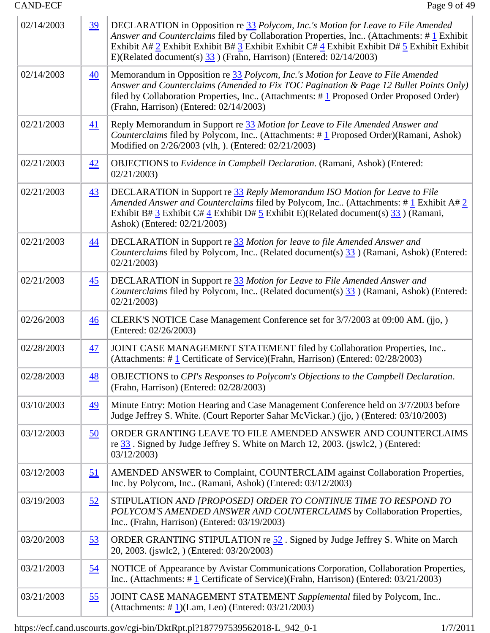| 02/14/2003 | $\overline{39}$ | DECLARATION in Opposition re 33 Polycom, Inc.'s Motion for Leave to File Amended<br>Answer and Counterclaims filed by Collaboration Properties, Inc (Attachments: #1 Exhibit<br>Exhibit A# 2 Exhibit Exhibit B# 3 Exhibit Exhibit C# $\frac{4}{5}$ Exhibit Exhibit D# $\frac{5}{5}$ Exhibit Exhibit<br>E)(Related document(s) $\frac{33}{33}$ ) (Frahn, Harrison) (Entered: 02/14/2003) |
|------------|-----------------|-----------------------------------------------------------------------------------------------------------------------------------------------------------------------------------------------------------------------------------------------------------------------------------------------------------------------------------------------------------------------------------------|
| 02/14/2003 | $\overline{40}$ | Memorandum in Opposition re 33 Polycom, Inc.'s Motion for Leave to File Amended<br>Answer and Counterclaims (Amended to Fix TOC Pagination & Page 12 Bullet Points Only)<br>filed by Collaboration Properties, Inc (Attachments: $\# \underline{1}$ Proposed Order Proposed Order)<br>(Frahn, Harrison) (Entered: 02/14/2003)                                                           |
| 02/21/2003 | 41              | Reply Memorandum in Support re 33 Motion for Leave to File Amended Answer and<br>Counterclaims filed by Polycom, Inc (Attachments: #1 Proposed Order)(Ramani, Ashok)<br>Modified on 2/26/2003 (vlh. ). (Entered: 02/21/2003)                                                                                                                                                            |
| 02/21/2003 | 42              | OBJECTIONS to <i>Evidence in Campbell Declaration</i> . (Ramani, Ashok) (Entered:<br>02/21/2003                                                                                                                                                                                                                                                                                         |
| 02/21/2003 | $\overline{43}$ | DECLARATION in Support re 33 Reply Memorandum ISO Motion for Leave to File<br>Amended Answer and Counterclaims filed by Polycom, Inc (Attachments: #1 Exhibit A# 2<br>Exhibit B# $\frac{3}{5}$ Exhibit C# $\frac{4}{5}$ Exhibit E)(Related document(s) $\frac{33}{5}$ ) (Ramani,<br>Ashok) (Entered: 02/21/2003)                                                                        |
| 02/21/2003 | $\overline{44}$ | DECLARATION in Support re 33 Motion for leave to file Amended Answer and<br>Counterclaims filed by Polycom, Inc (Related document(s) 33) (Ramani, Ashok) (Entered:<br>02/21/2003                                                                                                                                                                                                        |
| 02/21/2003 | $\overline{45}$ | DECLARATION in Support re 33 Motion for Leave to File Amended Answer and<br>Counterclaims filed by Polycom, Inc (Related document(s) 33 ) (Ramani, Ashok) (Entered:<br>02/21/2003                                                                                                                                                                                                       |
| 02/26/2003 | $\frac{46}{5}$  | CLERK'S NOTICE Case Management Conference set for 3/7/2003 at 09:00 AM. (jjo, )<br>(Entered: 02/26/2003)                                                                                                                                                                                                                                                                                |
| 02/28/2003 | $\overline{47}$ | JOINT CASE MANAGEMENT STATEMENT filed by Collaboration Properties, Inc<br>(Attachments: #1 Certificate of Service)(Frahn, Harrison) (Entered: 02/28/2003)                                                                                                                                                                                                                               |
| 02/28/2003 | 48              | OBJECTIONS to CPI's Responses to Polycom's Objections to the Campbell Declaration.<br>(Frahn, Harrison) (Entered: 02/28/2003)                                                                                                                                                                                                                                                           |
| 03/10/2003 | <u>49</u>       | Minute Entry: Motion Hearing and Case Management Conference held on 3/7/2003 before<br>Judge Jeffrey S. White. (Court Reporter Sahar McVickar.) (jjo, ) (Entered: 03/10/2003)                                                                                                                                                                                                           |
| 03/12/2003 | 50              | ORDER GRANTING LEAVE TO FILE AMENDED ANSWER AND COUNTERCLAIMS<br>re 33. Signed by Judge Jeffrey S. White on March 12, 2003. (jswlc2, ) (Entered:<br>03/12/2003                                                                                                                                                                                                                          |
| 03/12/2003 | <u>51</u>       | AMENDED ANSWER to Complaint, COUNTERCLAIM against Collaboration Properties,<br>Inc. by Polycom, Inc (Ramani, Ashok) (Entered: 03/12/2003)                                                                                                                                                                                                                                               |
| 03/19/2003 | 52              | STIPULATION AND [PROPOSED] ORDER TO CONTINUE TIME TO RESPOND TO<br>POLYCOM'S AMENDED ANSWER AND COUNTERCLAIMS by Collaboration Properties,<br>Inc (Frahn, Harrison) (Entered: 03/19/2003)                                                                                                                                                                                               |
| 03/20/2003 | 53              | ORDER GRANTING STIPULATION re 52. Signed by Judge Jeffrey S. White on March<br>20, 2003. (jswlc2, ) (Entered: 03/20/2003)                                                                                                                                                                                                                                                               |
| 03/21/2003 | <u>54</u>       | NOTICE of Appearance by Avistar Communications Corporation, Collaboration Properties,<br>Inc (Attachments: #1 Certificate of Service)(Frahn, Harrison) (Entered: 03/21/2003)                                                                                                                                                                                                            |
| 03/21/2003 | 55              | JOINT CASE MANAGEMENT STATEMENT Supplemental filed by Polycom, Inc<br>(Attachments: $\#$ 1)(Lam, Leo) (Entered: 03/21/2003)                                                                                                                                                                                                                                                             |

https://ecf.cand.uscourts.gov/cgi-bin/DktRpt.pl?187797539562018-L\_942\_0-1 1/7/2011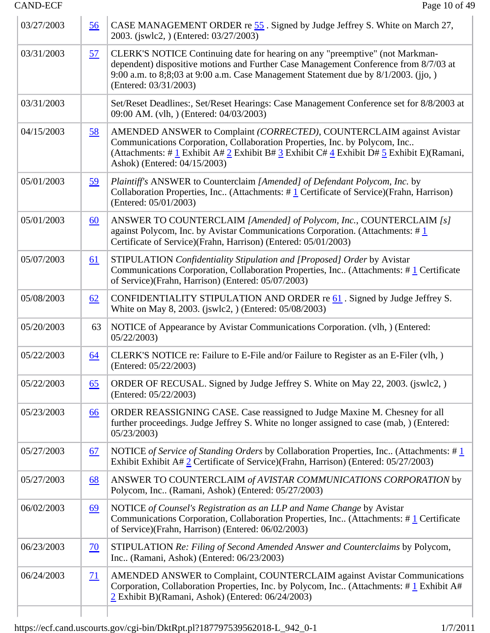| 03/27/2003 | 56               | CASE MANAGEMENT ORDER re 55. Signed by Judge Jeffrey S. White on March 27,<br>2003. (jswlc2, ) (Entered: 03/27/2003)                                                                                                                                                                                                                                  |
|------------|------------------|-------------------------------------------------------------------------------------------------------------------------------------------------------------------------------------------------------------------------------------------------------------------------------------------------------------------------------------------------------|
| 03/31/2003 | <u>57</u>        | CLERK'S NOTICE Continuing date for hearing on any "preemptive" (not Markman-<br>dependent) dispositive motions and Further Case Management Conference from 8/7/03 at<br>9:00 a.m. to 8;8;03 at 9:00 a.m. Case Management Statement due by 8/1/2003. (jjo, )<br>(Entered: 03/31/2003)                                                                  |
| 03/31/2003 |                  | Set/Reset Deadlines:, Set/Reset Hearings: Case Management Conference set for 8/8/2003 at<br>09:00 AM. (vlh.) (Entered: 04/03/2003)                                                                                                                                                                                                                    |
| 04/15/2003 | <u>58</u>        | AMENDED ANSWER to Complaint (CORRECTED), COUNTERCLAIM against Avistar<br>Communications Corporation, Collaboration Properties, Inc. by Polycom, Inc<br>(Attachments: # $\underline{1}$ Exhibit A# $\underline{2}$ Exhibit B# $\underline{3}$ Exhibit C# $\underline{4}$ Exhibit D# $\underline{5}$ Exhibit E)(Ramani,<br>Ashok) (Entered: 04/15/2003) |
| 05/01/2003 | <u>59</u>        | Plaintiff's ANSWER to Counterclaim [Amended] of Defendant Polycom, Inc. by<br>Collaboration Properties, Inc (Attachments: $\# \underline{1}$ Certificate of Service)(Frahn, Harrison)<br>(Entered: 05/01/2003)                                                                                                                                        |
| 05/01/2003 | 60               | ANSWER TO COUNTERCLAIM [Amended] of Polycom, Inc., COUNTERCLAIM [s]<br>against Polycom, Inc. by Avistar Communications Corporation. (Attachments: $\#$ 1<br>Certificate of Service)(Frahn, Harrison) (Entered: 05/01/2003)                                                                                                                            |
| 05/07/2003 | <u>61</u>        | STIPULATION Confidentiality Stipulation and [Proposed] Order by Avistar<br>Communications Corporation, Collaboration Properties, Inc (Attachments: #1 Certificate<br>of Service)(Frahn, Harrison) (Entered: 05/07/2003)                                                                                                                               |
| 05/08/2003 | 62               | CONFIDENTIALITY STIPULATION AND ORDER re $61$ . Signed by Judge Jeffrey S.<br>White on May 8, 2003. (jswlc2, ) (Entered: 05/08/2003)                                                                                                                                                                                                                  |
| 05/20/2003 | 63               | NOTICE of Appearance by Avistar Communications Corporation. (vlh.) (Entered:<br>05/22/2003                                                                                                                                                                                                                                                            |
| 05/22/2003 | 64               | CLERK'S NOTICE re: Failure to E-File and/or Failure to Register as an E-Filer (vlh, )<br>(Entered: 05/22/2003)                                                                                                                                                                                                                                        |
| 05/22/2003 | $\underline{65}$ | ORDER OF RECUSAL. Signed by Judge Jeffrey S. White on May 22, 2003. (jswlc2, )<br>(Entered: 05/22/2003)                                                                                                                                                                                                                                               |
| 05/23/2003 | 66               | ORDER REASSIGNING CASE. Case reassigned to Judge Maxine M. Chesney for all<br>further proceedings. Judge Jeffrey S. White no longer assigned to case (mab, ) (Entered:<br>05/23/2003                                                                                                                                                                  |
| 05/27/2003 | 67               | NOTICE of Service of Standing Orders by Collaboration Properties, Inc (Attachments: $\#$ 1<br>Exhibit Exhibit A# 2 Certificate of Service)(Frahn, Harrison) (Entered: 05/27/2003)                                                                                                                                                                     |
| 05/27/2003 | <u>68</u>        | ANSWER TO COUNTERCLAIM of AVISTAR COMMUNICATIONS CORPORATION by<br>Polycom, Inc (Ramani, Ashok) (Entered: 05/27/2003)                                                                                                                                                                                                                                 |
| 06/02/2003 | <u>69</u>        | NOTICE of Counsel's Registration as an LLP and Name Change by Avistar<br>Communications Corporation, Collaboration Properties, Inc (Attachments: #1 Certificate<br>of Service)(Frahn, Harrison) (Entered: 06/02/2003)                                                                                                                                 |
| 06/23/2003 | $\overline{20}$  | STIPULATION Re: Filing of Second Amended Answer and Counterclaims by Polycom,<br>Inc (Ramani, Ashok) (Entered: 06/23/2003)                                                                                                                                                                                                                            |
| 06/24/2003 | <u>71</u>        | AMENDED ANSWER to Complaint, COUNTERCLAIM against Avistar Communications<br>Corporation, Collaboration Properties, Inc. by Polycom, Inc. (Attachments: #1 Exhibit A#<br>2 Exhibit B)(Ramani, Ashok) (Entered: 06/24/2003)                                                                                                                             |
|            |                  |                                                                                                                                                                                                                                                                                                                                                       |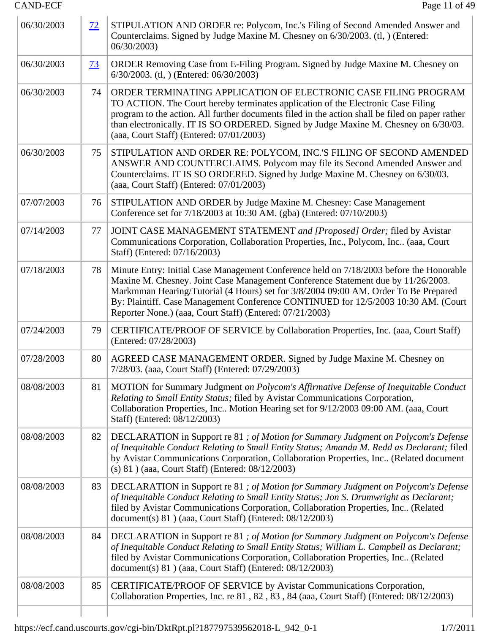| 06/30/2003 | $\frac{72}{ }$  | STIPULATION AND ORDER re: Polycom, Inc.'s Filing of Second Amended Answer and<br>Counterclaims. Signed by Judge Maxine M. Chesney on 6/30/2003. (tl, ) (Entered:<br>06/30/2003                                                                                                                                                                                                                                       |
|------------|-----------------|----------------------------------------------------------------------------------------------------------------------------------------------------------------------------------------------------------------------------------------------------------------------------------------------------------------------------------------------------------------------------------------------------------------------|
| 06/30/2003 | $\overline{23}$ | ORDER Removing Case from E-Filing Program. Signed by Judge Maxine M. Chesney on<br>6/30/2003. (tl, ) (Entered: 06/30/2003)                                                                                                                                                                                                                                                                                           |
| 06/30/2003 | 74              | ORDER TERMINATING APPLICATION OF ELECTRONIC CASE FILING PROGRAM<br>TO ACTION. The Court hereby terminates application of the Electronic Case Filing<br>program to the action. All further documents filed in the action shall be filed on paper rather<br>than electronically. IT IS SO ORDERED. Signed by Judge Maxine M. Chesney on 6/30/03.<br>(aaa, Court Staff) (Entered: 07/01/2003)                           |
| 06/30/2003 | 75              | STIPULATION AND ORDER RE: POLYCOM, INC.'S FILING OF SECOND AMENDED<br>ANSWER AND COUNTERCLAIMS. Polycom may file its Second Amended Answer and<br>Counterclaims. IT IS SO ORDERED. Signed by Judge Maxine M. Chesney on 6/30/03.<br>(aaa, Court Staff) (Entered: 07/01/2003)                                                                                                                                         |
| 07/07/2003 | 76              | STIPULATION AND ORDER by Judge Maxine M. Chesney: Case Management<br>Conference set for 7/18/2003 at 10:30 AM. (gba) (Entered: 07/10/2003)                                                                                                                                                                                                                                                                           |
| 07/14/2003 | 77              | JOINT CASE MANAGEMENT STATEMENT and [Proposed] Order; filed by Avistar<br>Communications Corporation, Collaboration Properties, Inc., Polycom, Inc., (aaa, Court<br>Staff) (Entered: 07/16/2003)                                                                                                                                                                                                                     |
| 07/18/2003 | 78              | Minute Entry: Initial Case Management Conference held on 7/18/2003 before the Honorable<br>Maxine M. Chesney. Joint Case Management Conference Statement due by 11/26/2003.<br>Markmman Hearing/Tutorial (4 Hours) set for 3/8/2004 09:00 AM. Order To Be Prepared<br>By: Plaintiff. Case Management Conference CONTINUED for 12/5/2003 10:30 AM. (Court<br>Reporter None.) (aaa, Court Staff) (Entered: 07/21/2003) |
| 07/24/2003 | 79              | CERTIFICATE/PROOF OF SERVICE by Collaboration Properties, Inc. (aaa, Court Staff)<br>(Entered: 07/28/2003)                                                                                                                                                                                                                                                                                                           |
| 07/28/2003 | 80              | AGREED CASE MANAGEMENT ORDER. Signed by Judge Maxine M. Chesney on<br>7/28/03. (aaa, Court Staff) (Entered: 07/29/2003)                                                                                                                                                                                                                                                                                              |
| 08/08/2003 | 81              | MOTION for Summary Judgment on Polycom's Affirmative Defense of Inequitable Conduct<br>Relating to Small Entity Status; filed by Avistar Communications Corporation,<br>Collaboration Properties, Inc Motion Hearing set for 9/12/2003 09:00 AM. (aaa, Court<br>Staff) (Entered: 08/12/2003)                                                                                                                         |
| 08/08/2003 | 82              | DECLARATION in Support re 81; of Motion for Summary Judgment on Polycom's Defense<br>of Inequitable Conduct Relating to Small Entity Status; Amanda M. Redd as Declarant; filed<br>by Avistar Communications Corporation, Collaboration Properties, Inc (Related document<br>(s) 81 ) (aaa, Court Staff) (Entered: 08/12/2003)                                                                                       |
| 08/08/2003 | 83              | DECLARATION in Support re 81 ; of Motion for Summary Judgment on Polycom's Defense<br>of Inequitable Conduct Relating to Small Entity Status; Jon S. Drumwright as Declarant;<br>filed by Avistar Communications Corporation, Collaboration Properties, Inc (Related<br>document(s) 81) (aaa, Court Staff) (Entered: 08/12/2003)                                                                                     |
| 08/08/2003 | 84              | DECLARATION in Support re 81; of Motion for Summary Judgment on Polycom's Defense<br>of Inequitable Conduct Relating to Small Entity Status; William L. Campbell as Declarant;<br>filed by Avistar Communications Corporation, Collaboration Properties, Inc (Related<br>document(s) 81) (aaa, Court Staff) (Entered: 08/12/2003)                                                                                    |
| 08/08/2003 | 85              | CERTIFICATE/PROOF OF SERVICE by Avistar Communications Corporation,<br>Collaboration Properties, Inc. re 81, 82, 83, 84 (aaa, Court Staff) (Entered: 08/12/2003)                                                                                                                                                                                                                                                     |
|            |                 |                                                                                                                                                                                                                                                                                                                                                                                                                      |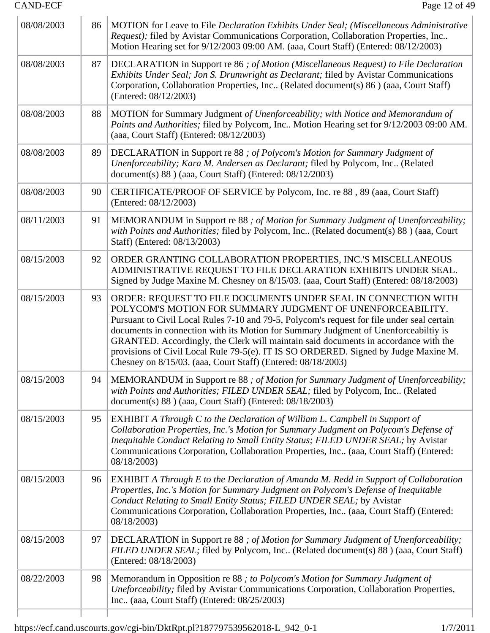| 08/08/2003 | 86 | MOTION for Leave to File Declaration Exhibits Under Seal; (Miscellaneous Administrative<br>Request); filed by Avistar Communications Corporation, Collaboration Properties, Inc<br>Motion Hearing set for 9/12/2003 09:00 AM. (aaa, Court Staff) (Entered: 08/12/2003)                                                                                                                                                                                                                                                                                          |
|------------|----|-----------------------------------------------------------------------------------------------------------------------------------------------------------------------------------------------------------------------------------------------------------------------------------------------------------------------------------------------------------------------------------------------------------------------------------------------------------------------------------------------------------------------------------------------------------------|
| 08/08/2003 | 87 | DECLARATION in Support re 86; of Motion (Miscellaneous Request) to File Declaration<br>Exhibits Under Seal; Jon S. Drumwright as Declarant; filed by Avistar Communications<br>Corporation, Collaboration Properties, Inc (Related document(s) 86) (aaa, Court Staff)<br>(Entered: 08/12/2003)                                                                                                                                                                                                                                                                  |
| 08/08/2003 | 88 | MOTION for Summary Judgment of Unenforceability; with Notice and Memorandum of<br>Points and Authorities; filed by Polycom, Inc Motion Hearing set for 9/12/2003 09:00 AM.<br>(aaa, Court Staff) (Entered: 08/12/2003)                                                                                                                                                                                                                                                                                                                                          |
| 08/08/2003 | 89 | DECLARATION in Support re 88; of Polycom's Motion for Summary Judgment of<br>Unenforceability; Kara M. Andersen as Declarant; filed by Polycom, Inc (Related<br>document(s) 88 ) (aaa, Court Staff) (Entered: 08/12/2003)                                                                                                                                                                                                                                                                                                                                       |
| 08/08/2003 | 90 | CERTIFICATE/PROOF OF SERVICE by Polycom, Inc. re 88, 89 (aaa, Court Staff)<br>(Entered: 08/12/2003)                                                                                                                                                                                                                                                                                                                                                                                                                                                             |
| 08/11/2003 | 91 | MEMORANDUM in Support re 88; of Motion for Summary Judgment of Unenforceability;<br>with Points and Authorities; filed by Polycom, Inc (Related document(s) 88) (aaa, Court<br>Staff) (Entered: 08/13/2003)                                                                                                                                                                                                                                                                                                                                                     |
| 08/15/2003 | 92 | ORDER GRANTING COLLABORATION PROPERTIES, INC.'S MISCELLANEOUS<br>ADMINISTRATIVE REQUEST TO FILE DECLARATION EXHIBITS UNDER SEAL.<br>Signed by Judge Maxine M. Chesney on 8/15/03. (aaa, Court Staff) (Entered: 08/18/2003)                                                                                                                                                                                                                                                                                                                                      |
| 08/15/2003 | 93 | ORDER: REQUEST TO FILE DOCUMENTS UNDER SEAL IN CONNECTION WITH<br>POLYCOM'S MOTION FOR SUMMARY JUDGMENT OF UNENFORCEABILITY.<br>Pursuant to Civil Local Rules 7-10 and 79-5, Polycom's request for file under seal certain<br>documents in connection with its Motion for Summary Judgment of Unenforceabiltiy is<br>GRANTED. Accordingly, the Clerk will maintain said documents in accordance with the<br>provisions of Civil Local Rule 79-5(e). IT IS SO ORDERED. Signed by Judge Maxine M.<br>Chesney on 8/15/03. (aaa, Court Staff) (Entered: 08/18/2003) |
| 08/15/2003 | 94 | MEMORANDUM in Support re 88 ; of Motion for Summary Judgment of Unenforceability;<br>with Points and Authorities; FILED UNDER SEAL; filed by Polycom, Inc (Related<br>document(s) 88 ) (aaa, Court Staff) (Entered: 08/18/2003)                                                                                                                                                                                                                                                                                                                                 |
| 08/15/2003 | 95 | <b>EXHIBIT A Through C to the Declaration of William L. Campbell in Support of</b><br>Collaboration Properties, Inc.'s Motion for Summary Judgment on Polycom's Defense of<br>Inequitable Conduct Relating to Small Entity Status; FILED UNDER SEAL; by Avistar<br>Communications Corporation, Collaboration Properties, Inc (aaa, Court Staff) (Entered:<br>08/18/2003)                                                                                                                                                                                        |
| 08/15/2003 | 96 | <b>EXHIBIT A Through E to the Declaration of Amanda M. Redd in Support of Collaboration</b><br>Properties, Inc.'s Motion for Summary Judgment on Polycom's Defense of Inequitable<br>Conduct Relating to Small Entity Status; FILED UNDER SEAL; by Avistar<br>Communications Corporation, Collaboration Properties, Inc (aaa, Court Staff) (Entered:<br>08/18/2003)                                                                                                                                                                                             |
| 08/15/2003 | 97 | DECLARATION in Support re 88 ; of Motion for Summary Judgment of Unenforceability;<br>FILED UNDER SEAL; filed by Polycom, Inc (Related document(s) 88 ) (aaa, Court Staff)<br>(Entered: 08/18/2003)                                                                                                                                                                                                                                                                                                                                                             |
| 08/22/2003 | 98 | Memorandum in Opposition re 88 ; to Polycom's Motion for Summary Judgment of<br>Uneforceability; filed by Avistar Communications Corporation, Collaboration Properties,<br>Inc (aaa, Court Staff) (Entered: 08/25/2003)                                                                                                                                                                                                                                                                                                                                         |
|            |    |                                                                                                                                                                                                                                                                                                                                                                                                                                                                                                                                                                 |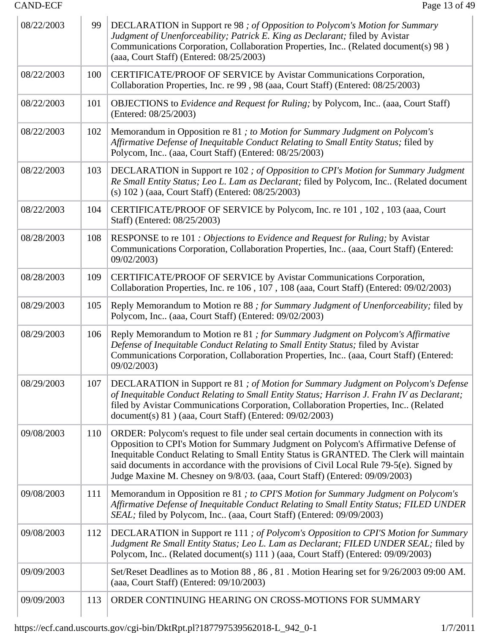| 08/22/2003 | 99  | DECLARATION in Support re 98; of Opposition to Polycom's Motion for Summary<br>Judgment of Unenforceability; Patrick E. King as Declarant; filed by Avistar<br>Communications Corporation, Collaboration Properties, Inc (Related document(s) 98)<br>(aaa, Court Staff) (Entered: 08/25/2003)                                                                                                                                                    |
|------------|-----|--------------------------------------------------------------------------------------------------------------------------------------------------------------------------------------------------------------------------------------------------------------------------------------------------------------------------------------------------------------------------------------------------------------------------------------------------|
| 08/22/2003 | 100 | CERTIFICATE/PROOF OF SERVICE by Avistar Communications Corporation,<br>Collaboration Properties, Inc. re 99, 98 (aaa, Court Staff) (Entered: 08/25/2003)                                                                                                                                                                                                                                                                                         |
| 08/22/2003 | 101 | OBJECTIONS to Evidence and Request for Ruling; by Polycom, Inc (aaa, Court Staff)<br>(Entered: 08/25/2003)                                                                                                                                                                                                                                                                                                                                       |
| 08/22/2003 | 102 | Memorandum in Opposition re 81; to Motion for Summary Judgment on Polycom's<br>Affirmative Defense of Inequitable Conduct Relating to Small Entity Status; filed by<br>Polycom, Inc., (aaa, Court Staff) (Entered: 08/25/2003)                                                                                                                                                                                                                   |
| 08/22/2003 | 103 | DECLARATION in Support re 102 ; of Opposition to CPI's Motion for Summary Judgment<br>Re Small Entity Status; Leo L. Lam as Declarant; filed by Polycom, Inc (Related document<br>(s) 102 ) (aaa, Court Staff) (Entered: 08/25/2003)                                                                                                                                                                                                             |
| 08/22/2003 | 104 | CERTIFICATE/PROOF OF SERVICE by Polycom, Inc. re 101, 102, 103 (aaa, Court<br>Staff) (Entered: 08/25/2003)                                                                                                                                                                                                                                                                                                                                       |
| 08/28/2003 | 108 | RESPONSE to re 101 : Objections to Evidence and Request for Ruling; by Avistar<br>Communications Corporation, Collaboration Properties, Inc (aaa, Court Staff) (Entered:<br>09/02/2003)                                                                                                                                                                                                                                                          |
| 08/28/2003 | 109 | CERTIFICATE/PROOF OF SERVICE by Avistar Communications Corporation,<br>Collaboration Properties, Inc. re 106, 107, 108 (aaa, Court Staff) (Entered: 09/02/2003)                                                                                                                                                                                                                                                                                  |
| 08/29/2003 | 105 | Reply Memorandum to Motion re 88 ; for Summary Judgment of Unenforceability; filed by<br>Polycom, Inc., (aaa, Court Staff) (Entered: 09/02/2003)                                                                                                                                                                                                                                                                                                 |
| 08/29/2003 | 106 | Reply Memorandum to Motion re 81 ; for Summary Judgment on Polycom's Affirmative<br>Defense of Inequitable Conduct Relating to Small Entity Status; filed by Avistar<br>Communications Corporation, Collaboration Properties, Inc (aaa, Court Staff) (Entered:<br>09/02/2003)                                                                                                                                                                    |
| 08/29/2003 | 107 | DECLARATION in Support re 81 ; of Motion for Summary Judgment on Polycom's Defense<br>of Inequitable Conduct Relating to Small Entity Status; Harrison J. Frahn IV as Declarant;<br>filed by Avistar Communications Corporation, Collaboration Properties, Inc (Related<br>document(s) $81$ ) (aaa, Court Staff) (Entered: $09/02/2003$ )                                                                                                        |
| 09/08/2003 | 110 | ORDER: Polycom's request to file under seal certain documents in connection with its<br>Opposition to CPI's Motion for Summary Judgment on Polycom's Affirmative Defense of<br>Inequitable Conduct Relating to Small Entity Status is GRANTED. The Clerk will maintain<br>said documents in accordance with the provisions of Civil Local Rule 79-5(e). Signed by<br>Judge Maxine M. Chesney on 9/8/03. (aaa, Court Staff) (Entered: 09/09/2003) |
| 09/08/2003 | 111 | Memorandum in Opposition re 81; to CPI'S Motion for Summary Judgment on Polycom's<br>Affirmative Defense of Inequitable Conduct Relating to Small Entity Status; FILED UNDER<br>SEAL; filed by Polycom, Inc (aaa, Court Staff) (Entered: 09/09/2003)                                                                                                                                                                                             |
| 09/08/2003 | 112 | DECLARATION in Support re 111; of Polycom's Opposition to CPI'S Motion for Summary<br>Judgment Re Small Entity Status; Leo L. Lam as Declarant; FILED UNDER SEAL; filed by<br>Polycom, Inc (Related document(s) 111 ) (aaa, Court Staff) (Entered: 09/09/2003)                                                                                                                                                                                   |
| 09/09/2003 |     | Set/Reset Deadlines as to Motion 88, 86, 81. Motion Hearing set for 9/26/2003 09:00 AM.<br>(aaa, Court Staff) (Entered: 09/10/2003)                                                                                                                                                                                                                                                                                                              |
| 09/09/2003 | 113 | ORDER CONTINUING HEARING ON CROSS-MOTIONS FOR SUMMARY                                                                                                                                                                                                                                                                                                                                                                                            |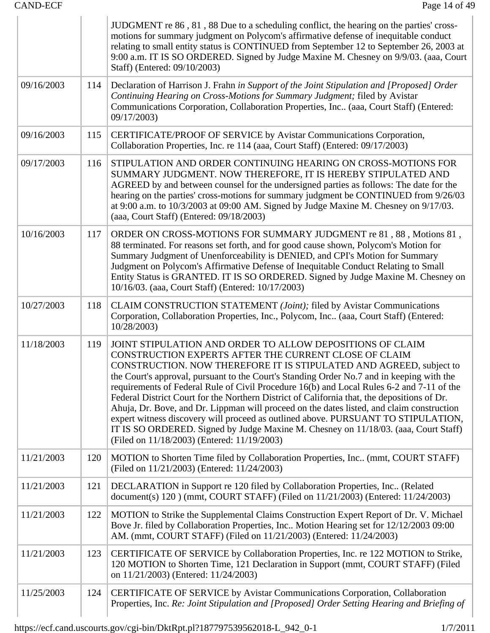|            |     | JUDGMENT re 86, 81, 88 Due to a scheduling conflict, the hearing on the parties' cross-<br>motions for summary judgment on Polycom's affirmative defense of inequitable conduct<br>relating to small entity status is CONTINUED from September 12 to September 26, 2003 at<br>9:00 a.m. IT IS SO ORDERED. Signed by Judge Maxine M. Chesney on 9/9/03. (aaa, Court<br>Staff) (Entered: 09/10/2003)                                                                                                                                                                                                                                                                                                                                                                                                         |
|------------|-----|------------------------------------------------------------------------------------------------------------------------------------------------------------------------------------------------------------------------------------------------------------------------------------------------------------------------------------------------------------------------------------------------------------------------------------------------------------------------------------------------------------------------------------------------------------------------------------------------------------------------------------------------------------------------------------------------------------------------------------------------------------------------------------------------------------|
| 09/16/2003 | 114 | Declaration of Harrison J. Frahn in Support of the Joint Stipulation and [Proposed] Order<br>Continuing Hearing on Cross-Motions for Summary Judgment; filed by Avistar<br>Communications Corporation, Collaboration Properties, Inc (aaa, Court Staff) (Entered:<br>09/17/2003)                                                                                                                                                                                                                                                                                                                                                                                                                                                                                                                           |
| 09/16/2003 | 115 | CERTIFICATE/PROOF OF SERVICE by Avistar Communications Corporation,<br>Collaboration Properties, Inc. re 114 (aaa, Court Staff) (Entered: 09/17/2003)                                                                                                                                                                                                                                                                                                                                                                                                                                                                                                                                                                                                                                                      |
| 09/17/2003 | 116 | STIPULATION AND ORDER CONTINUING HEARING ON CROSS-MOTIONS FOR<br>SUMMARY JUDGMENT. NOW THEREFORE, IT IS HEREBY STIPULATED AND<br>AGREED by and between counsel for the undersigned parties as follows: The date for the<br>hearing on the parties' cross-motions for summary judgment be CONTINUED from 9/26/03<br>at 9:00 a.m. to 10/3/2003 at 09:00 AM. Signed by Judge Maxine M. Chesney on 9/17/03.<br>(aaa, Court Staff) (Entered: 09/18/2003)                                                                                                                                                                                                                                                                                                                                                        |
| 10/16/2003 | 117 | ORDER ON CROSS-MOTIONS FOR SUMMARY JUDGMENT re 81, 88, Motions 81,<br>88 terminated. For reasons set forth, and for good cause shown, Polycom's Motion for<br>Summary Judgment of Unenforceability is DENIED, and CPI's Motion for Summary<br>Judgment on Polycom's Affirmative Defense of Inequitable Conduct Relating to Small<br>Entity Status is GRANTED. IT IS SO ORDERED. Signed by Judge Maxine M. Chesney on<br>10/16/03. (aaa, Court Staff) (Entered: 10/17/2003)                                                                                                                                                                                                                                                                                                                                 |
| 10/27/2003 | 118 | CLAIM CONSTRUCTION STATEMENT (Joint); filed by Avistar Communications<br>Corporation, Collaboration Properties, Inc., Polycom, Inc (aaa, Court Staff) (Entered:<br>10/28/2003)                                                                                                                                                                                                                                                                                                                                                                                                                                                                                                                                                                                                                             |
| 11/18/2003 | 119 | JOINT STIPULATION AND ORDER TO ALLOW DEPOSITIONS OF CLAIM<br>CONSTRUCTION EXPERTS AFTER THE CURRENT CLOSE OF CLAIM<br>CONSTRUCTION. NOW THEREFORE IT IS STIPULATED AND AGREED, subject to<br>the Court's approval, pursuant to the Court's Standing Order No.7 and in keeping with the<br>requirements of Federal Rule of Civil Procedure 16(b) and Local Rules 6-2 and 7-11 of the<br>Federal District Court for the Northern District of California that, the depositions of Dr.<br>Ahuja, Dr. Bove, and Dr. Lippman will proceed on the dates listed, and claim construction<br>expert witness discovery will proceed as outlined above. PURSUANT TO STIPULATION,<br>IT IS SO ORDERED. Signed by Judge Maxine M. Chesney on 11/18/03. (aaa, Court Staff)<br>(Filed on 11/18/2003) (Entered: 11/19/2003) |
| 11/21/2003 | 120 | MOTION to Shorten Time filed by Collaboration Properties, Inc (mmt, COURT STAFF)<br>(Filed on 11/21/2003) (Entered: 11/24/2003)                                                                                                                                                                                                                                                                                                                                                                                                                                                                                                                                                                                                                                                                            |
| 11/21/2003 | 121 | DECLARATION in Support re 120 filed by Collaboration Properties, Inc (Related<br>document(s) 120) (mmt, COURT STAFF) (Filed on 11/21/2003) (Entered: 11/24/2003)                                                                                                                                                                                                                                                                                                                                                                                                                                                                                                                                                                                                                                           |
| 11/21/2003 | 122 | MOTION to Strike the Supplemental Claims Construction Expert Report of Dr. V. Michael<br>Bove Jr. filed by Collaboration Properties, Inc Motion Hearing set for 12/12/2003 09:00<br>AM. (mmt, COURT STAFF) (Filed on 11/21/2003) (Entered: 11/24/2003)                                                                                                                                                                                                                                                                                                                                                                                                                                                                                                                                                     |
| 11/21/2003 | 123 | CERTIFICATE OF SERVICE by Collaboration Properties, Inc. re 122 MOTION to Strike,<br>120 MOTION to Shorten Time, 121 Declaration in Support (mmt, COURT STAFF) (Filed<br>on 11/21/2003) (Entered: 11/24/2003)                                                                                                                                                                                                                                                                                                                                                                                                                                                                                                                                                                                              |
| 11/25/2003 | 124 | CERTIFICATE OF SERVICE by Avistar Communications Corporation, Collaboration<br>Properties, Inc. Re: Joint Stipulation and [Proposed] Order Setting Hearing and Briefing of                                                                                                                                                                                                                                                                                                                                                                                                                                                                                                                                                                                                                                 |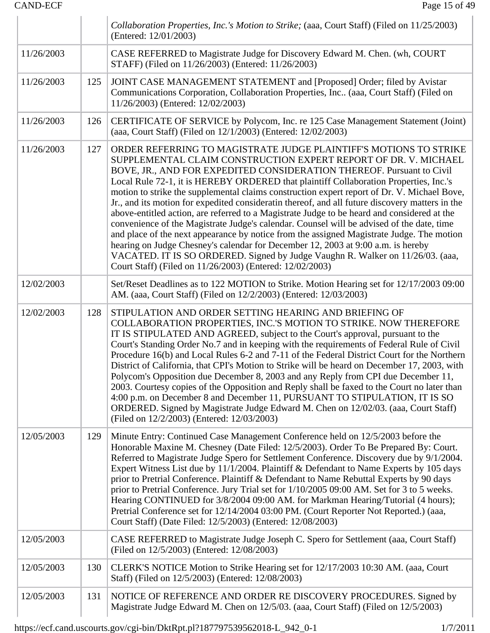| <b>CAND-ECF</b> |     | Page 15 of 49                                                                                                                                                                                                                                                                                                                                                                                                                                                                                                                                                                                                                                                                                                                                                                                                                                                                                                                                                                                                                       |
|-----------------|-----|-------------------------------------------------------------------------------------------------------------------------------------------------------------------------------------------------------------------------------------------------------------------------------------------------------------------------------------------------------------------------------------------------------------------------------------------------------------------------------------------------------------------------------------------------------------------------------------------------------------------------------------------------------------------------------------------------------------------------------------------------------------------------------------------------------------------------------------------------------------------------------------------------------------------------------------------------------------------------------------------------------------------------------------|
|                 |     | Collaboration Properties, Inc.'s Motion to Strike; (aaa, Court Staff) (Filed on 11/25/2003)<br>(Entered: 12/01/2003)                                                                                                                                                                                                                                                                                                                                                                                                                                                                                                                                                                                                                                                                                                                                                                                                                                                                                                                |
| 11/26/2003      |     | CASE REFERRED to Magistrate Judge for Discovery Edward M. Chen. (wh, COURT<br>STAFF) (Filed on 11/26/2003) (Entered: 11/26/2003)                                                                                                                                                                                                                                                                                                                                                                                                                                                                                                                                                                                                                                                                                                                                                                                                                                                                                                    |
| 11/26/2003      | 125 | JOINT CASE MANAGEMENT STATEMENT and [Proposed] Order; filed by Avistar<br>Communications Corporation, Collaboration Properties, Inc (aaa, Court Staff) (Filed on<br>11/26/2003) (Entered: 12/02/2003)                                                                                                                                                                                                                                                                                                                                                                                                                                                                                                                                                                                                                                                                                                                                                                                                                               |
| 11/26/2003      | 126 | CERTIFICATE OF SERVICE by Polycom, Inc. re 125 Case Management Statement (Joint)<br>(aaa, Court Staff) (Filed on 12/1/2003) (Entered: 12/02/2003)                                                                                                                                                                                                                                                                                                                                                                                                                                                                                                                                                                                                                                                                                                                                                                                                                                                                                   |
| 11/26/2003      | 127 | ORDER REFERRING TO MAGISTRATE JUDGE PLAINTIFF'S MOTIONS TO STRIKE<br>SUPPLEMENTAL CLAIM CONSTRUCTION EXPERT REPORT OF DR. V. MICHAEL<br>BOVE, JR., AND FOR EXPEDITED CONSIDERATION THEREOF. Pursuant to Civil<br>Local Rule 72-1, it is HEREBY ORDERED that plaintiff Collaboration Properties, Inc.'s<br>motion to strike the supplemental claims construction expert report of Dr. V. Michael Bove,<br>Jr., and its motion for expedited consideratin thereof, and all future discovery matters in the<br>above-entitled action, are referred to a Magistrate Judge to be heard and considered at the<br>convenience of the Magistrate Judge's calendar. Counsel will be advised of the date, time<br>and place of the next appearance by notice from the assigned Magistrate Judge. The motion<br>hearing on Judge Chesney's calendar for December 12, 2003 at 9:00 a.m. is hereby<br>VACATED. IT IS SO ORDERED. Signed by Judge Vaughn R. Walker on 11/26/03. (aaa,<br>Court Staff) (Filed on 11/26/2003) (Entered: 12/02/2003) |
| 12/02/2003      |     | Set/Reset Deadlines as to 122 MOTION to Strike. Motion Hearing set for 12/17/2003 09:00<br>AM. (aaa, Court Staff) (Filed on 12/2/2003) (Entered: 12/03/2003)                                                                                                                                                                                                                                                                                                                                                                                                                                                                                                                                                                                                                                                                                                                                                                                                                                                                        |
| 12/02/2003      | 128 | STIPULATION AND ORDER SETTING HEARING AND BRIEFING OF<br>COLLABORATION PROPERTIES, INC.'S MOTION TO STRIKE. NOW THEREFORE<br>IT IS STIPULATED AND AGREED, subject to the Court's approval, pursuant to the<br>Court's Standing Order No.7 and in keeping with the requirements of Federal Rule of Civil<br>Procedure 16(b) and Local Rules 6-2 and 7-11 of the Federal District Court for the Northern<br>District of California, that CPI's Motion to Strike will be heard on December 17, 2003, with<br>Polycom's Opposition due December 8, 2003 and any Reply from CPI due December 11,<br>2003. Courtesy copies of the Opposition and Reply shall be faxed to the Court no later than<br>4:00 p.m. on December 8 and December 11, PURSUANT TO STIPULATION, IT IS SO<br>ORDERED. Signed by Magistrate Judge Edward M. Chen on 12/02/03. (aaa, Court Staff)<br>(Filed on 12/2/2003) (Entered: 12/03/2003)                                                                                                                        |
| 12/05/2003      | 129 | Minute Entry: Continued Case Management Conference held on 12/5/2003 before the<br>Honorable Maxine M. Chesney (Date Filed: 12/5/2003). Order To Be Prepared By: Court.<br>Referred to Magistrate Judge Spero for Settlement Conference. Discovery due by 9/1/2004.<br>Expert Witness List due by 11/1/2004. Plaintiff & Defendant to Name Experts by 105 days<br>prior to Pretrial Conference. Plaintiff & Defendant to Name Rebuttal Experts by 90 days<br>prior to Pretrial Conference. Jury Trial set for 1/10/2005 09:00 AM. Set for 3 to 5 weeks.<br>Hearing CONTINUED for 3/8/2004 09:00 AM. for Markman Hearing/Tutorial (4 hours);<br>Pretrial Conference set for 12/14/2004 03:00 PM. (Court Reporter Not Reported.) (aaa,<br>Court Staff) (Date Filed: 12/5/2003) (Entered: 12/08/2003)                                                                                                                                                                                                                                  |
| 12/05/2003      |     | CASE REFERRED to Magistrate Judge Joseph C. Spero for Settlement (aaa, Court Staff)<br>(Filed on 12/5/2003) (Entered: 12/08/2003)                                                                                                                                                                                                                                                                                                                                                                                                                                                                                                                                                                                                                                                                                                                                                                                                                                                                                                   |
| 12/05/2003      | 130 | CLERK'S NOTICE Motion to Strike Hearing set for 12/17/2003 10:30 AM. (aaa, Court<br>Staff) (Filed on 12/5/2003) (Entered: 12/08/2003)                                                                                                                                                                                                                                                                                                                                                                                                                                                                                                                                                                                                                                                                                                                                                                                                                                                                                               |
| 12/05/2003      | 131 | NOTICE OF REFERENCE AND ORDER RE DISCOVERY PROCEDURES. Signed by<br>Magistrate Judge Edward M. Chen on 12/5/03. (aaa, Court Staff) (Filed on 12/5/2003)                                                                                                                                                                                                                                                                                                                                                                                                                                                                                                                                                                                                                                                                                                                                                                                                                                                                             |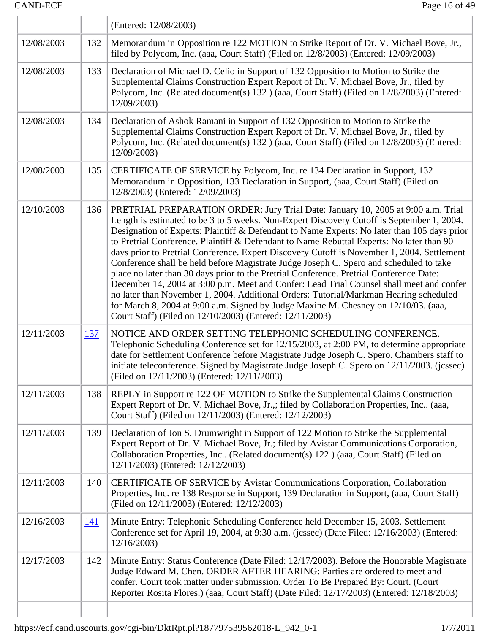|            |            | (Entered: 12/08/2003)                                                                                                                                                                                                                                                                                                                                                                                                                                                                                                                                                                                                                                                                                                                                                                                                                                                                                                                                                                               |
|------------|------------|-----------------------------------------------------------------------------------------------------------------------------------------------------------------------------------------------------------------------------------------------------------------------------------------------------------------------------------------------------------------------------------------------------------------------------------------------------------------------------------------------------------------------------------------------------------------------------------------------------------------------------------------------------------------------------------------------------------------------------------------------------------------------------------------------------------------------------------------------------------------------------------------------------------------------------------------------------------------------------------------------------|
| 12/08/2003 | 132        | Memorandum in Opposition re 122 MOTION to Strike Report of Dr. V. Michael Bove, Jr.,<br>filed by Polycom, Inc. (aaa, Court Staff) (Filed on 12/8/2003) (Entered: 12/09/2003)                                                                                                                                                                                                                                                                                                                                                                                                                                                                                                                                                                                                                                                                                                                                                                                                                        |
| 12/08/2003 | 133        | Declaration of Michael D. Celio in Support of 132 Opposition to Motion to Strike the<br>Supplemental Claims Construction Expert Report of Dr. V. Michael Bove, Jr., filed by<br>Polycom, Inc. (Related document(s) 132 ) (aaa, Court Staff) (Filed on 12/8/2003) (Entered:<br>12/09/2003)                                                                                                                                                                                                                                                                                                                                                                                                                                                                                                                                                                                                                                                                                                           |
| 12/08/2003 | 134        | Declaration of Ashok Ramani in Support of 132 Opposition to Motion to Strike the<br>Supplemental Claims Construction Expert Report of Dr. V. Michael Bove, Jr., filed by<br>Polycom, Inc. (Related document(s) 132 ) (aaa, Court Staff) (Filed on 12/8/2003) (Entered:<br>12/09/2003)                                                                                                                                                                                                                                                                                                                                                                                                                                                                                                                                                                                                                                                                                                               |
| 12/08/2003 | 135        | CERTIFICATE OF SERVICE by Polycom, Inc. re 134 Declaration in Support, 132<br>Memorandum in Opposition, 133 Declaration in Support, (aaa, Court Staff) (Filed on<br>12/8/2003) (Entered: 12/09/2003)                                                                                                                                                                                                                                                                                                                                                                                                                                                                                                                                                                                                                                                                                                                                                                                                |
| 12/10/2003 | 136        | PRETRIAL PREPARATION ORDER: Jury Trial Date: January 10, 2005 at 9:00 a.m. Trial<br>Length is estimated to be 3 to 5 weeks. Non-Expert Discovery Cutoff is September 1, 2004.<br>Designation of Experts: Plaintiff & Defendant to Name Experts: No later than 105 days prior<br>to Pretrial Conference. Plaintiff & Defendant to Name Rebuttal Experts: No later than 90<br>days prior to Pretrial Conference. Expert Discovery Cutoff is November 1, 2004. Settlement<br>Conference shall be held before Magistrate Judge Joseph C. Spero and scheduled to take<br>place no later than 30 days prior to the Pretrial Conference. Pretrial Conference Date:<br>December 14, 2004 at 3:00 p.m. Meet and Confer: Lead Trial Counsel shall meet and confer<br>no later than November 1, 2004. Additional Orders: Tutorial/Markman Hearing scheduled<br>for March 8, 2004 at 9:00 a.m. Signed by Judge Maxine M. Chesney on 12/10/03. (aaa,<br>Court Staff) (Filed on 12/10/2003) (Entered: 12/11/2003) |
| 12/11/2003 | 137        | NOTICE AND ORDER SETTING TELEPHONIC SCHEDULING CONFERENCE.<br>Telephonic Scheduling Conference set for 12/15/2003, at 2:00 PM, to determine appropriate<br>date for Settlement Conference before Magistrate Judge Joseph C. Spero. Chambers staff to<br>initiate teleconference. Signed by Magistrate Judge Joseph C. Spero on 12/11/2003. (jcssec)<br>(Filed on 12/11/2003) (Entered: 12/11/2003)                                                                                                                                                                                                                                                                                                                                                                                                                                                                                                                                                                                                  |
| 12/11/2003 | 138        | REPLY in Support re 122 OF MOTION to Strike the Supplemental Claims Construction<br>Expert Report of Dr. V. Michael Bove, Jr.,; filed by Collaboration Properties, Inc (aaa,<br>Court Staff) (Filed on 12/11/2003) (Entered: 12/12/2003)                                                                                                                                                                                                                                                                                                                                                                                                                                                                                                                                                                                                                                                                                                                                                            |
| 12/11/2003 | 139        | Declaration of Jon S. Drumwright in Support of 122 Motion to Strike the Supplemental<br>Expert Report of Dr. V. Michael Bove, Jr.; filed by Avistar Communications Corporation,<br>Collaboration Properties, Inc (Related document(s) 122) (aaa, Court Staff) (Filed on<br>12/11/2003) (Entered: 12/12/2003)                                                                                                                                                                                                                                                                                                                                                                                                                                                                                                                                                                                                                                                                                        |
| 12/11/2003 | 140        | CERTIFICATE OF SERVICE by Avistar Communications Corporation, Collaboration<br>Properties, Inc. re 138 Response in Support, 139 Declaration in Support, (aaa, Court Staff)<br>(Filed on 12/11/2003) (Entered: 12/12/2003)                                                                                                                                                                                                                                                                                                                                                                                                                                                                                                                                                                                                                                                                                                                                                                           |
| 12/16/2003 | <u>141</u> | Minute Entry: Telephonic Scheduling Conference held December 15, 2003. Settlement<br>Conference set for April 19, 2004, at 9:30 a.m. (jcssec) (Date Filed: 12/16/2003) (Entered:<br>12/16/2003                                                                                                                                                                                                                                                                                                                                                                                                                                                                                                                                                                                                                                                                                                                                                                                                      |
| 12/17/2003 | 142        | Minute Entry: Status Conference (Date Filed: 12/17/2003). Before the Honorable Magistrate<br>Judge Edward M. Chen. ORDER AFTER HEARING: Parties are ordered to meet and<br>confer. Court took matter under submission. Order To Be Prepared By: Court. (Court<br>Reporter Rosita Flores.) (aaa, Court Staff) (Date Filed: 12/17/2003) (Entered: 12/18/2003)                                                                                                                                                                                                                                                                                                                                                                                                                                                                                                                                                                                                                                         |
|            |            |                                                                                                                                                                                                                                                                                                                                                                                                                                                                                                                                                                                                                                                                                                                                                                                                                                                                                                                                                                                                     |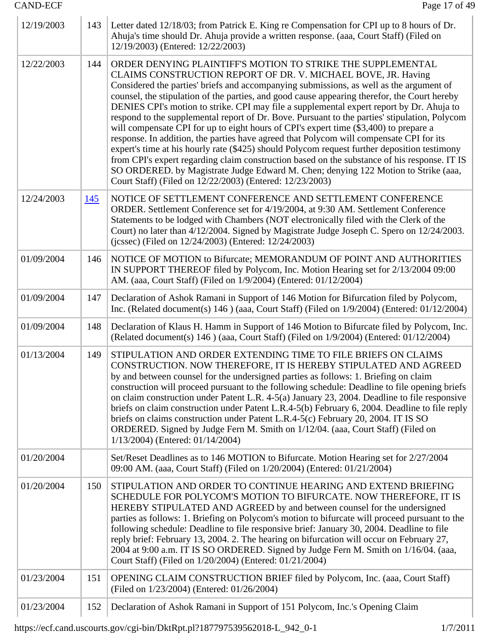| 12/19/2003 | 143 | Letter dated 12/18/03; from Patrick E. King re Compensation for CPI up to 8 hours of Dr.<br>Ahuja's time should Dr. Ahuja provide a written response. (aaa, Court Staff) (Filed on<br>12/19/2003) (Entered: 12/22/2003)                                                                                                                                                                                                                                                                                                                                                                                                                                                                                                                                                                                                                                                                                                                                                                                                                                    |
|------------|-----|------------------------------------------------------------------------------------------------------------------------------------------------------------------------------------------------------------------------------------------------------------------------------------------------------------------------------------------------------------------------------------------------------------------------------------------------------------------------------------------------------------------------------------------------------------------------------------------------------------------------------------------------------------------------------------------------------------------------------------------------------------------------------------------------------------------------------------------------------------------------------------------------------------------------------------------------------------------------------------------------------------------------------------------------------------|
| 12/22/2003 | 144 | ORDER DENYING PLAINTIFF'S MOTION TO STRIKE THE SUPPLEMENTAL<br>CLAIMS CONSTRUCTION REPORT OF DR. V. MICHAEL BOVE, JR. Having<br>Considered the parties' briefs and accompanying submissions, as well as the argument of<br>counsel, the stipulation of the parties, and good cause appearing therefor, the Court hereby<br>DENIES CPI's motion to strike. CPI may file a supplemental expert report by Dr. Ahuja to<br>respond to the supplemental report of Dr. Bove. Pursuant to the parties' stipulation, Polycom<br>will compensate CPI for up to eight hours of CPI's expert time (\$3,400) to prepare a<br>response. In addition, the parties have agreed that Polycom will compensate CPI for its<br>expert's time at his hourly rate (\$425) should Polycom request further deposition testimony<br>from CPI's expert regarding claim construction based on the substance of his response. IT IS<br>SO ORDERED. by Magistrate Judge Edward M. Chen; denying 122 Motion to Strike (aaa,<br>Court Staff) (Filed on 12/22/2003) (Entered: 12/23/2003) |
| 12/24/2003 | 145 | NOTICE OF SETTLEMENT CONFERENCE AND SETTLEMENT CONFERENCE<br>ORDER. Settlement Conference set for 4/19/2004, at 9:30 AM. Settlement Conference<br>Statements to be lodged with Chambers (NOT electronically filed with the Clerk of the<br>Court) no later than 4/12/2004. Signed by Magistrate Judge Joseph C. Spero on 12/24/2003.<br>(jcssec) (Filed on 12/24/2003) (Entered: 12/24/2003)                                                                                                                                                                                                                                                                                                                                                                                                                                                                                                                                                                                                                                                               |
| 01/09/2004 | 146 | NOTICE OF MOTION to Bifurcate; MEMORANDUM OF POINT AND AUTHORITIES<br>IN SUPPORT THEREOF filed by Polycom, Inc. Motion Hearing set for 2/13/2004 09:00<br>AM. (aaa, Court Staff) (Filed on 1/9/2004) (Entered: 01/12/2004)                                                                                                                                                                                                                                                                                                                                                                                                                                                                                                                                                                                                                                                                                                                                                                                                                                 |
| 01/09/2004 | 147 | Declaration of Ashok Ramani in Support of 146 Motion for Bifurcation filed by Polycom,<br>Inc. (Related document(s) $146$ ) (aaa, Court Staff) (Filed on $1/9/2004$ ) (Entered: $01/12/2004$ )                                                                                                                                                                                                                                                                                                                                                                                                                                                                                                                                                                                                                                                                                                                                                                                                                                                             |
| 01/09/2004 | 148 | Declaration of Klaus H. Hamm in Support of 146 Motion to Bifurcate filed by Polycom, Inc.<br>(Related document(s) 146) (aaa, Court Staff) (Filed on 1/9/2004) (Entered: 01/12/2004)                                                                                                                                                                                                                                                                                                                                                                                                                                                                                                                                                                                                                                                                                                                                                                                                                                                                        |
| 01/13/2004 | 149 | STIPULATION AND ORDER EXTENDING TIME TO FILE BRIEFS ON CLAIMS<br>CONSTRUCTION. NOW THEREFORE, IT IS HEREBY STIPULATED AND AGREED<br>by and between counsel for the undersigned parties as follows: 1. Briefing on claim<br>construction will proceed pursuant to the following schedule: Deadline to file opening briefs<br>on claim construction under Patent L.R. 4-5(a) January 23, 2004. Deadline to file responsive<br>briefs on claim construction under Patent L.R.4-5(b) February 6, 2004. Deadline to file reply<br>briefs on claims construction under Patent L.R.4-5(c) February 20, 2004. IT IS SO<br>ORDERED. Signed by Judge Fern M. Smith on 1/12/04. (aaa, Court Staff) (Filed on<br>1/13/2004) (Entered: 01/14/2004)                                                                                                                                                                                                                                                                                                                      |
| 01/20/2004 |     | Set/Reset Deadlines as to 146 MOTION to Bifurcate. Motion Hearing set for 2/27/2004<br>09:00 AM. (aaa, Court Staff) (Filed on 1/20/2004) (Entered: 01/21/2004)                                                                                                                                                                                                                                                                                                                                                                                                                                                                                                                                                                                                                                                                                                                                                                                                                                                                                             |
| 01/20/2004 | 150 | STIPULATION AND ORDER TO CONTINUE HEARING AND EXTEND BRIEFING<br>SCHEDULE FOR POLYCOM'S MOTION TO BIFURCATE. NOW THEREFORE, IT IS<br>HEREBY STIPULATED AND AGREED by and between counsel for the undersigned<br>parties as follows: 1. Briefing on Polycom's motion to bifurcate will proceed pursuant to the<br>following schedule: Deadline to file responsive brief: January 30, 2004. Deadline to file<br>reply brief: February 13, 2004. 2. The hearing on bifurcation will occur on February 27,<br>2004 at 9:00 a.m. IT IS SO ORDERED. Signed by Judge Fern M. Smith on 1/16/04. (aaa,<br>Court Staff) (Filed on 1/20/2004) (Entered: 01/21/2004)                                                                                                                                                                                                                                                                                                                                                                                                   |
| 01/23/2004 | 151 | OPENING CLAIM CONSTRUCTION BRIEF filed by Polycom, Inc. (aaa, Court Staff)<br>(Filed on 1/23/2004) (Entered: 01/26/2004)                                                                                                                                                                                                                                                                                                                                                                                                                                                                                                                                                                                                                                                                                                                                                                                                                                                                                                                                   |
| 01/23/2004 | 152 | Declaration of Ashok Ramani in Support of 151 Polycom, Inc.'s Opening Claim                                                                                                                                                                                                                                                                                                                                                                                                                                                                                                                                                                                                                                                                                                                                                                                                                                                                                                                                                                                |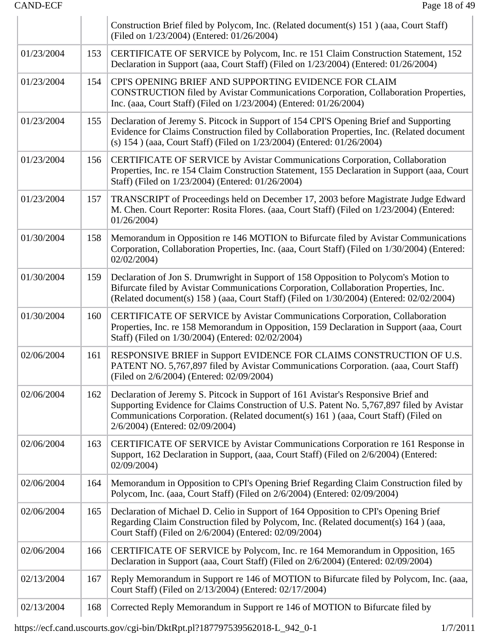|            |     | Construction Brief filed by Polycom, Inc. (Related document(s) 151) (aaa, Court Staff)<br>(Filed on 1/23/2004) (Entered: 01/26/2004)                                                                                                                                                                    |
|------------|-----|---------------------------------------------------------------------------------------------------------------------------------------------------------------------------------------------------------------------------------------------------------------------------------------------------------|
| 01/23/2004 | 153 | CERTIFICATE OF SERVICE by Polycom, Inc. re 151 Claim Construction Statement, 152<br>Declaration in Support (aaa, Court Staff) (Filed on 1/23/2004) (Entered: 01/26/2004)                                                                                                                                |
| 01/23/2004 | 154 | CPI'S OPENING BRIEF AND SUPPORTING EVIDENCE FOR CLAIM<br>CONSTRUCTION filed by Avistar Communications Corporation, Collaboration Properties,<br>Inc. (aaa, Court Staff) (Filed on 1/23/2004) (Entered: 01/26/2004)                                                                                      |
| 01/23/2004 | 155 | Declaration of Jeremy S. Pitcock in Support of 154 CPI'S Opening Brief and Supporting<br>Evidence for Claims Construction filed by Collaboration Properties, Inc. (Related document<br>(s) 154 ) (aaa, Court Staff) (Filed on 1/23/2004) (Entered: 01/26/2004)                                          |
| 01/23/2004 | 156 | CERTIFICATE OF SERVICE by Avistar Communications Corporation, Collaboration<br>Properties, Inc. re 154 Claim Construction Statement, 155 Declaration in Support (aaa, Court<br>Staff) (Filed on 1/23/2004) (Entered: 01/26/2004)                                                                        |
| 01/23/2004 | 157 | TRANSCRIPT of Proceedings held on December 17, 2003 before Magistrate Judge Edward<br>M. Chen. Court Reporter: Rosita Flores. (aaa, Court Staff) (Filed on 1/23/2004) (Entered:<br>01/26/2004                                                                                                           |
| 01/30/2004 | 158 | Memorandum in Opposition re 146 MOTION to Bifurcate filed by Avistar Communications<br>Corporation, Collaboration Properties, Inc. (aaa, Court Staff) (Filed on 1/30/2004) (Entered:<br>02/02/2004                                                                                                      |
| 01/30/2004 | 159 | Declaration of Jon S. Drumwright in Support of 158 Opposition to Polycom's Motion to<br>Bifurcate filed by Avistar Communications Corporation, Collaboration Properties, Inc.<br>(Related document(s) 158 ) (aaa, Court Staff) (Filed on 1/30/2004) (Entered: 02/02/2004)                               |
| 01/30/2004 | 160 | CERTIFICATE OF SERVICE by Avistar Communications Corporation, Collaboration<br>Properties, Inc. re 158 Memorandum in Opposition, 159 Declaration in Support (aaa, Court<br>Staff) (Filed on 1/30/2004) (Entered: 02/02/2004)                                                                            |
| 02/06/2004 | 161 | RESPONSIVE BRIEF in Support EVIDENCE FOR CLAIMS CONSTRUCTION OF U.S.<br>PATENT NO. 5,767,897 filed by Avistar Communications Corporation. (aaa, Court Staff)<br>(Filed on 2/6/2004) (Entered: 02/09/2004)                                                                                               |
| 02/06/2004 | 162 | Declaration of Jeremy S. Pitcock in Support of 161 Avistar's Responsive Brief and<br>Supporting Evidence for Claims Construction of U.S. Patent No. 5,767,897 filed by Avistar<br>Communications Corporation. (Related document(s) 161) (aaa, Court Staff) (Filed on<br>2/6/2004) (Entered: 02/09/2004) |
| 02/06/2004 | 163 | CERTIFICATE OF SERVICE by Avistar Communications Corporation re 161 Response in<br>Support, 162 Declaration in Support, (aaa, Court Staff) (Filed on 2/6/2004) (Entered:<br>02/09/2004                                                                                                                  |
| 02/06/2004 | 164 | Memorandum in Opposition to CPI's Opening Brief Regarding Claim Construction filed by<br>Polycom, Inc. (aaa, Court Staff) (Filed on 2/6/2004) (Entered: 02/09/2004)                                                                                                                                     |
| 02/06/2004 | 165 | Declaration of Michael D. Celio in Support of 164 Opposition to CPI's Opening Brief<br>Regarding Claim Construction filed by Polycom, Inc. (Related document(s) 164) (aaa,<br>Court Staff) (Filed on 2/6/2004) (Entered: 02/09/2004)                                                                    |
| 02/06/2004 | 166 | CERTIFICATE OF SERVICE by Polycom, Inc. re 164 Memorandum in Opposition, 165<br>Declaration in Support (aaa, Court Staff) (Filed on 2/6/2004) (Entered: 02/09/2004)                                                                                                                                     |
| 02/13/2004 | 167 | Reply Memorandum in Support re 146 of MOTION to Bifurcate filed by Polycom, Inc. (aaa,<br>Court Staff) (Filed on 2/13/2004) (Entered: 02/17/2004)                                                                                                                                                       |
| 02/13/2004 | 168 | Corrected Reply Memorandum in Support re 146 of MOTION to Bifurcate filed by                                                                                                                                                                                                                            |

https://ecf.cand.uscourts.gov/cgi-bin/DktRpt.pl?187797539562018-L\_942\_0-1 1/7/2011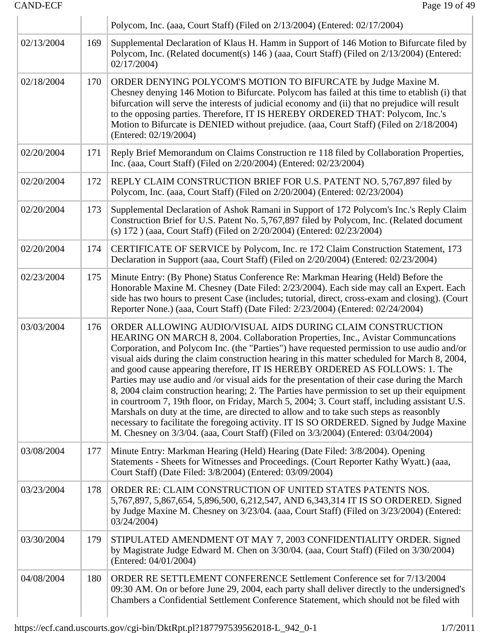|            |     | Polycom, Inc. (aaa, Court Staff) (Filed on 2/13/2004) (Entered: 02/17/2004)                                                                                                                                                                                                                                                                                                                                                                                                                                                                                                                                                                                                                                                                                                                                                                                                                                                                                                                                  |
|------------|-----|--------------------------------------------------------------------------------------------------------------------------------------------------------------------------------------------------------------------------------------------------------------------------------------------------------------------------------------------------------------------------------------------------------------------------------------------------------------------------------------------------------------------------------------------------------------------------------------------------------------------------------------------------------------------------------------------------------------------------------------------------------------------------------------------------------------------------------------------------------------------------------------------------------------------------------------------------------------------------------------------------------------|
| 02/13/2004 | 169 | Supplemental Declaration of Klaus H. Hamm in Support of 146 Motion to Bifurcate filed by<br>Polycom, Inc. (Related document(s) 146 ) (aaa, Court Staff) (Filed on 2/13/2004) (Entered:<br>02/17/2004                                                                                                                                                                                                                                                                                                                                                                                                                                                                                                                                                                                                                                                                                                                                                                                                         |
| 02/18/2004 | 170 | ORDER DENYING POLYCOM'S MOTION TO BIFURCATE by Judge Maxine M.<br>Chesney denying 146 Motion to Bifurcate. Polycom has failed at this time to etablish (i) that<br>bifurcation will serve the interests of judicial economy and (ii) that no prejudice will result<br>to the opposing parties. Therefore, IT IS HEREBY ORDERED THAT: Polycom, Inc.'s<br>Motion to Bifurcate is DENIED without prejudice. (aaa, Court Staff) (Filed on 2/18/2004)<br>(Entered: 02/19/2004)                                                                                                                                                                                                                                                                                                                                                                                                                                                                                                                                    |
| 02/20/2004 | 171 | Reply Brief Memorandum on Claims Construction re 118 filed by Collaboration Properties,<br>Inc. (aaa, Court Staff) (Filed on 2/20/2004) (Entered: 02/23/2004)                                                                                                                                                                                                                                                                                                                                                                                                                                                                                                                                                                                                                                                                                                                                                                                                                                                |
| 02/20/2004 | 172 | REPLY CLAIM CONSTRUCTION BRIEF FOR U.S. PATENT NO. 5,767,897 filed by<br>Polycom, Inc. (aaa, Court Staff) (Filed on 2/20/2004) (Entered: 02/23/2004)                                                                                                                                                                                                                                                                                                                                                                                                                                                                                                                                                                                                                                                                                                                                                                                                                                                         |
| 02/20/2004 | 173 | Supplemental Declaration of Ashok Ramani in Support of 172 Polycom's Inc.'s Reply Claim<br>Construction Brief for U.S. Patent No. 5,767,897 filed by Polycom, Inc. (Related document<br>(s) 172 ) (aaa, Court Staff) (Filed on 2/20/2004) (Entered: 02/23/2004)                                                                                                                                                                                                                                                                                                                                                                                                                                                                                                                                                                                                                                                                                                                                              |
| 02/20/2004 | 174 | CERTIFICATE OF SERVICE by Polycom, Inc. re 172 Claim Construction Statement, 173<br>Declaration in Support (aaa, Court Staff) (Filed on 2/20/2004) (Entered: 02/23/2004)                                                                                                                                                                                                                                                                                                                                                                                                                                                                                                                                                                                                                                                                                                                                                                                                                                     |
| 02/23/2004 | 175 | Minute Entry: (By Phone) Status Conference Re: Markman Hearing (Held) Before the<br>Honorable Maxine M. Chesney (Date Filed: 2/23/2004). Each side may call an Expert. Each<br>side has two hours to present Case (includes; tutorial, direct, cross-exam and closing). (Court<br>Reporter None.) (aaa, Court Staff) (Date Filed: 2/23/2004) (Entered: 02/24/2004)                                                                                                                                                                                                                                                                                                                                                                                                                                                                                                                                                                                                                                           |
| 03/03/2004 | 176 | ORDER ALLOWING AUDIO/VISUAL AIDS DURING CLAIM CONSTRUCTION<br>HEARING ON MARCH 8, 2004. Collaboration Properties, Inc., Avistar Communcations<br>Corporation, and Polycom Inc. (the "Parties") have requested permission to use audio and/or<br>visual aids during the claim construction hearing in this matter scheduled for March 8, 2004,<br>and good cause appearing therefore, IT IS HEREBY ORDERED AS FOLLOWS: 1. The<br>Parties may use audio and /or visual aids for the presentation of their case during the March<br>8, 2004 claim construction hearing; 2. The Parties have permission to set up their equipment<br>in courtroom 7, 19th floor, on Friday, March 5, 2004; 3. Court staff, including assistant U.S.<br>Marshals on duty at the time, are directed to allow and to take such steps as reasonbly<br>necessary to facilitate the foregoing activity. IT IS SO ORDERED. Signed by Judge Maxine<br>M. Chesney on 3/3/04. (aaa, Court Staff) (Filed on 3/3/2004) (Entered: 03/04/2004) |
| 03/08/2004 | 177 | Minute Entry: Markman Hearing (Held) Hearing (Date Filed: 3/8/2004). Opening<br>Statements - Sheets for Witnesses and Proceedings. (Court Reporter Kathy Wyatt.) (aaa,<br>Court Staff) (Date Filed: 3/8/2004) (Entered: 03/09/2004)                                                                                                                                                                                                                                                                                                                                                                                                                                                                                                                                                                                                                                                                                                                                                                          |
| 03/23/2004 | 178 | ORDER RE: CLAIM CONSTRUCTION OF UNITED STATES PATENTS NOS.<br>5,767,897, 5,867,654, 5,896,500, 6,212,547, AND 6,343,314 IT IS SO ORDERED. Signed<br>by Judge Maxine M. Chesney on 3/23/04. (aaa, Court Staff) (Filed on 3/23/2004) (Entered:<br>03/24/2004                                                                                                                                                                                                                                                                                                                                                                                                                                                                                                                                                                                                                                                                                                                                                   |
| 03/30/2004 | 179 | STIPULATED AMENDMENT OT MAY 7, 2003 CONFIDENTIALITY ORDER. Signed<br>by Magistrate Judge Edward M. Chen on 3/30/04. (aaa, Court Staff) (Filed on 3/30/2004)<br>(Entered: 04/01/2004)                                                                                                                                                                                                                                                                                                                                                                                                                                                                                                                                                                                                                                                                                                                                                                                                                         |
| 04/08/2004 | 180 | ORDER RE SETTLEMENT CONFERENCE Settlement Conference set for 7/13/2004<br>09:30 AM. On or before June 29, 2004, each party shall deliver directly to the undersigned's<br>Chambers a Confidential Settlement Conference Statement, which should not be filed with                                                                                                                                                                                                                                                                                                                                                                                                                                                                                                                                                                                                                                                                                                                                            |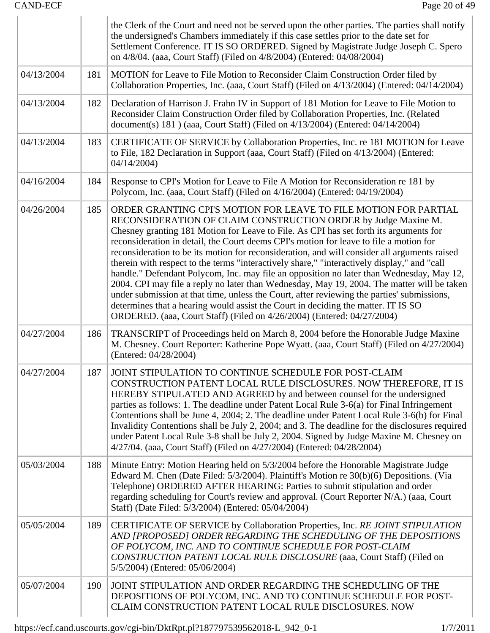|            |     | the Clerk of the Court and need not be served upon the other parties. The parties shall notify<br>the undersigned's Chambers immediately if this case settles prior to the date set for<br>Settlement Conference. IT IS SO ORDERED. Signed by Magistrate Judge Joseph C. Spero<br>on 4/8/04. (aaa, Court Staff) (Filed on 4/8/2004) (Entered: 04/08/2004)                                                                                                                                                                                                                                                                                                                                                                                                                                                                                                                                                                                                                   |
|------------|-----|-----------------------------------------------------------------------------------------------------------------------------------------------------------------------------------------------------------------------------------------------------------------------------------------------------------------------------------------------------------------------------------------------------------------------------------------------------------------------------------------------------------------------------------------------------------------------------------------------------------------------------------------------------------------------------------------------------------------------------------------------------------------------------------------------------------------------------------------------------------------------------------------------------------------------------------------------------------------------------|
| 04/13/2004 | 181 | MOTION for Leave to File Motion to Reconsider Claim Construction Order filed by<br>Collaboration Properties, Inc. (aaa, Court Staff) (Filed on 4/13/2004) (Entered: 04/14/2004)                                                                                                                                                                                                                                                                                                                                                                                                                                                                                                                                                                                                                                                                                                                                                                                             |
| 04/13/2004 | 182 | Declaration of Harrison J. Frahn IV in Support of 181 Motion for Leave to File Motion to<br>Reconsider Claim Construction Order filed by Collaboration Properties, Inc. (Related<br>document(s) $181$ ) (aaa, Court Staff) (Filed on $4/13/2004$ ) (Entered: 04/14/2004)                                                                                                                                                                                                                                                                                                                                                                                                                                                                                                                                                                                                                                                                                                    |
| 04/13/2004 | 183 | CERTIFICATE OF SERVICE by Collaboration Properties, Inc. re 181 MOTION for Leave<br>to File, 182 Declaration in Support (aaa, Court Staff) (Filed on 4/13/2004) (Entered:<br>04/14/2004                                                                                                                                                                                                                                                                                                                                                                                                                                                                                                                                                                                                                                                                                                                                                                                     |
| 04/16/2004 | 184 | Response to CPI's Motion for Leave to File A Motion for Reconsideration re 181 by<br>Polycom, Inc. (aaa, Court Staff) (Filed on 4/16/2004) (Entered: 04/19/2004)                                                                                                                                                                                                                                                                                                                                                                                                                                                                                                                                                                                                                                                                                                                                                                                                            |
| 04/26/2004 | 185 | ORDER GRANTING CPI'S MOTION FOR LEAVE TO FILE MOTION FOR PARTIAL<br>RECONSIDERATION OF CLAIM CONSTRUCTION ORDER by Judge Maxine M.<br>Chesney granting 181 Motion for Leave to File. As CPI has set forth its arguments for<br>reconsideration in detail, the Court deems CPI's motion for leave to file a motion for<br>reconsideration to be its motion for reconsideration, and will consider all arguments raised<br>therein with respect to the terms "interactively share," "interactively display," and "call<br>handle." Defendant Polycom, Inc. may file an opposition no later than Wednesday, May 12,<br>2004. CPI may file a reply no later than Wednesday, May 19, 2004. The matter will be taken<br>under submission at that time, unless the Court, after reviewing the parties' submissions,<br>determines that a hearing would assist the Court in deciding the matter. IT IS SO<br>ORDERED. (aaa, Court Staff) (Filed on 4/26/2004) (Entered: 04/27/2004) |
| 04/27/2004 | 186 | TRANSCRIPT of Proceedings held on March 8, 2004 before the Honorable Judge Maxine<br>M. Chesney. Court Reporter: Katherine Pope Wyatt. (aaa, Court Staff) (Filed on 4/27/2004)<br>(Entered: 04/28/2004)                                                                                                                                                                                                                                                                                                                                                                                                                                                                                                                                                                                                                                                                                                                                                                     |
| 04/27/2004 | 187 | JOINT STIPULATION TO CONTINUE SCHEDULE FOR POST-CLAIM<br>CONSTRUCTION PATENT LOCAL RULE DISCLOSURES. NOW THEREFORE, IT IS<br>HEREBY STIPULATED AND AGREED by and between counsel for the undersigned<br>parties as follows: 1. The deadline under Patent Local Rule 3-6(a) for Final Infringement<br>Contentions shall be June 4, 2004; 2. The deadline under Patent Local Rule 3-6(b) for Final<br>Invalidity Contentions shall be July 2, 2004; and 3. The deadline for the disclosures required<br>under Patent Local Rule 3-8 shall be July 2, 2004. Signed by Judge Maxine M. Chesney on<br>4/27/04. (aaa, Court Staff) (Filed on 4/27/2004) (Entered: 04/28/2004)                                                                                                                                                                                                                                                                                                     |
| 05/03/2004 | 188 | Minute Entry: Motion Hearing held on 5/3/2004 before the Honorable Magistrate Judge<br>Edward M. Chen (Date Filed: 5/3/2004). Plaintiff's Motion re 30(b)(6) Depositions. (Via<br>Telephone) ORDERED AFTER HEARING: Parties to submit stipulation and order<br>regarding scheduling for Court's review and approval. (Court Reporter N/A.) (aaa, Court<br>Staff) (Date Filed: 5/3/2004) (Entered: 05/04/2004)                                                                                                                                                                                                                                                                                                                                                                                                                                                                                                                                                               |
| 05/05/2004 | 189 | CERTIFICATE OF SERVICE by Collaboration Properties, Inc. RE JOINT STIPULATION<br>AND [PROPOSED] ORDER REGARDING THE SCHEDULING OF THE DEPOSITIONS<br>OF POLYCOM, INC. AND TO CONTINUE SCHEDULE FOR POST-CLAIM<br>CONSTRUCTION PATENT LOCAL RULE DISCLOSURE (aaa, Court Staff) (Filed on<br>5/5/2004) (Entered: 05/06/2004)                                                                                                                                                                                                                                                                                                                                                                                                                                                                                                                                                                                                                                                  |
| 05/07/2004 | 190 | JOINT STIPULATION AND ORDER REGARDING THE SCHEDULING OF THE<br>DEPOSITIONS OF POLYCOM, INC. AND TO CONTINUE SCHEDULE FOR POST-<br>CLAIM CONSTRUCTION PATENT LOCAL RULE DISCLOSURES. NOW                                                                                                                                                                                                                                                                                                                                                                                                                                                                                                                                                                                                                                                                                                                                                                                     |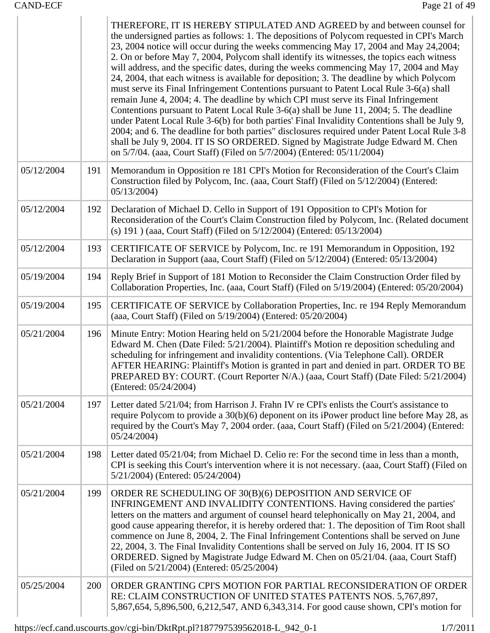$\mathbb{L}$ 

 $\overline{1}$ 

|            |     | THEREFORE, IT IS HEREBY STIPULATED AND AGREED by and between counsel for<br>the undersigned parties as follows: 1. The depositions of Polycom requested in CPI's March<br>23, 2004 notice will occur during the weeks commencing May 17, 2004 and May 24, 2004;<br>2. On or before May 7, 2004, Polycom shall identify its witnesses, the topics each witness<br>will address, and the specific dates, during the weeks commencing May 17, 2004 and May<br>24, 2004, that each witness is available for deposition; 3. The deadline by which Polycom<br>must serve its Final Infringement Contentions pursuant to Patent Local Rule 3-6(a) shall<br>remain June 4, 2004; 4. The deadline by which CPI must serve its Final Infringement<br>Contentions pursuant to Patent Local Rule 3-6(a) shall be June 11, 2004; 5. The deadline<br>under Patent Local Rule 3-6(b) for both parties' Final Invalidity Contentions shall be July 9,<br>2004; and 6. The deadline for both parties" disclosures required under Patent Local Rule 3-8<br>shall be July 9, 2004. IT IS SO ORDERED. Signed by Magistrate Judge Edward M. Chen<br>on 5/7/04. (aaa, Court Staff) (Filed on 5/7/2004) (Entered: 05/11/2004) |
|------------|-----|--------------------------------------------------------------------------------------------------------------------------------------------------------------------------------------------------------------------------------------------------------------------------------------------------------------------------------------------------------------------------------------------------------------------------------------------------------------------------------------------------------------------------------------------------------------------------------------------------------------------------------------------------------------------------------------------------------------------------------------------------------------------------------------------------------------------------------------------------------------------------------------------------------------------------------------------------------------------------------------------------------------------------------------------------------------------------------------------------------------------------------------------------------------------------------------------------------|
| 05/12/2004 | 191 | Memorandum in Opposition re 181 CPI's Motion for Reconsideration of the Court's Claim<br>Construction filed by Polycom, Inc. (aaa, Court Staff) (Filed on 5/12/2004) (Entered:<br>05/13/2004                                                                                                                                                                                                                                                                                                                                                                                                                                                                                                                                                                                                                                                                                                                                                                                                                                                                                                                                                                                                           |
| 05/12/2004 | 192 | Declaration of Michael D. Cello in Support of 191 Opposition to CPI's Motion for<br>Reconsideration of the Court's Claim Construction filed by Polycom, Inc. (Related document<br>(s) 191) (aaa, Court Staff) (Filed on 5/12/2004) (Entered: 05/13/2004)                                                                                                                                                                                                                                                                                                                                                                                                                                                                                                                                                                                                                                                                                                                                                                                                                                                                                                                                               |
| 05/12/2004 | 193 | CERTIFICATE OF SERVICE by Polycom, Inc. re 191 Memorandum in Opposition, 192<br>Declaration in Support (aaa, Court Staff) (Filed on 5/12/2004) (Entered: 05/13/2004)                                                                                                                                                                                                                                                                                                                                                                                                                                                                                                                                                                                                                                                                                                                                                                                                                                                                                                                                                                                                                                   |
| 05/19/2004 | 194 | Reply Brief in Support of 181 Motion to Reconsider the Claim Construction Order filed by<br>Collaboration Properties, Inc. (aaa, Court Staff) (Filed on 5/19/2004) (Entered: 05/20/2004)                                                                                                                                                                                                                                                                                                                                                                                                                                                                                                                                                                                                                                                                                                                                                                                                                                                                                                                                                                                                               |
| 05/19/2004 | 195 | CERTIFICATE OF SERVICE by Collaboration Properties, Inc. re 194 Reply Memorandum<br>(aaa, Court Staff) (Filed on 5/19/2004) (Entered: 05/20/2004)                                                                                                                                                                                                                                                                                                                                                                                                                                                                                                                                                                                                                                                                                                                                                                                                                                                                                                                                                                                                                                                      |
| 05/21/2004 | 196 | Minute Entry: Motion Hearing held on 5/21/2004 before the Honorable Magistrate Judge<br>Edward M. Chen (Date Filed: 5/21/2004). Plaintiff's Motion re deposition scheduling and<br>scheduling for infringement and invalidity contentions. (Via Telephone Call). ORDER<br>AFTER HEARING: Plaintiff's Motion is granted in part and denied in part. ORDER TO BE<br>PREPARED BY: COURT. (Court Reporter N/A.) (aaa, Court Staff) (Date Filed: 5/21/2004)<br>(Entered: 05/24/2004)                                                                                                                                                                                                                                                                                                                                                                                                                                                                                                                                                                                                                                                                                                                        |
| 05/21/2004 | 197 | Letter dated 5/21/04; from Harrison J. Frahn IV re CPI's enlists the Court's assistance to<br>require Polycom to provide a 30(b)(6) deponent on its iPower product line before May 28, as<br>required by the Court's May 7, 2004 order. (aaa, Court Staff) (Filed on 5/21/2004) (Entered:<br>05/24/2004                                                                                                                                                                                                                                                                                                                                                                                                                                                                                                                                                                                                                                                                                                                                                                                                                                                                                                |
| 05/21/2004 | 198 | Letter dated 05/21/04; from Michael D. Celio re: For the second time in less than a month,<br>CPI is seeking this Court's intervention where it is not necessary. (aaa, Court Staff) (Filed on<br>5/21/2004) (Entered: 05/24/2004)                                                                                                                                                                                                                                                                                                                                                                                                                                                                                                                                                                                                                                                                                                                                                                                                                                                                                                                                                                     |
| 05/21/2004 | 199 | ORDER RE SCHEDULING OF 30(B)(6) DEPOSITION AND SERVICE OF<br>INFRINGEMENT AND INVALIDITY CONTENTIONS. Having considered the parties'<br>letters on the matters and argument of counsel heard telephonically on May 21, 2004, and<br>good cause appearing therefor, it is hereby ordered that: 1. The deposition of Tim Root shall<br>commence on June 8, 2004, 2. The Final Infringement Contentions shall be served on June<br>22, 2004, 3. The Final Invalidity Contentions shall be served on July 16, 2004. IT IS SO<br>ORDERED. Signed by Magistrate Judge Edward M. Chen on 05/21/04. (aaa, Court Staff)<br>(Filed on 5/21/2004) (Entered: 05/25/2004)                                                                                                                                                                                                                                                                                                                                                                                                                                                                                                                                           |
| 05/25/2004 | 200 | ORDER GRANTING CPI'S MOTION FOR PARTIAL RECONSIDERATION OF ORDER<br>RE: CLAIM CONSTRUCTION OF UNITED STATES PATENTS NOS. 5,767,897,<br>5,867,654, 5,896,500, 6,212,547, AND 6,343,314. For good cause shown, CPI's motion for                                                                                                                                                                                                                                                                                                                                                                                                                                                                                                                                                                                                                                                                                                                                                                                                                                                                                                                                                                          |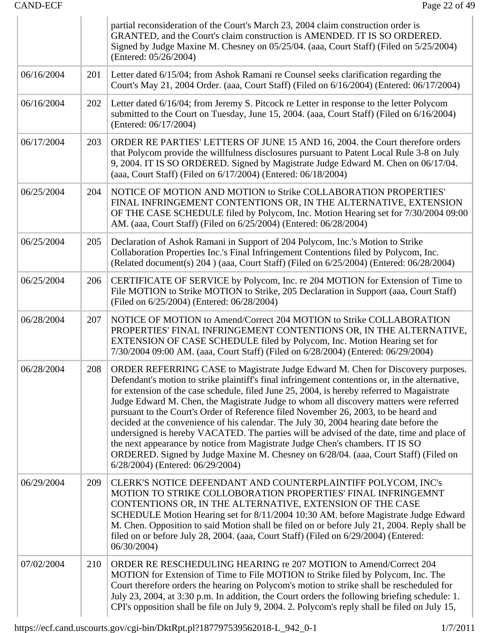|            |     | partial reconsideration of the Court's March 23, 2004 claim construction order is<br>GRANTED, and the Court's claim construction is AMENDED. IT IS SO ORDERED.<br>Signed by Judge Maxine M. Chesney on 05/25/04. (aaa, Court Staff) (Filed on 5/25/2004)<br>(Entered: 05/26/2004)                                                                                                                                                                                                                                                                                                                                                                                                                                                                                                                                                                                   |
|------------|-----|---------------------------------------------------------------------------------------------------------------------------------------------------------------------------------------------------------------------------------------------------------------------------------------------------------------------------------------------------------------------------------------------------------------------------------------------------------------------------------------------------------------------------------------------------------------------------------------------------------------------------------------------------------------------------------------------------------------------------------------------------------------------------------------------------------------------------------------------------------------------|
| 06/16/2004 | 201 | Letter dated 6/15/04; from Ashok Ramani re Counsel seeks clarification regarding the<br>Court's May 21, 2004 Order. (aaa, Court Staff) (Filed on 6/16/2004) (Entered: 06/17/2004)                                                                                                                                                                                                                                                                                                                                                                                                                                                                                                                                                                                                                                                                                   |
| 06/16/2004 | 202 | Letter dated 6/16/04; from Jeremy S. Pitcock re Letter in response to the letter Polycom<br>submitted to the Court on Tuesday, June 15, 2004. (aaa, Court Staff) (Filed on 6/16/2004)<br>(Entered: 06/17/2004)                                                                                                                                                                                                                                                                                                                                                                                                                                                                                                                                                                                                                                                      |
| 06/17/2004 | 203 | ORDER RE PARTIES' LETTERS OF JUNE 15 AND 16, 2004. the Court therefore orders<br>that Polycom provide the willfulness disclosures pursuant to Patent Local Rule 3-8 on July<br>9, 2004. IT IS SO ORDERED. Signed by Magistrate Judge Edward M. Chen on 06/17/04.<br>(aaa, Court Staff) (Filed on 6/17/2004) (Entered: 06/18/2004)                                                                                                                                                                                                                                                                                                                                                                                                                                                                                                                                   |
| 06/25/2004 | 204 | NOTICE OF MOTION AND MOTION to Strike COLLABORATION PROPERTIES'<br>FINAL INFRINGEMENT CONTENTIONS OR, IN THE ALTERNATIVE, EXTENSION<br>OF THE CASE SCHEDULE filed by Polycom, Inc. Motion Hearing set for 7/30/2004 09:00<br>AM. (aaa, Court Staff) (Filed on 6/25/2004) (Entered: 06/28/2004)                                                                                                                                                                                                                                                                                                                                                                                                                                                                                                                                                                      |
| 06/25/2004 | 205 | Declaration of Ashok Ramani in Support of 204 Polycom, Inc.'s Motion to Strike<br>Collaboration Properties Inc.'s Final Infringement Contentions filed by Polycom, Inc.<br>(Related document(s) 204) (aaa, Court Staff) (Filed on 6/25/2004) (Entered: 06/28/2004)                                                                                                                                                                                                                                                                                                                                                                                                                                                                                                                                                                                                  |
| 06/25/2004 | 206 | CERTIFICATE OF SERVICE by Polycom, Inc. re 204 MOTION for Extension of Time to<br>File MOTION to Strike MOTION to Strike, 205 Declaration in Support (aaa, Court Staff)<br>(Filed on 6/25/2004) (Entered: 06/28/2004)                                                                                                                                                                                                                                                                                                                                                                                                                                                                                                                                                                                                                                               |
| 06/28/2004 | 207 | NOTICE OF MOTION to Amend/Correct 204 MOTION to Strike COLLABORATION<br>PROPERTIES' FINAL INFRINGEMENT CONTENTIONS OR, IN THE ALTERNATIVE,<br>EXTENSION OF CASE SCHEDULE filed by Polycom, Inc. Motion Hearing set for<br>7/30/2004 09:00 AM. (aaa, Court Staff) (Filed on 6/28/2004) (Entered: 06/29/2004)                                                                                                                                                                                                                                                                                                                                                                                                                                                                                                                                                         |
| 06/28/2004 | 208 | ORDER REFERRING CASE to Magistrate Judge Edward M. Chen for Discovery purposes.<br>Defendant's motion to strike plaintiff's final infringement contentions or, in the alternative,<br>for extension of the case schedule, filed June 25, 2004, is hereby referred to Magaistrate<br>Judge Edward M. Chen, the Magistrate Judge to whom all discovery matters were referred<br>pursuant to the Court's Order of Reference filed November 26, 2003, to be heard and<br>decided at the convenience of his calendar. The July 30, 2004 hearing date before the<br>undersigned is hereby VACATED. The parties will be advised of the date, time and place of<br>the next appearance by notice from Magistrate Judge Chen's chambers. IT IS SO<br>ORDERED. Signed by Judge Maxine M. Chesney on 6/28/04. (aaa, Court Staff) (Filed on<br>6/28/2004) (Entered: 06/29/2004) |
| 06/29/2004 | 209 | CLERK'S NOTICE DEFENDANT AND COUNTERPLAINTIFF POLYCOM, INC's<br>MOTION TO STRIKE COLLOBORATION PROPERTIES' FINAL INFRINGEMNT<br>CONTENTIONS OR, IN THE ALTERNATIVE, EXTENSION OF THE CASE<br>SCHEDULE Motion Hearing set for 8/11/2004 10:30 AM. before Magistrate Judge Edward<br>M. Chen. Opposition to said Motion shall be filed on or before July 21, 2004. Reply shall be<br>filed on or before July 28, 2004. (aaa, Court Staff) (Filed on 6/29/2004) (Entered:<br>06/30/2004                                                                                                                                                                                                                                                                                                                                                                                |
| 07/02/2004 | 210 | ORDER RE RESCHEDULING HEARING re 207 MOTION to Amend/Correct 204<br>MOTION for Extension of Time to File MOTION to Strike filed by Polycom, Inc. The<br>Court therefore orders the hearing on Polycom's motion to strike shall be rescheduled for<br>July 23, 2004, at 3:30 p.m. In addition, the Court orders the following briefing schedule: 1.<br>CPI's opposition shall be file on July 9, 2004. 2. Polycom's reply shall be filed on July 15,                                                                                                                                                                                                                                                                                                                                                                                                                 |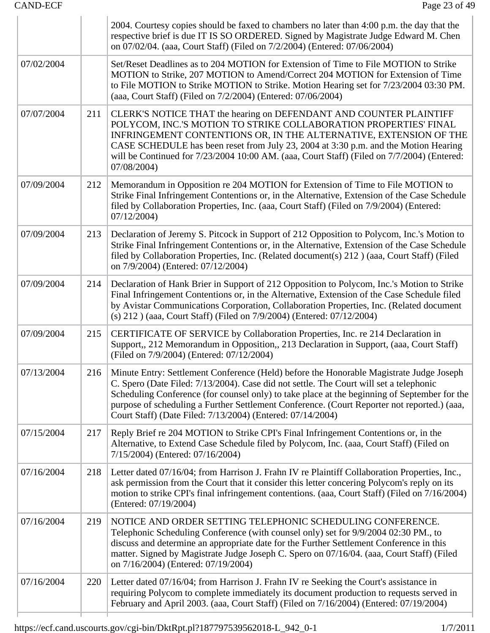|            |     | 2004. Courtesy copies should be faxed to chambers no later than 4:00 p.m. the day that the<br>respective brief is due IT IS SO ORDERED. Signed by Magistrate Judge Edward M. Chen<br>on 07/02/04. (aaa, Court Staff) (Filed on 7/2/2004) (Entered: 07/06/2004)                                                                                                                                                                                 |
|------------|-----|------------------------------------------------------------------------------------------------------------------------------------------------------------------------------------------------------------------------------------------------------------------------------------------------------------------------------------------------------------------------------------------------------------------------------------------------|
| 07/02/2004 |     | Set/Reset Deadlines as to 204 MOTION for Extension of Time to File MOTION to Strike<br>MOTION to Strike, 207 MOTION to Amend/Correct 204 MOTION for Extension of Time<br>to File MOTION to Strike MOTION to Strike. Motion Hearing set for 7/23/2004 03:30 PM.<br>(aaa, Court Staff) (Filed on 7/2/2004) (Entered: 07/06/2004)                                                                                                                 |
| 07/07/2004 | 211 | CLERK'S NOTICE THAT the hearing on DEFENDANT AND COUNTER PLAINTIFF<br>POLYCOM, INC.'S MOTION TO STRIKE COLLABORATION PROPERTIES' FINAL<br>INFRINGEMENT CONTENTIONS OR, IN THE ALTERNATIVE, EXTENSION OF THE<br>CASE SCHEDULE has been reset from July 23, 2004 at 3:30 p.m. and the Motion Hearing<br>will be Continued for 7/23/2004 10:00 AM. (aaa, Court Staff) (Filed on 7/7/2004) (Entered:<br>07/08/2004)                                |
| 07/09/2004 | 212 | Memorandum in Opposition re 204 MOTION for Extension of Time to File MOTION to<br>Strike Final Infringement Contentions or, in the Alternative, Extension of the Case Schedule<br>filed by Collaboration Properties, Inc. (aaa, Court Staff) (Filed on 7/9/2004) (Entered:<br>07/12/2004                                                                                                                                                       |
| 07/09/2004 | 213 | Declaration of Jeremy S. Pitcock in Support of 212 Opposition to Polycom, Inc.'s Motion to<br>Strike Final Infringement Contentions or, in the Alternative, Extension of the Case Schedule<br>filed by Collaboration Properties, Inc. (Related document(s) 212) (aaa, Court Staff) (Filed<br>on 7/9/2004) (Entered: 07/12/2004)                                                                                                                |
| 07/09/2004 | 214 | Declaration of Hank Brier in Support of 212 Opposition to Polycom, Inc.'s Motion to Strike<br>Final Infringement Contentions or, in the Alternative, Extension of the Case Schedule filed<br>by Avistar Communications Corporation, Collaboration Properties, Inc. (Related document<br>(s) 212 ) (aaa, Court Staff) (Filed on 7/9/2004) (Entered: 07/12/2004)                                                                                 |
| 07/09/2004 | 215 | CERTIFICATE OF SERVICE by Collaboration Properties, Inc. re 214 Declaration in<br>Support,, 212 Memorandum in Opposition,, 213 Declaration in Support, (aaa, Court Staff)<br>(Filed on 7/9/2004) (Entered: 07/12/2004)                                                                                                                                                                                                                         |
| 07/13/2004 | 216 | Minute Entry: Settlement Conference (Held) before the Honorable Magistrate Judge Joseph<br>C. Spero (Date Filed: 7/13/2004). Case did not settle. The Court will set a telephonic<br>Scheduling Conference (for counsel only) to take place at the beginning of September for the<br>purpose of scheduling a Further Settlement Conference. (Court Reporter not reported.) (aaa,<br>Court Staff) (Date Filed: 7/13/2004) (Entered: 07/14/2004) |
| 07/15/2004 | 217 | Reply Brief re 204 MOTION to Strike CPI's Final Infringement Contentions or, in the<br>Alternative, to Extend Case Schedule filed by Polycom, Inc. (aaa, Court Staff) (Filed on<br>7/15/2004) (Entered: 07/16/2004)                                                                                                                                                                                                                            |
| 07/16/2004 | 218 | Letter dated 07/16/04; from Harrison J. Frahn IV re Plaintiff Collaboration Properties, Inc.,<br>ask permission from the Court that it consider this letter concering Polycom's reply on its<br>motion to strike CPI's final infringement contentions. (aaa, Court Staff) (Filed on 7/16/2004)<br>(Entered: 07/19/2004)                                                                                                                        |
| 07/16/2004 | 219 | NOTICE AND ORDER SETTING TELEPHONIC SCHEDULING CONFERENCE.<br>Telephonic Scheduling Conference (with counsel only) set for 9/9/2004 02:30 PM., to<br>discuss and determine an appropriate date for the Further Settlement Conference in this<br>matter. Signed by Magistrate Judge Joseph C. Spero on 07/16/04. (aaa, Court Staff) (Filed<br>on 7/16/2004) (Entered: 07/19/2004)                                                               |
| 07/16/2004 | 220 | Letter dated 07/16/04; from Harrison J. Frahn IV re Seeking the Court's assistance in<br>requiring Polycom to complete immediately its document production to requests served in<br>February and April 2003. (aaa, Court Staff) (Filed on 7/16/2004) (Entered: 07/19/2004)                                                                                                                                                                     |
|            |     |                                                                                                                                                                                                                                                                                                                                                                                                                                                |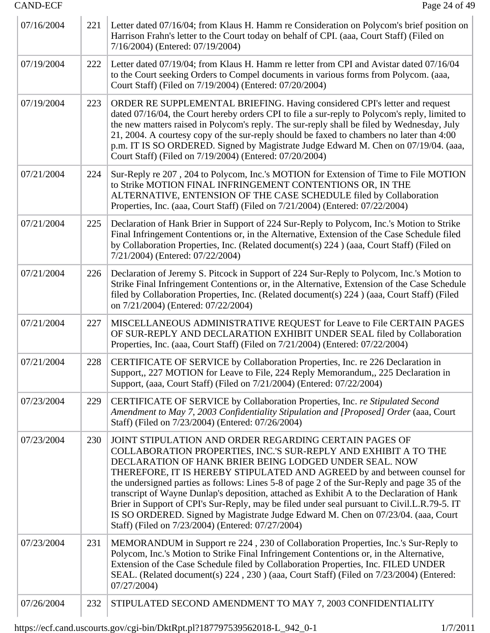| 07/16/2004 | 221 | Letter dated 07/16/04; from Klaus H. Hamm re Consideration on Polycom's brief position on<br>Harrison Frahn's letter to the Court today on behalf of CPI. (aaa, Court Staff) (Filed on<br>7/16/2004) (Entered: 07/19/2004)                                                                                                                                                                                                                                                                                                                                                                                                                                                                           |
|------------|-----|------------------------------------------------------------------------------------------------------------------------------------------------------------------------------------------------------------------------------------------------------------------------------------------------------------------------------------------------------------------------------------------------------------------------------------------------------------------------------------------------------------------------------------------------------------------------------------------------------------------------------------------------------------------------------------------------------|
| 07/19/2004 | 222 | Letter dated 07/19/04; from Klaus H. Hamm re letter from CPI and Avistar dated 07/16/04<br>to the Court seeking Orders to Compel documents in various forms from Polycom. (aaa,<br>Court Staff) (Filed on 7/19/2004) (Entered: 07/20/2004)                                                                                                                                                                                                                                                                                                                                                                                                                                                           |
| 07/19/2004 | 223 | ORDER RE SUPPLEMENTAL BRIEFING. Having considered CPI's letter and request<br>dated 07/16/04, the Court hereby orders CPI to file a sur-reply to Polycom's reply, limited to<br>the new matters raised in Polycom's reply. The sur-reply shall be filed by Wednesday, July<br>21, 2004. A courtesy copy of the sur-reply should be faxed to chambers no later than 4:00<br>p.m. IT IS SO ORDERED. Signed by Magistrate Judge Edward M. Chen on 07/19/04. (aaa,<br>Court Staff) (Filed on 7/19/2004) (Entered: 07/20/2004)                                                                                                                                                                            |
| 07/21/2004 | 224 | Sur-Reply re 207, 204 to Polycom, Inc.'s MOTION for Extension of Time to File MOTION<br>to Strike MOTION FINAL INFRINGEMENT CONTENTIONS OR, IN THE<br>ALTERNATIVE, ENTENSION OF THE CASE SCHEDULE filed by Collaboration<br>Properties, Inc. (aaa, Court Staff) (Filed on 7/21/2004) (Entered: 07/22/2004)                                                                                                                                                                                                                                                                                                                                                                                           |
| 07/21/2004 | 225 | Declaration of Hank Brier in Support of 224 Sur-Reply to Polycom, Inc.'s Motion to Strike<br>Final Infringement Contentions or, in the Alternative, Extension of the Case Schedule filed<br>by Collaboration Properties, Inc. (Related document(s) 224 ) (aaa, Court Staff) (Filed on<br>7/21/2004) (Entered: 07/22/2004)                                                                                                                                                                                                                                                                                                                                                                            |
| 07/21/2004 | 226 | Declaration of Jeremy S. Pitcock in Support of 224 Sur-Reply to Polycom, Inc.'s Motion to<br>Strike Final Infringement Contentions or, in the Alternative, Extension of the Case Schedule<br>filed by Collaboration Properties, Inc. (Related document(s) 224) (aaa, Court Staff) (Filed<br>on 7/21/2004) (Entered: 07/22/2004)                                                                                                                                                                                                                                                                                                                                                                      |
| 07/21/2004 | 227 | MISCELLANEOUS ADMINISTRATIVE REQUEST for Leave to File CERTAIN PAGES<br>OF SUR-REPLY AND DECLARATION EXHIBIT UNDER SEAL filed by Collaboration<br>Properties, Inc. (aaa, Court Staff) (Filed on 7/21/2004) (Entered: 07/22/2004)                                                                                                                                                                                                                                                                                                                                                                                                                                                                     |
| 07/21/2004 | 228 | CERTIFICATE OF SERVICE by Collaboration Properties, Inc. re 226 Declaration in<br>Support,, 227 MOTION for Leave to File, 224 Reply Memorandum,, 225 Declaration in<br>Support, (aaa, Court Staff) (Filed on 7/21/2004) (Entered: 07/22/2004)                                                                                                                                                                                                                                                                                                                                                                                                                                                        |
| 07/23/2004 | 229 | CERTIFICATE OF SERVICE by Collaboration Properties, Inc. re Stipulated Second<br>Amendment to May 7, 2003 Confidentiality Stipulation and [Proposed] Order (aaa, Court<br>Staff) (Filed on 7/23/2004) (Entered: 07/26/2004)                                                                                                                                                                                                                                                                                                                                                                                                                                                                          |
| 07/23/2004 | 230 | JOINT STIPULATION AND ORDER REGARDING CERTAIN PAGES OF<br>COLLABORATION PROPERTIES, INC.'S SUR-REPLY AND EXHIBIT A TO THE<br>DECLARATION OF HANK BRIER BEING LODGED UNDER SEAL. NOW<br>THEREFORE, IT IS HEREBY STIPULATED AND AGREED by and between counsel for<br>the undersigned parties as follows: Lines 5-8 of page 2 of the Sur-Reply and page 35 of the<br>transcript of Wayne Dunlap's deposition, attached as Exhibit A to the Declaration of Hank<br>Brier in Support of CPI's Sur-Reply, may be filed under seal pursuant to Civil.L.R.79-5. IT<br>IS SO ORDERED. Signed by Magistrate Judge Edward M. Chen on 07/23/04. (aaa, Court<br>Staff) (Filed on 7/23/2004) (Entered: 07/27/2004) |
| 07/23/2004 | 231 | MEMORANDUM in Support re 224, 230 of Collaboration Properties, Inc.'s Sur-Reply to<br>Polycom, Inc.'s Motion to Strike Final Infringement Contentions or, in the Alternative,<br>Extension of the Case Schedule filed by Collaboration Properties, Inc. FILED UNDER<br>SEAL. (Related document(s) 224, 230) (aaa, Court Staff) (Filed on 7/23/2004) (Entered:<br>07/27/2004                                                                                                                                                                                                                                                                                                                          |
| 07/26/2004 | 232 | STIPULATED SECOND AMENDMENT TO MAY 7, 2003 CONFIDENTIALITY                                                                                                                                                                                                                                                                                                                                                                                                                                                                                                                                                                                                                                           |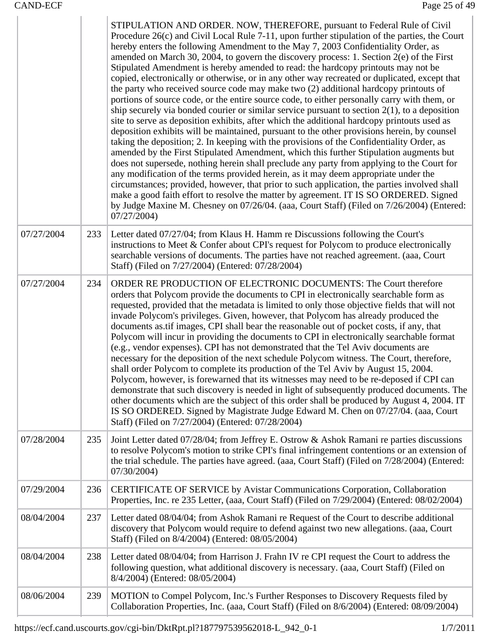|            |     | STIPULATION AND ORDER. NOW, THEREFORE, pursuant to Federal Rule of Civil<br>Procedure 26(c) and Civil Local Rule 7-11, upon further stipulation of the parties, the Court<br>hereby enters the following Amendment to the May 7, 2003 Confidentiality Order, as<br>amended on March 30, 2004, to govern the discovery process: 1. Section 2(e) of the First<br>Stipulated Amendment is hereby amended to read: the hardcopy printouts may not be<br>copied, electronically or otherwise, or in any other way recreated or duplicated, except that<br>the party who received source code may make two (2) additional hardcopy printouts of<br>portions of source code, or the entire source code, to either personally carry with them, or<br>ship securely via bonded courier or similar service pursuant to section $2(1)$ , to a deposition<br>site to serve as deposition exhibits, after which the additional hardcopy printouts used as<br>deposition exhibits will be maintained, pursuant to the other provisions herein, by counsel<br>taking the deposition; 2. In keeping with the provisions of the Confidentiality Order, as<br>amended by the First Stipulated Amendment, which this further Stipulation augments but<br>does not supersede, nothing herein shall preclude any party from applying to the Court for<br>any modification of the terms provided herein, as it may deem appropriate under the<br>circumstances; provided, however, that prior to such application, the parties involved shall<br>make a good faith effort to resolve the matter by agreement. IT IS SO ORDERED. Signed<br>by Judge Maxine M. Chesney on 07/26/04. (aaa, Court Staff) (Filed on 7/26/2004) (Entered:<br>07/27/2004 |
|------------|-----|-----------------------------------------------------------------------------------------------------------------------------------------------------------------------------------------------------------------------------------------------------------------------------------------------------------------------------------------------------------------------------------------------------------------------------------------------------------------------------------------------------------------------------------------------------------------------------------------------------------------------------------------------------------------------------------------------------------------------------------------------------------------------------------------------------------------------------------------------------------------------------------------------------------------------------------------------------------------------------------------------------------------------------------------------------------------------------------------------------------------------------------------------------------------------------------------------------------------------------------------------------------------------------------------------------------------------------------------------------------------------------------------------------------------------------------------------------------------------------------------------------------------------------------------------------------------------------------------------------------------------------------------------------------------------------------------------------------------------------|
| 07/27/2004 | 233 | Letter dated 07/27/04; from Klaus H. Hamm re Discussions following the Court's<br>instructions to Meet & Confer about CPI's request for Polycom to produce electronically<br>searchable versions of documents. The parties have not reached agreement. (aaa, Court<br>Staff) (Filed on 7/27/2004) (Entered: 07/28/2004)                                                                                                                                                                                                                                                                                                                                                                                                                                                                                                                                                                                                                                                                                                                                                                                                                                                                                                                                                                                                                                                                                                                                                                                                                                                                                                                                                                                                     |
| 07/27/2004 | 234 | ORDER RE PRODUCTION OF ELECTRONIC DOCUMENTS: The Court therefore<br>orders that Polycom provide the documents to CPI in electronically searchable form as<br>requested, provided that the metadata is limited to only those objective fields that will not<br>invade Polycom's privileges. Given, however, that Polycom has already produced the<br>documents as tif images, CPI shall bear the reasonable out of pocket costs, if any, that<br>Polycom will incur in providing the documents to CPI in electronically searchable format<br>(e.g., vendor expenses). CPI has not demonstrated that the Tel Aviv documents are<br>necessary for the deposition of the next schedule Polycom witness. The Court, therefore,<br>shall order Polycom to complete its production of the Tel Aviv by August 15, 2004.<br>Polycom, however, is forewarned that its witnesses may need to be re-deposed if CPI can<br>demonstrate that such discovery is needed in light of subsequently produced documents. The<br>other documents which are the subject of this order shall be produced by August 4, 2004. IT<br>IS SO ORDERED. Signed by Magistrate Judge Edward M. Chen on 07/27/04. (aaa, Court<br>Staff) (Filed on 7/27/2004) (Entered: 07/28/2004)                                                                                                                                                                                                                                                                                                                                                                                                                                                                           |
| 07/28/2004 | 235 | Joint Letter dated 07/28/04; from Jeffrey E. Ostrow & Ashok Ramani re parties discussions<br>to resolve Polycom's motion to strike CPI's final infringement contentions or an extension of<br>the trial schedule. The parties have agreed. (aaa, Court Staff) (Filed on 7/28/2004) (Entered:<br>07/30/2004)                                                                                                                                                                                                                                                                                                                                                                                                                                                                                                                                                                                                                                                                                                                                                                                                                                                                                                                                                                                                                                                                                                                                                                                                                                                                                                                                                                                                                 |
| 07/29/2004 | 236 | CERTIFICATE OF SERVICE by Avistar Communications Corporation, Collaboration<br>Properties, Inc. re 235 Letter, (aaa, Court Staff) (Filed on 7/29/2004) (Entered: 08/02/2004)                                                                                                                                                                                                                                                                                                                                                                                                                                                                                                                                                                                                                                                                                                                                                                                                                                                                                                                                                                                                                                                                                                                                                                                                                                                                                                                                                                                                                                                                                                                                                |
| 08/04/2004 | 237 | Letter dated 08/04/04; from Ashok Ramani re Request of the Court to describe additional<br>discovery that Polycom would require to defend against two new allegations. (aaa, Court<br>Staff) (Filed on 8/4/2004) (Entered: 08/05/2004)                                                                                                                                                                                                                                                                                                                                                                                                                                                                                                                                                                                                                                                                                                                                                                                                                                                                                                                                                                                                                                                                                                                                                                                                                                                                                                                                                                                                                                                                                      |
| 08/04/2004 | 238 | Letter dated 08/04/04; from Harrison J. Frahn IV re CPI request the Court to address the<br>following question, what additional discovery is necessary. (aaa, Court Staff) (Filed on<br>8/4/2004) (Entered: 08/05/2004)                                                                                                                                                                                                                                                                                                                                                                                                                                                                                                                                                                                                                                                                                                                                                                                                                                                                                                                                                                                                                                                                                                                                                                                                                                                                                                                                                                                                                                                                                                     |
| 08/06/2004 | 239 | MOTION to Compel Polycom, Inc.'s Further Responses to Discovery Requests filed by<br>Collaboration Properties, Inc. (aaa, Court Staff) (Filed on 8/6/2004) (Entered: 08/09/2004)                                                                                                                                                                                                                                                                                                                                                                                                                                                                                                                                                                                                                                                                                                                                                                                                                                                                                                                                                                                                                                                                                                                                                                                                                                                                                                                                                                                                                                                                                                                                            |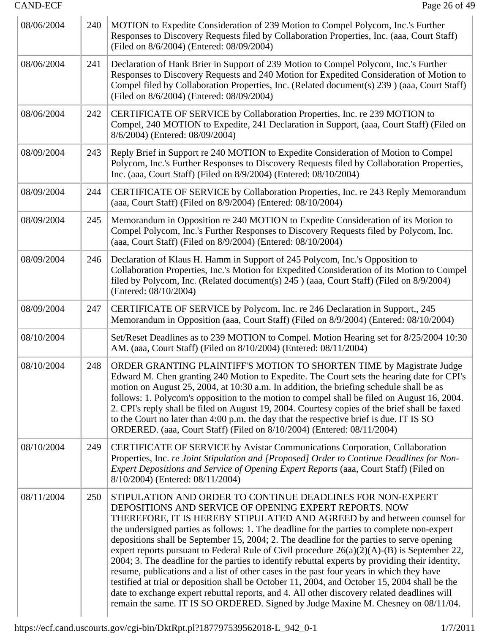| 08/06/2004 | 240 | MOTION to Expedite Consideration of 239 Motion to Compel Polycom, Inc.'s Further<br>Responses to Discovery Requests filed by Collaboration Properties, Inc. (aaa, Court Staff)<br>(Filed on 8/6/2004) (Entered: 08/09/2004)                                                                                                                                                                                                                                                                                                                                                                                                                                                                                                                                                                                                                                                                                                                                                       |
|------------|-----|-----------------------------------------------------------------------------------------------------------------------------------------------------------------------------------------------------------------------------------------------------------------------------------------------------------------------------------------------------------------------------------------------------------------------------------------------------------------------------------------------------------------------------------------------------------------------------------------------------------------------------------------------------------------------------------------------------------------------------------------------------------------------------------------------------------------------------------------------------------------------------------------------------------------------------------------------------------------------------------|
| 08/06/2004 | 241 | Declaration of Hank Brier in Support of 239 Motion to Compel Polycom, Inc.'s Further<br>Responses to Discovery Requests and 240 Motion for Expedited Consideration of Motion to<br>Compel filed by Collaboration Properties, Inc. (Related document(s) 239 ) (aaa, Court Staff)<br>(Filed on 8/6/2004) (Entered: 08/09/2004)                                                                                                                                                                                                                                                                                                                                                                                                                                                                                                                                                                                                                                                      |
| 08/06/2004 | 242 | CERTIFICATE OF SERVICE by Collaboration Properties, Inc. re 239 MOTION to<br>Compel, 240 MOTION to Expedite, 241 Declaration in Support, (aaa, Court Staff) (Filed on<br>8/6/2004) (Entered: 08/09/2004)                                                                                                                                                                                                                                                                                                                                                                                                                                                                                                                                                                                                                                                                                                                                                                          |
| 08/09/2004 | 243 | Reply Brief in Support re 240 MOTION to Expedite Consideration of Motion to Compel<br>Polycom, Inc.'s Further Responses to Discovery Requests filed by Collaboration Properties,<br>Inc. (aaa, Court Staff) (Filed on 8/9/2004) (Entered: 08/10/2004)                                                                                                                                                                                                                                                                                                                                                                                                                                                                                                                                                                                                                                                                                                                             |
| 08/09/2004 | 244 | CERTIFICATE OF SERVICE by Collaboration Properties, Inc. re 243 Reply Memorandum<br>(aaa, Court Staff) (Filed on 8/9/2004) (Entered: 08/10/2004)                                                                                                                                                                                                                                                                                                                                                                                                                                                                                                                                                                                                                                                                                                                                                                                                                                  |
| 08/09/2004 | 245 | Memorandum in Opposition re 240 MOTION to Expedite Consideration of its Motion to<br>Compel Polycom, Inc.'s Further Responses to Discovery Requests filed by Polycom, Inc.<br>(aaa, Court Staff) (Filed on 8/9/2004) (Entered: 08/10/2004)                                                                                                                                                                                                                                                                                                                                                                                                                                                                                                                                                                                                                                                                                                                                        |
| 08/09/2004 | 246 | Declaration of Klaus H. Hamm in Support of 245 Polycom, Inc.'s Opposition to<br>Collaboration Properties, Inc.'s Motion for Expedited Consideration of its Motion to Compel<br>filed by Polycom, Inc. (Related document(s) 245 ) (aaa, Court Staff) (Filed on 8/9/2004)<br>(Entered: 08/10/2004)                                                                                                                                                                                                                                                                                                                                                                                                                                                                                                                                                                                                                                                                                  |
| 08/09/2004 | 247 | CERTIFICATE OF SERVICE by Polycom, Inc. re 246 Declaration in Support,, 245<br>Memorandum in Opposition (aaa, Court Staff) (Filed on 8/9/2004) (Entered: 08/10/2004)                                                                                                                                                                                                                                                                                                                                                                                                                                                                                                                                                                                                                                                                                                                                                                                                              |
| 08/10/2004 |     | Set/Reset Deadlines as to 239 MOTION to Compel. Motion Hearing set for 8/25/2004 10:30<br>AM. (aaa, Court Staff) (Filed on 8/10/2004) (Entered: 08/11/2004)                                                                                                                                                                                                                                                                                                                                                                                                                                                                                                                                                                                                                                                                                                                                                                                                                       |
| 08/10/2004 | 248 | ORDER GRANTING PLAINTIFF'S MOTION TO SHORTEN TIME by Magistrate Judge<br>Edward M. Chen granting 240 Motion to Expedite. The Court sets the hearing date for CPI's<br>motion on August 25, 2004, at 10:30 a.m. In addition, the briefing schedule shall be as<br>follows: 1. Polycom's opposition to the motion to compel shall be filed on August 16, 2004.<br>2. CPI's reply shall be filed on August 19, 2004. Courtesy copies of the brief shall be faxed<br>to the Court no later than 4:00 p.m. the day that the respective brief is due. IT IS SO<br>ORDERED. (aaa, Court Staff) (Filed on 8/10/2004) (Entered: 08/11/2004)                                                                                                                                                                                                                                                                                                                                                |
| 08/10/2004 | 249 | CERTIFICATE OF SERVICE by Avistar Communications Corporation, Collaboration<br>Properties, Inc. re Joint Stipulation and [Proposed] Order to Continue Deadlines for Non-<br>Expert Depositions and Service of Opening Expert Reports (aaa, Court Staff) (Filed on<br>8/10/2004) (Entered: 08/11/2004)                                                                                                                                                                                                                                                                                                                                                                                                                                                                                                                                                                                                                                                                             |
| 08/11/2004 | 250 | STIPULATION AND ORDER TO CONTINUE DEADLINES FOR NON-EXPERT<br>DEPOSITIONS AND SERVICE OF OPENING EXPERT REPORTS. NOW<br>THEREFORE, IT IS HEREBY STIPULATED AND AGREED by and between counsel for<br>the undersigned parties as follows: 1. The deadline for the parties to complete non-expert<br>depositions shall be September 15, 2004; 2. The deadline for the parties to serve opening<br>expert reports pursuant to Federal Rule of Civil procedure $26(a)(2)(A)$ -(B) is September 22,<br>2004; 3. The deadline for the parties to identify rebuttal experts by providing their identity,<br>resume, publications and a list of other cases in the past four years in which they have<br>testified at trial or deposition shall be October 11, 2004, and October 15, 2004 shall be the<br>date to exchange expert rebuttal reports, and 4. All other discovery related deadlines will<br>remain the same. IT IS SO ORDERED. Signed by Judge Maxine M. Chesney on 08/11/04. |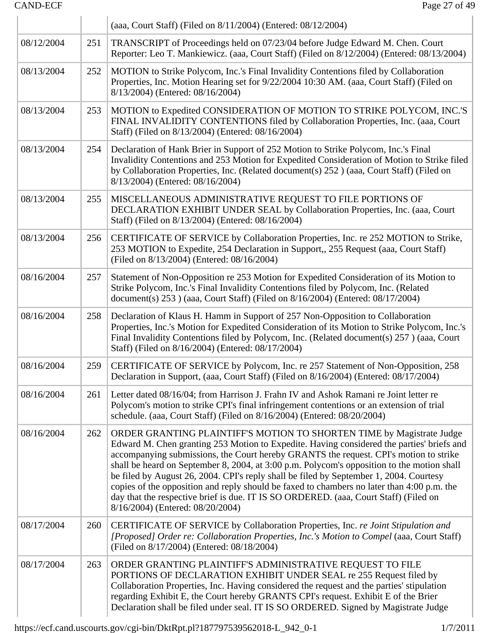$\mathbb{L}$ 

|            |     | (aaa, Court Staff) (Filed on 8/11/2004) (Entered: 08/12/2004)                                                                                                                                                                                                                                                                                                                                                                                                                                                                                                                                                                                                                 |
|------------|-----|-------------------------------------------------------------------------------------------------------------------------------------------------------------------------------------------------------------------------------------------------------------------------------------------------------------------------------------------------------------------------------------------------------------------------------------------------------------------------------------------------------------------------------------------------------------------------------------------------------------------------------------------------------------------------------|
| 08/12/2004 | 251 | TRANSCRIPT of Proceedings held on 07/23/04 before Judge Edward M. Chen. Court<br>Reporter: Leo T. Mankiewicz. (aaa, Court Staff) (Filed on 8/12/2004) (Entered: 08/13/2004)                                                                                                                                                                                                                                                                                                                                                                                                                                                                                                   |
| 08/13/2004 | 252 | MOTION to Strike Polycom, Inc.'s Final Invalidity Contentions filed by Collaboration<br>Properties, Inc. Motion Hearing set for 9/22/2004 10:30 AM. (aaa, Court Staff) (Filed on<br>8/13/2004) (Entered: 08/16/2004)                                                                                                                                                                                                                                                                                                                                                                                                                                                          |
| 08/13/2004 | 253 | MOTION to Expedited CONSIDERATION OF MOTION TO STRIKE POLYCOM, INC.'S<br>FINAL INVALIDITY CONTENTIONS filed by Collaboration Properties, Inc. (aaa, Court<br>Staff) (Filed on 8/13/2004) (Entered: 08/16/2004)                                                                                                                                                                                                                                                                                                                                                                                                                                                                |
| 08/13/2004 | 254 | Declaration of Hank Brier in Support of 252 Motion to Strike Polycom, Inc.'s Final<br>Invalidity Contentions and 253 Motion for Expedited Consideration of Motion to Strike filed<br>by Collaboration Properties, Inc. (Related document(s) 252) (aaa, Court Staff) (Filed on<br>8/13/2004) (Entered: 08/16/2004)                                                                                                                                                                                                                                                                                                                                                             |
| 08/13/2004 | 255 | MISCELLANEOUS ADMINISTRATIVE REQUEST TO FILE PORTIONS OF<br>DECLARATION EXHIBIT UNDER SEAL by Collaboration Properties, Inc. (aaa, Court<br>Staff) (Filed on 8/13/2004) (Entered: 08/16/2004)                                                                                                                                                                                                                                                                                                                                                                                                                                                                                 |
| 08/13/2004 | 256 | CERTIFICATE OF SERVICE by Collaboration Properties, Inc. re 252 MOTION to Strike,<br>253 MOTION to Expedite, 254 Declaration in Support,, 255 Request (aaa, Court Staff)<br>(Filed on 8/13/2004) (Entered: 08/16/2004)                                                                                                                                                                                                                                                                                                                                                                                                                                                        |
| 08/16/2004 | 257 | Statement of Non-Opposition re 253 Motion for Expedited Consideration of its Motion to<br>Strike Polycom, Inc.'s Final Invalidity Contentions filed by Polycom, Inc. (Related<br>document(s) 253 ) (aaa, Court Staff) (Filed on 8/16/2004) (Entered: 08/17/2004)                                                                                                                                                                                                                                                                                                                                                                                                              |
| 08/16/2004 | 258 | Declaration of Klaus H. Hamm in Support of 257 Non-Opposition to Collaboration<br>Properties, Inc.'s Motion for Expedited Consideration of its Motion to Strike Polycom, Inc.'s<br>Final Invalidity Contentions filed by Polycom, Inc. (Related document(s) 257) (aaa, Court<br>Staff) (Filed on 8/16/2004) (Entered: 08/17/2004)                                                                                                                                                                                                                                                                                                                                             |
| 08/16/2004 | 259 | CERTIFICATE OF SERVICE by Polycom, Inc. re 257 Statement of Non-Opposition, 258<br>Declaration in Support, (aaa, Court Staff) (Filed on 8/16/2004) (Entered: 08/17/2004)                                                                                                                                                                                                                                                                                                                                                                                                                                                                                                      |
| 08/16/2004 | 261 | Letter dated 08/16/04; from Harrison J. Frahn IV and Ashok Ramani re Joint letter re<br>Polycom's motion to strike CPI's final infringement contentions or an extension of trial<br>schedule. (aaa, Court Staff) (Filed on 8/16/2004) (Entered: 08/20/2004)                                                                                                                                                                                                                                                                                                                                                                                                                   |
| 08/16/2004 | 262 | ORDER GRANTING PLAINTIFF'S MOTION TO SHORTEN TIME by Magistrate Judge<br>Edward M. Chen granting 253 Motion to Expedite. Having considered the parties' briefs and<br>accompanying submissions, the Court hereby GRANTS the request. CPI's motion to strike<br>shall be heard on September 8, 2004, at 3:00 p.m. Polycom's opposition to the motion shall<br>be filed by August 26, 2004. CPI's reply shall be filed by September 1, 2004. Courtesy<br>copies of the opposition and reply should be faxed to chambers no later than 4:00 p.m. the<br>day that the respective brief is due. IT IS SO ORDERED. (aaa, Court Staff) (Filed on<br>8/16/2004) (Entered: 08/20/2004) |
| 08/17/2004 | 260 | CERTIFICATE OF SERVICE by Collaboration Properties, Inc. re Joint Stipulation and<br>[Proposed] Order re: Collaboration Properties, Inc.'s Motion to Compel (aaa, Court Staff)<br>(Filed on 8/17/2004) (Entered: 08/18/2004)                                                                                                                                                                                                                                                                                                                                                                                                                                                  |
| 08/17/2004 | 263 | ORDER GRANTING PLAINTIFF'S ADMINISTRATIVE REQUEST TO FILE<br>PORTIONS OF DECLARATION EXHIBIT UNDER SEAL re 255 Request filed by<br>Collaboration Properties, Inc. Having considered the request and the parties' stipulation<br>regarding Exhibit E, the Court hereby GRANTS CPI's request. Exhibit E of the Brier<br>Declaration shall be filed under seal. IT IS SO ORDERED. Signed by Magistrate Judge                                                                                                                                                                                                                                                                     |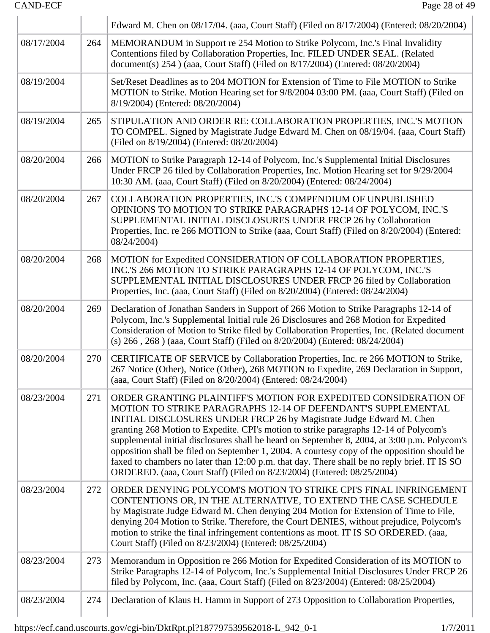|            |     | Edward M. Chen on 08/17/04. (aaa, Court Staff) (Filed on 8/17/2004) (Entered: 08/20/2004)                                                                                                                                                                                                                                                                                                                                                                                                                                                                                                                                                                                   |
|------------|-----|-----------------------------------------------------------------------------------------------------------------------------------------------------------------------------------------------------------------------------------------------------------------------------------------------------------------------------------------------------------------------------------------------------------------------------------------------------------------------------------------------------------------------------------------------------------------------------------------------------------------------------------------------------------------------------|
| 08/17/2004 | 264 | MEMORANDUM in Support re 254 Motion to Strike Polycom, Inc.'s Final Invalidity<br>Contentions filed by Collaboration Properties, Inc. FILED UNDER SEAL. (Related<br>document(s) 254 ) (aaa, Court Staff) (Filed on 8/17/2004) (Entered: 08/20/2004)                                                                                                                                                                                                                                                                                                                                                                                                                         |
| 08/19/2004 |     | Set/Reset Deadlines as to 204 MOTION for Extension of Time to File MOTION to Strike<br>MOTION to Strike. Motion Hearing set for 9/8/2004 03:00 PM. (aaa, Court Staff) (Filed on<br>8/19/2004) (Entered: 08/20/2004)                                                                                                                                                                                                                                                                                                                                                                                                                                                         |
| 08/19/2004 | 265 | STIPULATION AND ORDER RE: COLLABORATION PROPERTIES, INC.'S MOTION<br>TO COMPEL. Signed by Magistrate Judge Edward M. Chen on 08/19/04. (aaa, Court Staff)<br>(Filed on 8/19/2004) (Entered: 08/20/2004)                                                                                                                                                                                                                                                                                                                                                                                                                                                                     |
| 08/20/2004 | 266 | MOTION to Strike Paragraph 12-14 of Polycom, Inc.'s Supplemental Initial Disclosures<br>Under FRCP 26 filed by Collaboration Properties, Inc. Motion Hearing set for 9/29/2004<br>10:30 AM. (aaa, Court Staff) (Filed on 8/20/2004) (Entered: 08/24/2004)                                                                                                                                                                                                                                                                                                                                                                                                                   |
| 08/20/2004 | 267 | COLLABORATION PROPERTIES, INC.'S COMPENDIUM OF UNPUBLISHED<br>OPINIONS TO MOTION TO STRIKE PARAGRAPHS 12-14 OF POLYCOM, INC.'S<br>SUPPLEMENTAL INITIAL DISCLOSURES UNDER FRCP 26 by Collaboration<br>Properties, Inc. re 266 MOTION to Strike (aaa, Court Staff) (Filed on 8/20/2004) (Entered:<br>08/24/2004)                                                                                                                                                                                                                                                                                                                                                              |
| 08/20/2004 | 268 | MOTION for Expedited CONSIDERATION OF COLLABORATION PROPERTIES,<br>INC.'S 266 MOTION TO STRIKE PARAGRAPHS 12-14 OF POLYCOM, INC.'S<br>SUPPLEMENTAL INITIAL DISCLOSURES UNDER FRCP 26 filed by Collaboration<br>Properties, Inc. (aaa, Court Staff) (Filed on 8/20/2004) (Entered: 08/24/2004)                                                                                                                                                                                                                                                                                                                                                                               |
| 08/20/2004 | 269 | Declaration of Jonathan Sanders in Support of 266 Motion to Strike Paragraphs 12-14 of<br>Polycom, Inc.'s Supplemental Initial rule 26 Disclosures and 268 Motion for Expedited<br>Consideration of Motion to Strike filed by Collaboration Properties, Inc. (Related document<br>(s) 266, 268) (aaa, Court Staff) (Filed on 8/20/2004) (Entered: 08/24/2004)                                                                                                                                                                                                                                                                                                               |
| 08/20/2004 | 270 | CERTIFICATE OF SERVICE by Collaboration Properties, Inc. re 266 MOTION to Strike,<br>267 Notice (Other), Notice (Other), 268 MOTION to Expedite, 269 Declaration in Support,<br>(aaa, Court Staff) (Filed on 8/20/2004) (Entered: 08/24/2004)                                                                                                                                                                                                                                                                                                                                                                                                                               |
| 08/23/2004 | 271 | ORDER GRANTING PLAINTIFF'S MOTION FOR EXPEDITED CONSIDERATION OF<br>MOTION TO STRIKE PARAGRAPHS 12-14 OF DEFENDANT'S SUPPLEMENTAL<br>INITIAL DISCLOSURES UNDER FRCP 26 by Magistrate Judge Edward M. Chen<br>granting 268 Motion to Expedite. CPI's motion to strike paragraphs 12-14 of Polycom's<br>supplemental initial disclosures shall be heard on September 8, 2004, at 3:00 p.m. Polycom's<br>opposition shall be filed on September 1, 2004. A courtesy copy of the opposition should be<br>faxed to chambers no later than 12:00 p.m. that day. There shall be no reply brief. IT IS SO<br>ORDERED. (aaa, Court Staff) (Filed on 8/23/2004) (Entered: 08/25/2004) |
| 08/23/2004 | 272 | ORDER DENYING POLYCOM'S MOTION TO STRIKE CPI'S FINAL INFRINGEMENT<br>CONTENTIONS OR, IN THE ALTERNATIVE, TO EXTEND THE CASE SCHEDULE<br>by Magistrate Judge Edward M. Chen denying 204 Motion for Extension of Time to File,<br>denying 204 Motion to Strike. Therefore, the Court DENIES, without prejudice, Polycom's<br>motion to strike the final infringement contentions as moot. IT IS SO ORDERED. (aaa,<br>Court Staff) (Filed on 8/23/2004) (Entered: 08/25/2004)                                                                                                                                                                                                  |
| 08/23/2004 | 273 | Memorandum in Opposition re 266 Motion for Expedited Consideration of its MOTION to<br>Strike Paragraphs 12-14 of Polycom, Inc.'s Supplemental Initial Disclosures Under FRCP 26<br>filed by Polycom, Inc. (aaa, Court Staff) (Filed on 8/23/2004) (Entered: 08/25/2004)                                                                                                                                                                                                                                                                                                                                                                                                    |
| 08/23/2004 | 274 | Declaration of Klaus H. Hamm in Support of 273 Opposition to Collaboration Properties,                                                                                                                                                                                                                                                                                                                                                                                                                                                                                                                                                                                      |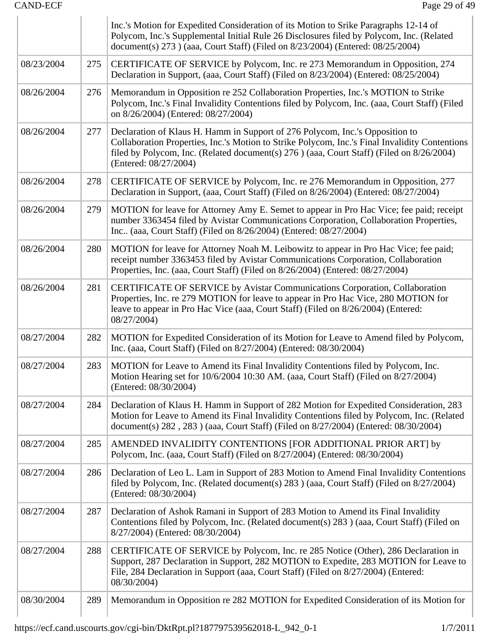|            |     | Inc.'s Motion for Expedited Consideration of its Motion to Srike Paragraphs 12-14 of<br>Polycom, Inc.'s Supplemental Initial Rule 26 Disclosures filed by Polycom, Inc. (Related<br>document(s) 273 ) (aaa, Court Staff) (Filed on 8/23/2004) (Entered: 08/25/2004)                                  |
|------------|-----|------------------------------------------------------------------------------------------------------------------------------------------------------------------------------------------------------------------------------------------------------------------------------------------------------|
| 08/23/2004 | 275 | CERTIFICATE OF SERVICE by Polycom, Inc. re 273 Memorandum in Opposition, 274<br>Declaration in Support, (aaa, Court Staff) (Filed on 8/23/2004) (Entered: 08/25/2004)                                                                                                                                |
| 08/26/2004 | 276 | Memorandum in Opposition re 252 Collaboration Properties, Inc.'s MOTION to Strike<br>Polycom, Inc.'s Final Invalidity Contentions filed by Polycom, Inc. (aaa, Court Staff) (Filed<br>on 8/26/2004) (Entered: 08/27/2004)                                                                            |
| 08/26/2004 | 277 | Declaration of Klaus H. Hamm in Support of 276 Polycom, Inc.'s Opposition to<br>Collaboration Properties, Inc.'s Motion to Strike Polycom, Inc.'s Final Invalidity Contentions<br>filed by Polycom, Inc. (Related document(s) 276 ) (aaa, Court Staff) (Filed on 8/26/2004)<br>(Entered: 08/27/2004) |
| 08/26/2004 | 278 | CERTIFICATE OF SERVICE by Polycom, Inc. re 276 Memorandum in Opposition, 277<br>Declaration in Support, (aaa, Court Staff) (Filed on 8/26/2004) (Entered: 08/27/2004)                                                                                                                                |
| 08/26/2004 | 279 | MOTION for leave for Attorney Amy E. Semet to appear in Pro Hac Vice; fee paid; receipt<br>number 3363454 filed by Avistar Communications Corporation, Collaboration Properties,<br>Inc., (aaa, Court Staff) (Filed on 8/26/2004) (Entered: 08/27/2004)                                              |
| 08/26/2004 | 280 | MOTION for leave for Attorney Noah M. Leibowitz to appear in Pro Hac Vice; fee paid;<br>receipt number 3363453 filed by Avistar Communications Corporation, Collaboration<br>Properties, Inc. (aaa, Court Staff) (Filed on 8/26/2004) (Entered: 08/27/2004)                                          |
| 08/26/2004 | 281 | CERTIFICATE OF SERVICE by Avistar Communications Corporation, Collaboration<br>Properties, Inc. re 279 MOTION for leave to appear in Pro Hac Vice, 280 MOTION for<br>leave to appear in Pro Hac Vice (aaa, Court Staff) (Filed on 8/26/2004) (Entered:<br>08/27/2004)                                |
| 08/27/2004 | 282 | MOTION for Expedited Consideration of its Motion for Leave to Amend filed by Polycom,<br>Inc. (aaa, Court Staff) (Filed on 8/27/2004) (Entered: 08/30/2004)                                                                                                                                          |
| 08/27/2004 | 283 | MOTION for Leave to Amend its Final Invalidity Contentions filed by Polycom, Inc.<br>Motion Hearing set for 10/6/2004 10:30 AM. (aaa, Court Staff) (Filed on 8/27/2004)<br>(Entered: 08/30/2004)                                                                                                     |
| 08/27/2004 | 284 | Declaration of Klaus H. Hamm in Support of 282 Motion for Expedited Consideration, 283<br>Motion for Leave to Amend its Final Invalidity Contentions filed by Polycom, Inc. (Related<br>document(s) 282, 283) (aaa, Court Staff) (Filed on 8/27/2004) (Entered: 08/30/2004)                          |
| 08/27/2004 | 285 | AMENDED INVALIDITY CONTENTIONS [FOR ADDITIONAL PRIOR ART] by<br>Polycom, Inc. (aaa, Court Staff) (Filed on 8/27/2004) (Entered: 08/30/2004)                                                                                                                                                          |
| 08/27/2004 | 286 | Declaration of Leo L. Lam in Support of 283 Motion to Amend Final Invalidity Contentions<br>filed by Polycom, Inc. (Related document(s) 283 ) (aaa, Court Staff) (Filed on 8/27/2004)<br>(Entered: 08/30/2004)                                                                                       |
| 08/27/2004 | 287 | Declaration of Ashok Ramani in Support of 283 Motion to Amend its Final Invalidity<br>Contentions filed by Polycom, Inc. (Related document(s) 283 ) (aaa, Court Staff) (Filed on<br>8/27/2004) (Entered: 08/30/2004)                                                                                 |
| 08/27/2004 | 288 | CERTIFICATE OF SERVICE by Polycom, Inc. re 285 Notice (Other), 286 Declaration in<br>Support, 287 Declaration in Support, 282 MOTION to Expedite, 283 MOTION for Leave to<br>File, 284 Declaration in Support (aaa, Court Staff) (Filed on 8/27/2004) (Entered:<br>08/30/2004)                       |
| 08/30/2004 | 289 | Memorandum in Opposition re 282 MOTION for Expedited Consideration of its Motion for                                                                                                                                                                                                                 |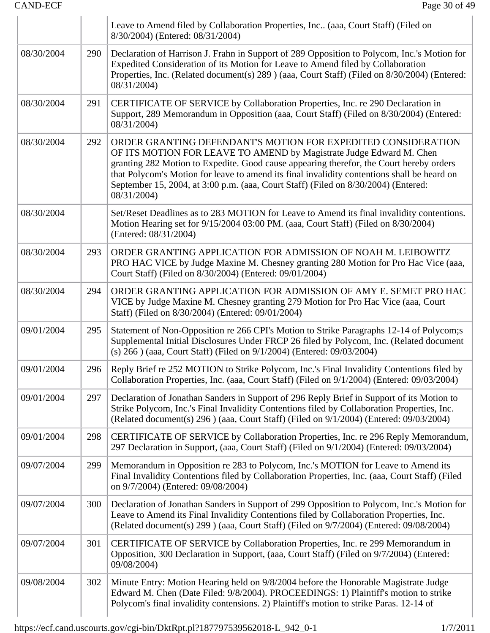|            |     | Leave to Amend filed by Collaboration Properties, Inc (aaa, Court Staff) (Filed on<br>8/30/2004) (Entered: 08/31/2004)                                                                                                                                                                                                                                                                                                              |
|------------|-----|-------------------------------------------------------------------------------------------------------------------------------------------------------------------------------------------------------------------------------------------------------------------------------------------------------------------------------------------------------------------------------------------------------------------------------------|
| 08/30/2004 | 290 | Declaration of Harrison J. Frahn in Support of 289 Opposition to Polycom, Inc.'s Motion for<br>Expedited Consideration of its Motion for Leave to Amend filed by Collaboration<br>Properties, Inc. (Related document(s) 289 ) (aaa, Court Staff) (Filed on 8/30/2004) (Entered:<br>08/31/2004)                                                                                                                                      |
| 08/30/2004 | 291 | CERTIFICATE OF SERVICE by Collaboration Properties, Inc. re 290 Declaration in<br>Support, 289 Memorandum in Opposition (aaa, Court Staff) (Filed on 8/30/2004) (Entered:<br>08/31/2004)                                                                                                                                                                                                                                            |
| 08/30/2004 | 292 | ORDER GRANTING DEFENDANT'S MOTION FOR EXPEDITED CONSIDERATION<br>OF ITS MOTION FOR LEAVE TO AMEND by Magistrate Judge Edward M. Chen<br>granting 282 Motion to Expedite. Good cause appearing therefor, the Court hereby orders<br>that Polycom's Motion for leave to amend its final invalidity contentions shall be heard on<br>September 15, 2004, at 3:00 p.m. (aaa, Court Staff) (Filed on 8/30/2004) (Entered:<br>08/31/2004) |
| 08/30/2004 |     | Set/Reset Deadlines as to 283 MOTION for Leave to Amend its final invalidity contentions.<br>Motion Hearing set for 9/15/2004 03:00 PM. (aaa, Court Staff) (Filed on 8/30/2004)<br>(Entered: 08/31/2004)                                                                                                                                                                                                                            |
| 08/30/2004 | 293 | ORDER GRANTING APPLICATION FOR ADMISSION OF NOAH M. LEIBOWITZ<br>PRO HAC VICE by Judge Maxine M. Chesney granting 280 Motion for Pro Hac Vice (aaa,<br>Court Staff) (Filed on 8/30/2004) (Entered: 09/01/2004)                                                                                                                                                                                                                      |
| 08/30/2004 | 294 | ORDER GRANTING APPLICATION FOR ADMISSION OF AMY E. SEMET PRO HAC<br>VICE by Judge Maxine M. Chesney granting 279 Motion for Pro Hac Vice (aaa, Court<br>Staff) (Filed on 8/30/2004) (Entered: 09/01/2004)                                                                                                                                                                                                                           |
| 09/01/2004 | 295 | Statement of Non-Opposition re 266 CPI's Motion to Strike Paragraphs 12-14 of Polycom;s<br>Supplemental Initial Disclosures Under FRCP 26 filed by Polycom, Inc. (Related document<br>(s) 266 ) (aaa, Court Staff) (Filed on 9/1/2004) (Entered: 09/03/2004)                                                                                                                                                                        |
| 09/01/2004 | 296 | Reply Brief re 252 MOTION to Strike Polycom, Inc.'s Final Invalidity Contentions filed by<br>Collaboration Properties, Inc. (aaa, Court Staff) (Filed on 9/1/2004) (Entered: 09/03/2004)                                                                                                                                                                                                                                            |
| 09/01/2004 | 297 | Declaration of Jonathan Sanders in Support of 296 Reply Brief in Support of its Motion to<br>Strike Polycom, Inc.'s Final Invalidity Contentions filed by Collaboration Properties, Inc.<br>(Related document(s) 296) (aaa, Court Staff) (Filed on 9/1/2004) (Entered: 09/03/2004)                                                                                                                                                  |
| 09/01/2004 | 298 | CERTIFICATE OF SERVICE by Collaboration Properties, Inc. re 296 Reply Memorandum,<br>297 Declaration in Support, (aaa, Court Staff) (Filed on 9/1/2004) (Entered: 09/03/2004)                                                                                                                                                                                                                                                       |
| 09/07/2004 | 299 | Memorandum in Opposition re 283 to Polycom, Inc.'s MOTION for Leave to Amend its<br>Final Invalidity Contentions filed by Collaboration Properties, Inc. (aaa, Court Staff) (Filed<br>on 9/7/2004) (Entered: 09/08/2004)                                                                                                                                                                                                            |
| 09/07/2004 | 300 | Declaration of Jonathan Sanders in Support of 299 Opposition to Polycom, Inc.'s Motion for<br>Leave to Amend its Final Invalidity Contentions filed by Collaboration Properties, Inc.<br>(Related document(s) 299 ) (aaa, Court Staff) (Filed on 9/7/2004) (Entered: 09/08/2004)                                                                                                                                                    |
| 09/07/2004 | 301 | CERTIFICATE OF SERVICE by Collaboration Properties, Inc. re 299 Memorandum in<br>Opposition, 300 Declaration in Support, (aaa, Court Staff) (Filed on 9/7/2004) (Entered:<br>09/08/2004)                                                                                                                                                                                                                                            |
| 09/08/2004 | 302 | Minute Entry: Motion Hearing held on 9/8/2004 before the Honorable Magistrate Judge<br>Edward M. Chen (Date Filed: 9/8/2004). PROCEEDINGS: 1) Plaintiff's motion to strike<br>Polycom's final invalidity contensions. 2) Plaintiff's motion to strike Paras. 12-14 of                                                                                                                                                               |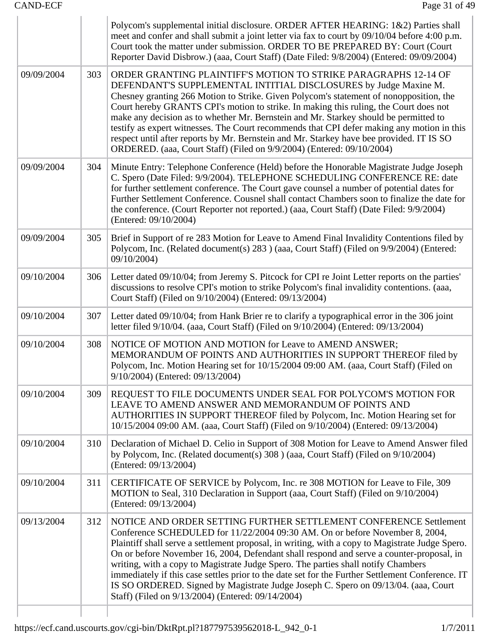|            |     | Polycom's supplemental initial disclosure. ORDER AFTER HEARING: 1&2) Parties shall<br>meet and confer and shall submit a joint letter via fax to court by 09/10/04 before 4:00 p.m.<br>Court took the matter under submission. ORDER TO BE PREPARED BY: Court (Court<br>Reporter David Disbrow.) (aaa, Court Staff) (Date Filed: 9/8/2004) (Entered: 09/09/2004)                                                                                                                                                                                                                                                                                                                     |
|------------|-----|--------------------------------------------------------------------------------------------------------------------------------------------------------------------------------------------------------------------------------------------------------------------------------------------------------------------------------------------------------------------------------------------------------------------------------------------------------------------------------------------------------------------------------------------------------------------------------------------------------------------------------------------------------------------------------------|
| 09/09/2004 | 303 | ORDER GRANTING PLAINTIFF'S MOTION TO STRIKE PARAGRAPHS 12-14 OF<br>DEFENDANT'S SUPPLEMENTAL INTITIAL DISCLOSURES by Judge Maxine M.<br>Chesney granting 266 Motion to Strike. Given Polycom's statement of nonopposition, the<br>Court hereby GRANTS CPI's motion to strike. In making this ruling, the Court does not<br>make any decision as to whether Mr. Bernstein and Mr. Starkey should be permitted to<br>testify as expert witnesses. The Court recommends that CPI defer making any motion in this<br>respect until after reports by Mr. Bernstein and Mr. Starkey have bee provided. IT IS SO<br>ORDERED. (aaa, Court Staff) (Filed on 9/9/2004) (Entered: 09/10/2004)    |
| 09/09/2004 | 304 | Minute Entry: Telephone Conference (Held) before the Honorable Magistrate Judge Joseph<br>C. Spero (Date Filed: 9/9/2004). TELEPHONE SCHEDULING CONFERENCE RE: date<br>for further settlement conference. The Court gave counsel a number of potential dates for<br>Further Settlement Conference. Cousnel shall contact Chambers soon to finalize the date for<br>the conference. (Court Reporter not reported.) (aaa, Court Staff) (Date Filed: 9/9/2004)<br>(Entered: 09/10/2004)                                                                                                                                                                                                 |
| 09/09/2004 | 305 | Brief in Support of re 283 Motion for Leave to Amend Final Invalidity Contentions filed by<br>Polycom, Inc. (Related document(s) 283 ) (aaa, Court Staff) (Filed on 9/9/2004) (Entered:<br>09/10/2004)                                                                                                                                                                                                                                                                                                                                                                                                                                                                               |
| 09/10/2004 | 306 | Letter dated 09/10/04; from Jeremy S. Pitcock for CPI re Joint Letter reports on the parties'<br>discussions to resolve CPI's motion to strike Polycom's final invalidity contentions. (aaa,<br>Court Staff) (Filed on 9/10/2004) (Entered: 09/13/2004)                                                                                                                                                                                                                                                                                                                                                                                                                              |
| 09/10/2004 | 307 | Letter dated 09/10/04; from Hank Brier re to clarify a typographical error in the 306 joint<br>letter filed 9/10/04. (aaa, Court Staff) (Filed on 9/10/2004) (Entered: 09/13/2004)                                                                                                                                                                                                                                                                                                                                                                                                                                                                                                   |
| 09/10/2004 | 308 | NOTICE OF MOTION AND MOTION for Leave to AMEND ANSWER;<br>MEMORANDUM OF POINTS AND AUTHORITIES IN SUPPORT THEREOF filed by<br>Polycom, Inc. Motion Hearing set for 10/15/2004 09:00 AM. (aaa, Court Staff) (Filed on<br>9/10/2004) (Entered: 09/13/2004)                                                                                                                                                                                                                                                                                                                                                                                                                             |
| 09/10/2004 | 309 | REQUEST TO FILE DOCUMENTS UNDER SEAL FOR POLYCOM'S MOTION FOR<br>LEAVE TO AMEND ANSWER AND MEMORANDUM OF POINTS AND<br>AUTHORITIES IN SUPPORT THEREOF filed by Polycom, Inc. Motion Hearing set for<br>10/15/2004 09:00 AM. (aaa, Court Staff) (Filed on 9/10/2004) (Entered: 09/13/2004)                                                                                                                                                                                                                                                                                                                                                                                            |
| 09/10/2004 | 310 | Declaration of Michael D. Celio in Support of 308 Motion for Leave to Amend Answer filed<br>by Polycom, Inc. (Related document(s) 308) (aaa, Court Staff) (Filed on 9/10/2004)<br>(Entered: 09/13/2004)                                                                                                                                                                                                                                                                                                                                                                                                                                                                              |
| 09/10/2004 | 311 | CERTIFICATE OF SERVICE by Polycom, Inc. re 308 MOTION for Leave to File, 309<br>MOTION to Seal, 310 Declaration in Support (aaa, Court Staff) (Filed on 9/10/2004)<br>(Entered: 09/13/2004)                                                                                                                                                                                                                                                                                                                                                                                                                                                                                          |
| 09/13/2004 | 312 | NOTICE AND ORDER SETTING FURTHER SETTLEMENT CONFERENCE Settlement<br>Conference SCHEDULED for 11/22/2004 09:30 AM. On or before November 8, 2004,<br>Plaintiff shall serve a settlement proposal, in writing, with a copy to Magistrate Judge Spero.<br>On or before November 16, 2004, Defendant shall respond and serve a counter-proposal, in<br>writing, with a copy to Magistrate Judge Spero. The parties shall notify Chambers<br>immediately if this case settles prior to the date set for the Further Settlement Conference. IT<br>IS SO ORDERED. Signed by Magistrate Judge Joseph C. Spero on 09/13/04. (aaa, Court<br>Staff) (Filed on 9/13/2004) (Entered: 09/14/2004) |
|            |     |                                                                                                                                                                                                                                                                                                                                                                                                                                                                                                                                                                                                                                                                                      |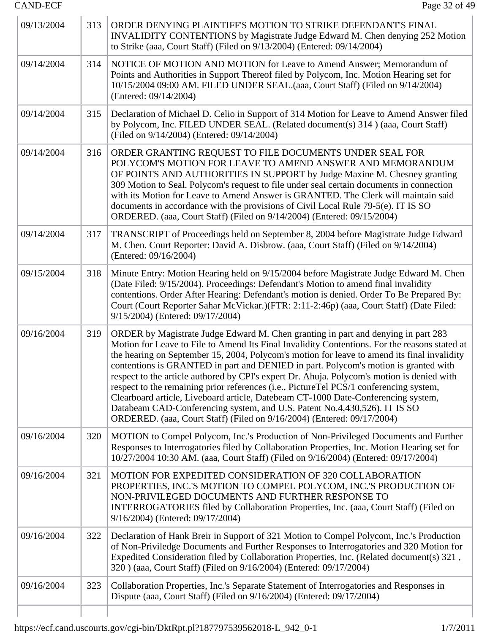$\mathcal{L}_{\mathcal{A}}$ 

÷.

| 09/13/2004 | 313 | ORDER DENYING PLAINTIFF'S MOTION TO STRIKE DEFENDANT'S FINAL<br>INVALIDITY CONTENTIONS by Magistrate Judge Edward M. Chen denying 252 Motion<br>to Strike (aaa, Court Staff) (Filed on 9/13/2004) (Entered: 09/14/2004)                                                                                                                                                                                                                                                                                                                                                                                                                                                                                                                                                                                      |
|------------|-----|--------------------------------------------------------------------------------------------------------------------------------------------------------------------------------------------------------------------------------------------------------------------------------------------------------------------------------------------------------------------------------------------------------------------------------------------------------------------------------------------------------------------------------------------------------------------------------------------------------------------------------------------------------------------------------------------------------------------------------------------------------------------------------------------------------------|
| 09/14/2004 | 314 | NOTICE OF MOTION AND MOTION for Leave to Amend Answer; Memorandum of<br>Points and Authorities in Support Thereof filed by Polycom, Inc. Motion Hearing set for<br>10/15/2004 09:00 AM. FILED UNDER SEAL.(aaa, Court Staff) (Filed on 9/14/2004)<br>(Entered: 09/14/2004)                                                                                                                                                                                                                                                                                                                                                                                                                                                                                                                                    |
| 09/14/2004 | 315 | Declaration of Michael D. Celio in Support of 314 Motion for Leave to Amend Answer filed<br>by Polycom, Inc. FILED UNDER SEAL. (Related document(s) 314) (aaa, Court Staff)<br>(Filed on 9/14/2004) (Entered: 09/14/2004)                                                                                                                                                                                                                                                                                                                                                                                                                                                                                                                                                                                    |
| 09/14/2004 | 316 | ORDER GRANTING REQUEST TO FILE DOCUMENTS UNDER SEAL FOR<br>POLYCOM'S MOTION FOR LEAVE TO AMEND ANSWER AND MEMORANDUM<br>OF POINTS AND AUTHORITIES IN SUPPORT by Judge Maxine M. Chesney granting<br>309 Motion to Seal. Polycom's request to file under seal certain documents in connection<br>with its Motion for Leave to Amend Answer is GRANTED. The Clerk will maintain said<br>documents in accordance with the provisions of Civil Local Rule 79-5(e). IT IS SO<br>ORDERED. (aaa, Court Staff) (Filed on 9/14/2004) (Entered: 09/15/2004)                                                                                                                                                                                                                                                            |
| 09/14/2004 | 317 | TRANSCRIPT of Proceedings held on September 8, 2004 before Magistrate Judge Edward<br>M. Chen. Court Reporter: David A. Disbrow. (aaa, Court Staff) (Filed on 9/14/2004)<br>(Entered: 09/16/2004)                                                                                                                                                                                                                                                                                                                                                                                                                                                                                                                                                                                                            |
| 09/15/2004 | 318 | Minute Entry: Motion Hearing held on 9/15/2004 before Magistrate Judge Edward M. Chen<br>(Date Filed: 9/15/2004). Proceedings: Defendant's Motion to amend final invalidity<br>contentions. Order After Hearing: Defendant's motion is denied. Order To Be Prepared By:<br>Court (Court Reporter Sahar McVickar.)(FTR: 2:11-2:46p) (aaa, Court Staff) (Date Filed:<br>9/15/2004) (Entered: 09/17/2004)                                                                                                                                                                                                                                                                                                                                                                                                       |
| 09/16/2004 | 319 | ORDER by Magistrate Judge Edward M. Chen granting in part and denying in part 283<br>Motion for Leave to File to Amend Its Final Invalidity Contentions. For the reasons stated at<br>the hearing on September 15, 2004, Polycom's motion for leave to amend its final invalidity<br>contentions is GRANTED in part and DENIED in part. Polycom's motion is granted with<br>respect to the article authored by CPI's expert Dr. Ahuja. Polycom's motion is denied with<br>respect to the remaining prior references (i.e., PictureTel PCS/1 conferencing system,<br>Clearboard article, Liveboard article, Datebeam CT-1000 Date-Conferencing system,<br>Databeam CAD-Conferencing system, and U.S. Patent No.4,430,526). IT IS SO<br>ORDERED. (aaa, Court Staff) (Filed on 9/16/2004) (Entered: 09/17/2004) |
| 09/16/2004 | 320 | MOTION to Compel Polycom, Inc.'s Production of Non-Privileged Documents and Further<br>Responses to Interrogatories filed by Collaboration Properties, Inc. Motion Hearing set for<br>10/27/2004 10:30 AM. (aaa, Court Staff) (Filed on 9/16/2004) (Entered: 09/17/2004)                                                                                                                                                                                                                                                                                                                                                                                                                                                                                                                                     |
| 09/16/2004 | 321 | MOTION FOR EXPEDITED CONSIDERATION OF 320 COLLABORATION<br>PROPERTIES, INC.'S MOTION TO COMPEL POLYCOM, INC.'S PRODUCTION OF<br>NON-PRIVILEGED DOCUMENTS AND FURTHER RESPONSE TO<br>INTERROGATORIES filed by Collaboration Properties, Inc. (aaa, Court Staff) (Filed on<br>9/16/2004) (Entered: 09/17/2004)                                                                                                                                                                                                                                                                                                                                                                                                                                                                                                 |
| 09/16/2004 | 322 | Declaration of Hank Breir in Support of 321 Motion to Compel Polycom, Inc.'s Production<br>of Non-Priviledge Documents and Further Responses to Interrogatories and 320 Motion for<br>Expedited Consideration filed by Collaboration Properties, Inc. (Related document(s) 321,<br>320) (aaa, Court Staff) (Filed on 9/16/2004) (Entered: 09/17/2004)                                                                                                                                                                                                                                                                                                                                                                                                                                                        |
| 09/16/2004 | 323 | Collaboration Properties, Inc.'s Separate Statement of Interrogatories and Responses in<br>Dispute (aaa, Court Staff) (Filed on 9/16/2004) (Entered: 09/17/2004)                                                                                                                                                                                                                                                                                                                                                                                                                                                                                                                                                                                                                                             |
|            |     |                                                                                                                                                                                                                                                                                                                                                                                                                                                                                                                                                                                                                                                                                                                                                                                                              |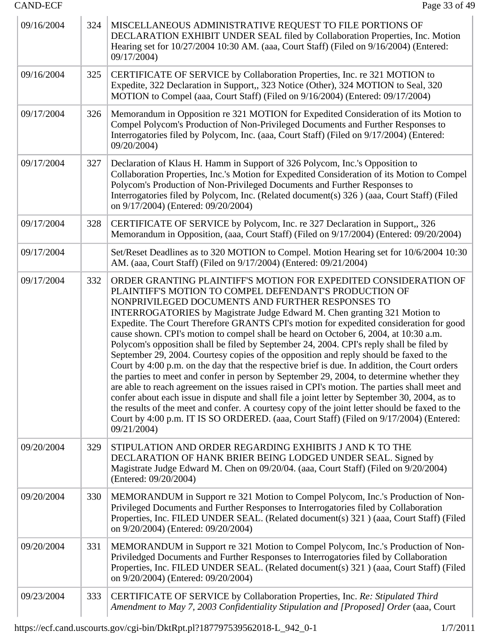| 09/16/2004 | 324 | MISCELLANEOUS ADMINISTRATIVE REQUEST TO FILE PORTIONS OF<br>DECLARATION EXHIBIT UNDER SEAL filed by Collaboration Properties, Inc. Motion<br>Hearing set for 10/27/2004 10:30 AM. (aaa, Court Staff) (Filed on 9/16/2004) (Entered:<br>09/17/2004)                                                                                                                                                                                                                                                                                                                                                                                                                                                                                                                                                                                                                                                                                                                                                                                                                                                                                                                                                                                            |
|------------|-----|-----------------------------------------------------------------------------------------------------------------------------------------------------------------------------------------------------------------------------------------------------------------------------------------------------------------------------------------------------------------------------------------------------------------------------------------------------------------------------------------------------------------------------------------------------------------------------------------------------------------------------------------------------------------------------------------------------------------------------------------------------------------------------------------------------------------------------------------------------------------------------------------------------------------------------------------------------------------------------------------------------------------------------------------------------------------------------------------------------------------------------------------------------------------------------------------------------------------------------------------------|
| 09/16/2004 | 325 | CERTIFICATE OF SERVICE by Collaboration Properties, Inc. re 321 MOTION to<br>Expedite, 322 Declaration in Support,, 323 Notice (Other), 324 MOTION to Seal, 320<br>MOTION to Compel (aaa, Court Staff) (Filed on 9/16/2004) (Entered: 09/17/2004)                                                                                                                                                                                                                                                                                                                                                                                                                                                                                                                                                                                                                                                                                                                                                                                                                                                                                                                                                                                             |
| 09/17/2004 | 326 | Memorandum in Opposition re 321 MOTION for Expedited Consideration of its Motion to<br>Compel Polycom's Production of Non-Privileged Documents and Further Responses to<br>Interrogatories filed by Polycom, Inc. (aaa, Court Staff) (Filed on 9/17/2004) (Entered:<br>09/20/2004)                                                                                                                                                                                                                                                                                                                                                                                                                                                                                                                                                                                                                                                                                                                                                                                                                                                                                                                                                            |
| 09/17/2004 | 327 | Declaration of Klaus H. Hamm in Support of 326 Polycom, Inc.'s Opposition to<br>Collaboration Properties, Inc.'s Motion for Expedited Consideration of its Motion to Compel<br>Polycom's Production of Non-Privileged Documents and Further Responses to<br>Interrogatories filed by Polycom, Inc. (Related document(s) 326) (aaa, Court Staff) (Filed<br>on 9/17/2004) (Entered: 09/20/2004)                                                                                                                                                                                                                                                                                                                                                                                                                                                                                                                                                                                                                                                                                                                                                                                                                                                 |
| 09/17/2004 | 328 | CERTIFICATE OF SERVICE by Polycom, Inc. re 327 Declaration in Support,, 326<br>Memorandum in Opposition, (aaa, Court Staff) (Filed on 9/17/2004) (Entered: 09/20/2004)                                                                                                                                                                                                                                                                                                                                                                                                                                                                                                                                                                                                                                                                                                                                                                                                                                                                                                                                                                                                                                                                        |
| 09/17/2004 |     | Set/Reset Deadlines as to 320 MOTION to Compel. Motion Hearing set for 10/6/2004 10:30<br>AM. (aaa, Court Staff) (Filed on 9/17/2004) (Entered: 09/21/2004)                                                                                                                                                                                                                                                                                                                                                                                                                                                                                                                                                                                                                                                                                                                                                                                                                                                                                                                                                                                                                                                                                   |
| 09/17/2004 | 332 | ORDER GRANTING PLAINTIFF'S MOTION FOR EXPEDITED CONSIDERATION OF<br>PLAINTIFF'S MOTION TO COMPEL DEFENDANT'S PRODUCTION OF<br>NONPRIVILEGED DOCUMENTS AND FURTHER RESPONSES TO<br>INTERROGATORIES by Magistrate Judge Edward M. Chen granting 321 Motion to<br>Expedite. The Court Therefore GRANTS CPI's motion for expedited consideration for good<br>cause shown. CPI's motion to compel shall be heard on October 6, 2004, at 10:30 a.m.<br>Polycom's opposition shall be filed by September 24, 2004. CPI's reply shall be filed by<br>September 29, 2004. Courtesy copies of the opposition and reply should be faxed to the<br>Court by 4:00 p.m. on the day that the respective brief is due. In addition, the Court orders<br>the parties to meet and confer in person by September 29, 2004, to determine whether they<br>are able to reach agreement on the issues raised in CPI's motion. The parties shall meet and<br>confer about each issue in dispute and shall file a joint letter by September 30, 2004, as to<br>the results of the meet and confer. A courtesy copy of the joint letter should be faxed to the<br>Court by 4:00 p.m. IT IS SO ORDERED. (aaa, Court Staff) (Filed on 9/17/2004) (Entered:<br>09/21/2004) |
| 09/20/2004 | 329 | STIPULATION AND ORDER REGARDING EXHIBITS J AND K TO THE<br>DECLARATION OF HANK BRIER BEING LODGED UNDER SEAL. Signed by<br>Magistrate Judge Edward M. Chen on 09/20/04. (aaa, Court Staff) (Filed on 9/20/2004)<br>(Entered: 09/20/2004)                                                                                                                                                                                                                                                                                                                                                                                                                                                                                                                                                                                                                                                                                                                                                                                                                                                                                                                                                                                                      |
| 09/20/2004 | 330 | MEMORANDUM in Support re 321 Motion to Compel Polycom, Inc.'s Production of Non-<br>Privileged Documents and Further Responses to Interrogatories filed by Collaboration<br>Properties, Inc. FILED UNDER SEAL. (Related document(s) 321) (aaa, Court Staff) (Filed<br>on 9/20/2004) (Entered: 09/20/2004)                                                                                                                                                                                                                                                                                                                                                                                                                                                                                                                                                                                                                                                                                                                                                                                                                                                                                                                                     |
| 09/20/2004 | 331 | MEMORANDUM in Support re 321 Motion to Compel Polycom, Inc.'s Production of Non-<br>Priviledged Documents and Further Responses to Interrogatories filed by Collaboration<br>Properties, Inc. FILED UNDER SEAL. (Related document(s) 321) (aaa, Court Staff) (Filed<br>on 9/20/2004) (Entered: 09/20/2004)                                                                                                                                                                                                                                                                                                                                                                                                                                                                                                                                                                                                                                                                                                                                                                                                                                                                                                                                    |
| 09/23/2004 | 333 | CERTIFICATE OF SERVICE by Collaboration Properties, Inc. Re: Stipulated Third<br>Amendment to May 7, 2003 Confidentiality Stipulation and [Proposed] Order (aaa, Court                                                                                                                                                                                                                                                                                                                                                                                                                                                                                                                                                                                                                                                                                                                                                                                                                                                                                                                                                                                                                                                                        |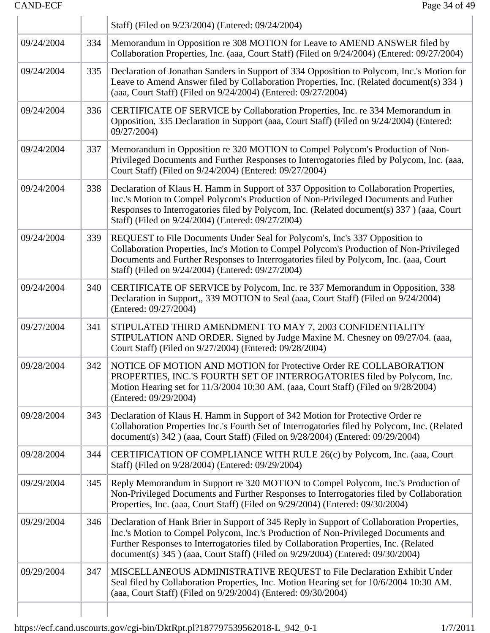$\begin{array}{c} \hline \end{array}$ 

|            |     | Staff) (Filed on 9/23/2004) (Entered: 09/24/2004)                                                                                                                                                                                                                                                                                                           |
|------------|-----|-------------------------------------------------------------------------------------------------------------------------------------------------------------------------------------------------------------------------------------------------------------------------------------------------------------------------------------------------------------|
| 09/24/2004 | 334 | Memorandum in Opposition re 308 MOTION for Leave to AMEND ANSWER filed by<br>Collaboration Properties, Inc. (aaa, Court Staff) (Filed on 9/24/2004) (Entered: 09/27/2004)                                                                                                                                                                                   |
| 09/24/2004 | 335 | Declaration of Jonathan Sanders in Support of 334 Opposition to Polycom, Inc.'s Motion for<br>Leave to Amend Answer filed by Collaboration Properties, Inc. (Related document(s) 334)<br>(aaa, Court Staff) (Filed on 9/24/2004) (Entered: 09/27/2004)                                                                                                      |
| 09/24/2004 | 336 | CERTIFICATE OF SERVICE by Collaboration Properties, Inc. re 334 Memorandum in<br>Opposition, 335 Declaration in Support (aaa, Court Staff) (Filed on 9/24/2004) (Entered:<br>09/27/2004)                                                                                                                                                                    |
| 09/24/2004 | 337 | Memorandum in Opposition re 320 MOTION to Compel Polycom's Production of Non-<br>Privileged Documents and Further Responses to Interrogatories filed by Polycom, Inc. (aaa,<br>Court Staff) (Filed on 9/24/2004) (Entered: 09/27/2004)                                                                                                                      |
| 09/24/2004 | 338 | Declaration of Klaus H. Hamm in Support of 337 Opposition to Collaboration Properties,<br>Inc.'s Motion to Compel Polycom's Production of Non-Privileged Documents and Futher<br>Responses to Interrogatories filed by Polycom, Inc. (Related document(s) 337) (aaa, Court<br>Staff) (Filed on 9/24/2004) (Entered: 09/27/2004)                             |
| 09/24/2004 | 339 | REQUEST to File Documents Under Seal for Polycom's, Inc's 337 Opposition to<br>Collaboration Properties, Inc's Motion to Compel Polycom's Production of Non-Privileged<br>Documents and Further Responses to Interrogatories filed by Polycom, Inc. (aaa, Court<br>Staff) (Filed on 9/24/2004) (Entered: 09/27/2004)                                        |
| 09/24/2004 | 340 | CERTIFICATE OF SERVICE by Polycom, Inc. re 337 Memorandum in Opposition, 338<br>Declaration in Support,, 339 MOTION to Seal (aaa, Court Staff) (Filed on 9/24/2004)<br>(Entered: 09/27/2004)                                                                                                                                                                |
| 09/27/2004 | 341 | STIPULATED THIRD AMENDMENT TO MAY 7, 2003 CONFIDENTIALITY<br>STIPULATION AND ORDER. Signed by Judge Maxine M. Chesney on 09/27/04. (aaa,<br>Court Staff) (Filed on 9/27/2004) (Entered: 09/28/2004)                                                                                                                                                         |
| 09/28/2004 | 342 | NOTICE OF MOTION AND MOTION for Protective Order RE COLLABORATION<br>PROPERTIES, INC.'S FOURTH SET OF INTERROGATORIES filed by Polycom, Inc.<br>Motion Hearing set for 11/3/2004 10:30 AM. (aaa, Court Staff) (Filed on 9/28/2004)<br>(Entered: 09/29/2004)                                                                                                 |
| 09/28/2004 | 343 | Declaration of Klaus H. Hamm in Support of 342 Motion for Protective Order re<br>Collaboration Properties Inc.'s Fourth Set of Interrogatories filed by Polycom, Inc. (Related<br>document(s) 342 ) (aaa, Court Staff) (Filed on 9/28/2004) (Entered: 09/29/2004)                                                                                           |
| 09/28/2004 | 344 | CERTIFICATION OF COMPLIANCE WITH RULE 26(c) by Polycom, Inc. (aaa, Court<br>Staff) (Filed on 9/28/2004) (Entered: 09/29/2004)                                                                                                                                                                                                                               |
| 09/29/2004 | 345 | Reply Memorandum in Support re 320 MOTION to Compel Polycom, Inc.'s Production of<br>Non-Privileged Documents and Further Responses to Interrogatories filed by Collaboration<br>Properties, Inc. (aaa, Court Staff) (Filed on 9/29/2004) (Entered: 09/30/2004)                                                                                             |
| 09/29/2004 | 346 | Declaration of Hank Brier in Support of 345 Reply in Support of Collaboration Properties,<br>Inc.'s Motion to Compel Polycom, Inc.'s Production of Non-Privileged Documents and<br>Further Responses to Interrogatories filed by Collaboration Properties, Inc. (Related<br>document(s) 345 ) (aaa, Court Staff) (Filed on 9/29/2004) (Entered: 09/30/2004) |
| 09/29/2004 | 347 | MISCELLANEOUS ADMINISTRATIVE REQUEST to File Declaration Exhibit Under<br>Seal filed by Collaboration Properties, Inc. Motion Hearing set for 10/6/2004 10:30 AM.<br>(aaa, Court Staff) (Filed on 9/29/2004) (Entered: 09/30/2004)                                                                                                                          |
|            |     |                                                                                                                                                                                                                                                                                                                                                             |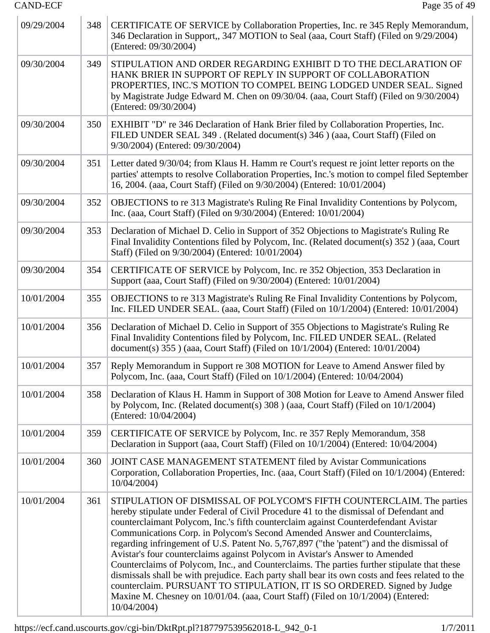| 09/29/2004 | 348 | CERTIFICATE OF SERVICE by Collaboration Properties, Inc. re 345 Reply Memorandum,<br>346 Declaration in Support,, 347 MOTION to Seal (aaa, Court Staff) (Filed on 9/29/2004)<br>(Entered: 09/30/2004)                                                                                                                                                                                                                                                                                                                                                                                                                                                                                                                                                                                                                                                                                            |
|------------|-----|--------------------------------------------------------------------------------------------------------------------------------------------------------------------------------------------------------------------------------------------------------------------------------------------------------------------------------------------------------------------------------------------------------------------------------------------------------------------------------------------------------------------------------------------------------------------------------------------------------------------------------------------------------------------------------------------------------------------------------------------------------------------------------------------------------------------------------------------------------------------------------------------------|
| 09/30/2004 | 349 | STIPULATION AND ORDER REGARDING EXHIBIT D TO THE DECLARATION OF<br>HANK BRIER IN SUPPORT OF REPLY IN SUPPORT OF COLLABORATION<br>PROPERTIES, INC.'S MOTION TO COMPEL BEING LODGED UNDER SEAL. Signed<br>by Magistrate Judge Edward M. Chen on 09/30/04. (aaa, Court Staff) (Filed on 9/30/2004)<br>(Entered: 09/30/2004)                                                                                                                                                                                                                                                                                                                                                                                                                                                                                                                                                                         |
| 09/30/2004 | 350 | EXHIBIT "D" re 346 Declaration of Hank Brier filed by Collaboration Properties, Inc.<br>FILED UNDER SEAL 349. (Related document(s) 346 ) (aaa, Court Staff) (Filed on<br>9/30/2004) (Entered: 09/30/2004)                                                                                                                                                                                                                                                                                                                                                                                                                                                                                                                                                                                                                                                                                        |
| 09/30/2004 | 351 | Letter dated 9/30/04; from Klaus H. Hamm re Court's request re joint letter reports on the<br>parties' attempts to resolve Collaboration Properties, Inc.'s motion to compel filed September<br>16, 2004. (aaa, Court Staff) (Filed on 9/30/2004) (Entered: 10/01/2004)                                                                                                                                                                                                                                                                                                                                                                                                                                                                                                                                                                                                                          |
| 09/30/2004 | 352 | OBJECTIONS to re 313 Magistrate's Ruling Re Final Invalidity Contentions by Polycom,<br>Inc. (aaa, Court Staff) (Filed on 9/30/2004) (Entered: 10/01/2004)                                                                                                                                                                                                                                                                                                                                                                                                                                                                                                                                                                                                                                                                                                                                       |
| 09/30/2004 | 353 | Declaration of Michael D. Celio in Support of 352 Objections to Magistrate's Ruling Re<br>Final Invalidity Contentions filed by Polycom, Inc. (Related document(s) 352) (aaa, Court<br>Staff) (Filed on 9/30/2004) (Entered: 10/01/2004)                                                                                                                                                                                                                                                                                                                                                                                                                                                                                                                                                                                                                                                         |
| 09/30/2004 | 354 | CERTIFICATE OF SERVICE by Polycom, Inc. re 352 Objection, 353 Declaration in<br>Support (aaa, Court Staff) (Filed on 9/30/2004) (Entered: 10/01/2004)                                                                                                                                                                                                                                                                                                                                                                                                                                                                                                                                                                                                                                                                                                                                            |
| 10/01/2004 | 355 | OBJECTIONS to re 313 Magistrate's Ruling Re Final Invalidity Contentions by Polycom,<br>Inc. FILED UNDER SEAL. (aaa, Court Staff) (Filed on 10/1/2004) (Entered: 10/01/2004)                                                                                                                                                                                                                                                                                                                                                                                                                                                                                                                                                                                                                                                                                                                     |
| 10/01/2004 | 356 | Declaration of Michael D. Celio in Support of 355 Objections to Magistrate's Ruling Re<br>Final Invalidity Contentions filed by Polycom, Inc. FILED UNDER SEAL. (Related<br>document(s) 355 ) (aaa, Court Staff) (Filed on 10/1/2004) (Entered: 10/01/2004)                                                                                                                                                                                                                                                                                                                                                                                                                                                                                                                                                                                                                                      |
| 10/01/2004 | 357 | Reply Memorandum in Support re 308 MOTION for Leave to Amend Answer filed by<br>Polycom, Inc. (aaa, Court Staff) (Filed on 10/1/2004) (Entered: 10/04/2004)                                                                                                                                                                                                                                                                                                                                                                                                                                                                                                                                                                                                                                                                                                                                      |
| 10/01/2004 | 358 | Declaration of Klaus H. Hamm in Support of 308 Motion for Leave to Amend Answer filed<br>by Polycom, Inc. (Related document(s) 308 ) (aaa, Court Staff) (Filed on 10/1/2004)<br>(Entered: 10/04/2004)                                                                                                                                                                                                                                                                                                                                                                                                                                                                                                                                                                                                                                                                                            |
| 10/01/2004 | 359 | CERTIFICATE OF SERVICE by Polycom, Inc. re 357 Reply Memorandum, 358<br>Declaration in Support (aaa, Court Staff) (Filed on 10/1/2004) (Entered: 10/04/2004)                                                                                                                                                                                                                                                                                                                                                                                                                                                                                                                                                                                                                                                                                                                                     |
| 10/01/2004 | 360 | JOINT CASE MANAGEMENT STATEMENT filed by Avistar Communications<br>Corporation, Collaboration Properties, Inc. (aaa, Court Staff) (Filed on 10/1/2004) (Entered:<br>10/04/2004)                                                                                                                                                                                                                                                                                                                                                                                                                                                                                                                                                                                                                                                                                                                  |
| 10/01/2004 | 361 | STIPULATION OF DISMISSAL OF POLYCOM'S FIFTH COUNTERCLAIM. The parties<br>hereby stipulate under Federal of Civil Procedure 41 to the dismissal of Defendant and<br>counterclaimant Polycom, Inc.'s fifth counterclaim against Counterdefendant Avistar<br>Communications Corp. in Polycom's Second Amended Answer and Counterclaims,<br>regarding infringement of U.S. Patent No. 5,767,897 ("the 'patent") and the dismissal of<br>Avistar's four counterclaims against Polycom in Avistar's Answer to Amended<br>Counterclaims of Polycom, Inc., and Counterclaims. The parties further stipulate that these<br>dismissals shall be with prejudice. Each party shall bear its own costs and fees related to the<br>counterclaim. PURSUANT TO STIPULATION, IT IS SO ORDERED. Signed by Judge<br>Maxine M. Chesney on 10/01/04. (aaa, Court Staff) (Filed on 10/1/2004) (Entered:<br>10/04/2004) |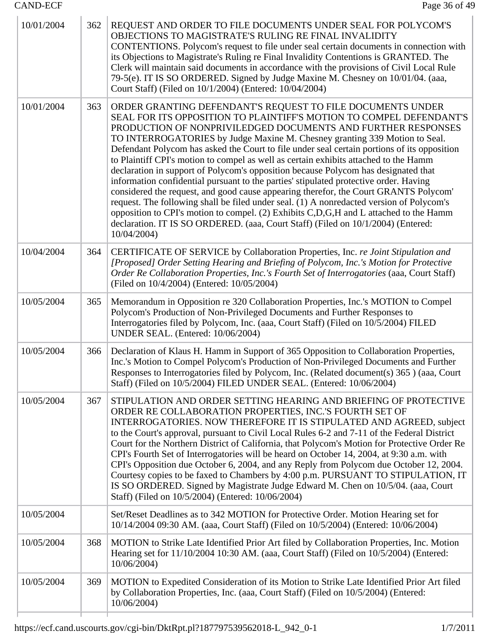| 10/01/2004 | 362 | REQUEST AND ORDER TO FILE DOCUMENTS UNDER SEAL FOR POLYCOM'S<br>OBJECTIONS TO MAGISTRATE'S RULING RE FINAL INVALIDITY<br>CONTENTIONS. Polycom's request to file under seal certain documents in connection with<br>its Objections to Magistrate's Ruling re Final Invalidity Contentions is GRANTED. The<br>Clerk will maintain said documents in accordance with the provisions of Civil Local Rule<br>79-5(e). IT IS SO ORDERED. Signed by Judge Maxine M. Chesney on 10/01/04. (aaa,<br>Court Staff) (Filed on 10/1/2004) (Entered: 10/04/2004)                                                                                                                                                                                                                                                                                                                                                                                                                                                                                    |
|------------|-----|---------------------------------------------------------------------------------------------------------------------------------------------------------------------------------------------------------------------------------------------------------------------------------------------------------------------------------------------------------------------------------------------------------------------------------------------------------------------------------------------------------------------------------------------------------------------------------------------------------------------------------------------------------------------------------------------------------------------------------------------------------------------------------------------------------------------------------------------------------------------------------------------------------------------------------------------------------------------------------------------------------------------------------------|
| 10/01/2004 | 363 | ORDER GRANTING DEFENDANT'S REQUEST TO FILE DOCUMENTS UNDER<br>SEAL FOR ITS OPPOSITION TO PLAINTIFF'S MOTION TO COMPEL DEFENDANT'S<br>PRODUCTION OF NONPRIVILEDGED DOCUMENTS AND FURTHER RESPONSES<br>TO INTERROGATORIES by Judge Maxine M. Chesney granting 339 Motion to Seal.<br>Defendant Polycom has asked the Court to file under seal certain portions of its opposition<br>to Plaintiff CPI's motion to compel as well as certain exhibits attached to the Hamm<br>declaration in support of Polycom's opposition because Polycom has designated that<br>information confidential pursuant to the parties' stipulated protective order. Having<br>considered the request, and good cause appearing therefor, the Court GRANTS Polycom'<br>request. The following shall be filed under seal. (1) A nonredacted version of Polycom's<br>opposition to CPI's motion to compel. (2) Exhibits C,D,G,H and L attached to the Hamm<br>declaration. IT IS SO ORDERED. (aaa, Court Staff) (Filed on 10/1/2004) (Entered:<br>10/04/2004) |
| 10/04/2004 | 364 | CERTIFICATE OF SERVICE by Collaboration Properties, Inc. re Joint Stipulation and<br>[Proposed] Order Setting Hearing and Briefing of Polycom, Inc.'s Motion for Protective<br>Order Re Collaboration Properties, Inc.'s Fourth Set of Interrogatories (aaa, Court Staff)<br>(Filed on 10/4/2004) (Entered: 10/05/2004)                                                                                                                                                                                                                                                                                                                                                                                                                                                                                                                                                                                                                                                                                                               |
| 10/05/2004 | 365 | Memorandum in Opposition re 320 Collaboration Properties, Inc.'s MOTION to Compel<br>Polycom's Production of Non-Privileged Documents and Further Responses to<br>Interrogatories filed by Polycom, Inc. (aaa, Court Staff) (Filed on 10/5/2004) FILED<br>UNDER SEAL. (Entered: 10/06/2004)                                                                                                                                                                                                                                                                                                                                                                                                                                                                                                                                                                                                                                                                                                                                           |
| 10/05/2004 | 366 | Declaration of Klaus H. Hamm in Support of 365 Opposition to Collaboration Properties,<br>Inc.'s Motion to Compel Polycom's Production of Non-Privileged Documents and Further<br>Responses to Interrogatories filed by Polycom, Inc. (Related document(s) 365 ) (aaa, Court<br>Staff) (Filed on 10/5/2004) FILED UNDER SEAL. (Entered: 10/06/2004)                                                                                                                                                                                                                                                                                                                                                                                                                                                                                                                                                                                                                                                                                   |
| 10/05/2004 | 367 | STIPULATION AND ORDER SETTING HEARING AND BRIEFING OF PROTECTIVE<br>ORDER RE COLLABORATION PROPERTIES, INC.'S FOURTH SET OF<br>INTERROGATORIES. NOW THEREFORE IT IS STIPULATED AND AGREED, subject<br>to the Court's approval, pursuant to Civil Local Rules 6-2 and 7-11 of the Federal District<br>Court for the Northern District of California, that Polycom's Motion for Protective Order Re<br>CPI's Fourth Set of Interrogatories will be heard on October 14, 2004, at 9:30 a.m. with<br>CPI's Opposition due October 6, 2004, and any Reply from Polycom due October 12, 2004.<br>Courtesy copies to be faxed to Chambers by 4:00 p.m. PURSUANT TO STIPULATION, IT<br>IS SO ORDERED. Signed by Magistrate Judge Edward M. Chen on 10/5/04. (aaa, Court<br>Staff) (Filed on 10/5/2004) (Entered: 10/06/2004)                                                                                                                                                                                                                  |
| 10/05/2004 |     | Set/Reset Deadlines as to 342 MOTION for Protective Order. Motion Hearing set for<br>10/14/2004 09:30 AM. (aaa, Court Staff) (Filed on 10/5/2004) (Entered: 10/06/2004)                                                                                                                                                                                                                                                                                                                                                                                                                                                                                                                                                                                                                                                                                                                                                                                                                                                               |
| 10/05/2004 | 368 | MOTION to Strike Late Identified Prior Art filed by Collaboration Properties, Inc. Motion<br>Hearing set for 11/10/2004 10:30 AM. (aaa, Court Staff) (Filed on 10/5/2004) (Entered:<br>10/06/2004)                                                                                                                                                                                                                                                                                                                                                                                                                                                                                                                                                                                                                                                                                                                                                                                                                                    |
| 10/05/2004 | 369 | MOTION to Expedited Consideration of its Motion to Strike Late Identified Prior Art filed<br>by Collaboration Properties, Inc. (aaa, Court Staff) (Filed on 10/5/2004) (Entered:<br>10/06/2004)                                                                                                                                                                                                                                                                                                                                                                                                                                                                                                                                                                                                                                                                                                                                                                                                                                       |
|            |     |                                                                                                                                                                                                                                                                                                                                                                                                                                                                                                                                                                                                                                                                                                                                                                                                                                                                                                                                                                                                                                       |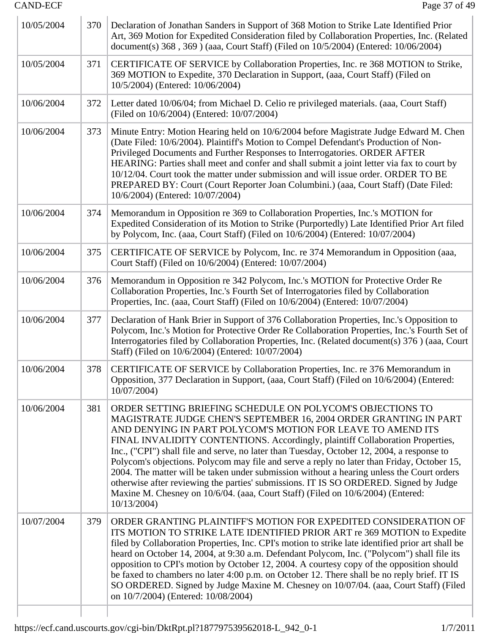| 10/05/2004 | 370 | Declaration of Jonathan Sanders in Support of 368 Motion to Strike Late Identified Prior<br>Art, 369 Motion for Expedited Consideration filed by Collaboration Properties, Inc. (Related<br>document(s) 368, 369) (aaa, Court Staff) (Filed on 10/5/2004) (Entered: 10/06/2004)                                                                                                                                                                                                                                                                                                                                                                                                                                                                                     |
|------------|-----|---------------------------------------------------------------------------------------------------------------------------------------------------------------------------------------------------------------------------------------------------------------------------------------------------------------------------------------------------------------------------------------------------------------------------------------------------------------------------------------------------------------------------------------------------------------------------------------------------------------------------------------------------------------------------------------------------------------------------------------------------------------------|
| 10/05/2004 | 371 | CERTIFICATE OF SERVICE by Collaboration Properties, Inc. re 368 MOTION to Strike,<br>369 MOTION to Expedite, 370 Declaration in Support, (aaa, Court Staff) (Filed on<br>10/5/2004) (Entered: 10/06/2004)                                                                                                                                                                                                                                                                                                                                                                                                                                                                                                                                                           |
| 10/06/2004 | 372 | Letter dated 10/06/04; from Michael D. Celio re privileged materials. (aaa, Court Staff)<br>(Filed on 10/6/2004) (Entered: 10/07/2004)                                                                                                                                                                                                                                                                                                                                                                                                                                                                                                                                                                                                                              |
| 10/06/2004 | 373 | Minute Entry: Motion Hearing held on 10/6/2004 before Magistrate Judge Edward M. Chen<br>(Date Filed: 10/6/2004). Plaintiff's Motion to Compel Defendant's Production of Non-<br>Privileged Documents and Further Responses to Interrogatories. ORDER AFTER<br>HEARING: Parties shall meet and confer and shall submit a joint letter via fax to court by<br>10/12/04. Court took the matter under submission and will issue order. ORDER TO BE<br>PREPARED BY: Court (Court Reporter Joan Columbini.) (aaa, Court Staff) (Date Filed:<br>10/6/2004) (Entered: 10/07/2004)                                                                                                                                                                                          |
| 10/06/2004 | 374 | Memorandum in Opposition re 369 to Collaboration Properties, Inc.'s MOTION for<br>Expedited Consideration of its Motion to Strike (Purportedly) Late Identified Prior Art filed<br>by Polycom, Inc. (aaa, Court Staff) (Filed on 10/6/2004) (Entered: 10/07/2004)                                                                                                                                                                                                                                                                                                                                                                                                                                                                                                   |
| 10/06/2004 | 375 | CERTIFICATE OF SERVICE by Polycom, Inc. re 374 Memorandum in Opposition (aaa,<br>Court Staff) (Filed on 10/6/2004) (Entered: 10/07/2004)                                                                                                                                                                                                                                                                                                                                                                                                                                                                                                                                                                                                                            |
| 10/06/2004 | 376 | Memorandum in Opposition re 342 Polycom, Inc.'s MOTION for Protective Order Re<br>Collaboration Properties, Inc.'s Fourth Set of Interrogatories filed by Collaboration<br>Properties, Inc. (aaa, Court Staff) (Filed on 10/6/2004) (Entered: 10/07/2004)                                                                                                                                                                                                                                                                                                                                                                                                                                                                                                           |
| 10/06/2004 | 377 | Declaration of Hank Brier in Support of 376 Collaboration Properties, Inc.'s Opposition to<br>Polycom, Inc.'s Motion for Protective Order Re Collaboration Properties, Inc.'s Fourth Set of<br>Interrogatories filed by Collaboration Properties, Inc. (Related document(s) 376) (aaa, Court<br>Staff) (Filed on 10/6/2004) (Entered: 10/07/2004)                                                                                                                                                                                                                                                                                                                                                                                                                   |
| 10/06/2004 | 378 | CERTIFICATE OF SERVICE by Collaboration Properties, Inc. re 376 Memorandum in<br>Opposition, 377 Declaration in Support, (aaa, Court Staff) (Filed on 10/6/2004) (Entered:<br>10/07/2004)                                                                                                                                                                                                                                                                                                                                                                                                                                                                                                                                                                           |
| 10/06/2004 | 381 | ORDER SETTING BRIEFING SCHEDULE ON POLYCOM'S OBJECTIONS TO<br>MAGISTRATE JUDGE CHEN'S SEPTEMBER 16, 2004 ORDER GRANTING IN PART<br>AND DENYING IN PART POLYCOM'S MOTION FOR LEAVE TO AMEND ITS<br>FINAL INVALIDITY CONTENTIONS. Accordingly, plaintiff Collaboration Properties,<br>Inc., ("CPI") shall file and serve, no later than Tuesday, October 12, 2004, a response to<br>Polycom's objections. Polycom may file and serve a reply no later than Friday, October 15,<br>2004. The matter will be taken under submission without a hearing unless the Court orders<br>otherwise after reviewing the parties' submissions. IT IS SO ORDERED. Signed by Judge<br>Maxine M. Chesney on 10/6/04. (aaa, Court Staff) (Filed on 10/6/2004) (Entered:<br>10/13/2004 |
| 10/07/2004 | 379 | ORDER GRANTING PLAINTIFF'S MOTION FOR EXPEDITED CONSIDERATION OF<br>ITS MOTION TO STRIKE LATE IDENTIFIED PRIOR ART re 369 MOTION to Expedite<br>filed by Collaboration Properties, Inc. CPI's motion to strike late identified prior art shall be<br>heard on October 14, 2004, at 9:30 a.m. Defendant Polycom, Inc. ("Polycom") shall file its<br>opposition to CPI's motion by October 12, 2004. A courtesy copy of the opposition should<br>be faxed to chambers no later 4:00 p.m. on October 12. There shall be no reply brief. IT IS<br>SO ORDERED. Signed by Judge Maxine M. Chesney on 10/07/04. (aaa, Court Staff) (Filed<br>on 10/7/2004) (Entered: 10/08/2004)                                                                                           |
|            |     |                                                                                                                                                                                                                                                                                                                                                                                                                                                                                                                                                                                                                                                                                                                                                                     |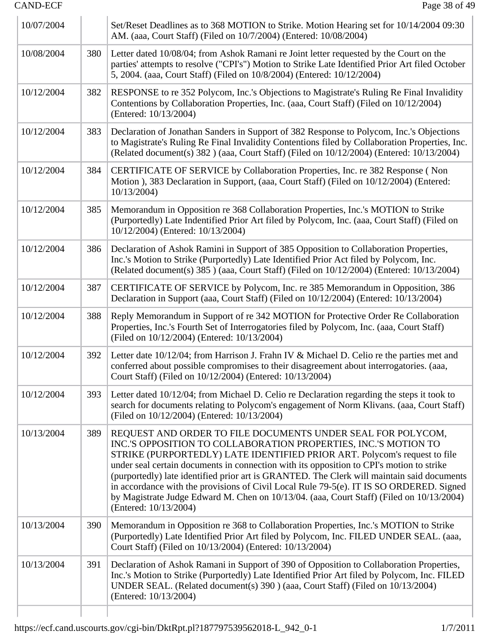| 10/07/2004 |     | Set/Reset Deadlines as to 368 MOTION to Strike. Motion Hearing set for 10/14/2004 09:30<br>AM. (aaa, Court Staff) (Filed on 10/7/2004) (Entered: 10/08/2004)                                                                                                                                                                                                                                                                                                                                                                                                                                                          |
|------------|-----|-----------------------------------------------------------------------------------------------------------------------------------------------------------------------------------------------------------------------------------------------------------------------------------------------------------------------------------------------------------------------------------------------------------------------------------------------------------------------------------------------------------------------------------------------------------------------------------------------------------------------|
| 10/08/2004 | 380 | Letter dated 10/08/04; from Ashok Ramani re Joint letter requested by the Court on the<br>parties' attempts to resolve ("CPI's") Motion to Strike Late Identified Prior Art filed October<br>5, 2004. (aaa, Court Staff) (Filed on 10/8/2004) (Entered: 10/12/2004)                                                                                                                                                                                                                                                                                                                                                   |
| 10/12/2004 | 382 | RESPONSE to re 352 Polycom, Inc.'s Objections to Magistrate's Ruling Re Final Invalidity<br>Contentions by Collaboration Properties, Inc. (aaa, Court Staff) (Filed on 10/12/2004)<br>(Entered: 10/13/2004)                                                                                                                                                                                                                                                                                                                                                                                                           |
| 10/12/2004 | 383 | Declaration of Jonathan Sanders in Support of 382 Response to Polycom, Inc.'s Objections<br>to Magistrate's Ruling Re Final Invalidity Contentions filed by Collaboration Properties, Inc.<br>(Related document(s) 382) (aaa, Court Staff) (Filed on 10/12/2004) (Entered: 10/13/2004)                                                                                                                                                                                                                                                                                                                                |
| 10/12/2004 | 384 | CERTIFICATE OF SERVICE by Collaboration Properties, Inc. re 382 Response (Non<br>Motion), 383 Declaration in Support, (aaa, Court Staff) (Filed on 10/12/2004) (Entered:<br>10/13/2004                                                                                                                                                                                                                                                                                                                                                                                                                                |
| 10/12/2004 | 385 | Memorandum in Opposition re 368 Collaboration Properties, Inc.'s MOTION to Strike<br>(Purportedly) Late Indentified Prior Art filed by Polycom, Inc. (aaa, Court Staff) (Filed on<br>10/12/2004) (Entered: 10/13/2004)                                                                                                                                                                                                                                                                                                                                                                                                |
| 10/12/2004 | 386 | Declaration of Ashok Ramini in Support of 385 Opposition to Collaboration Properties,<br>Inc.'s Motion to Strike (Purportedly) Late Identified Prior Act filed by Polycom, Inc.<br>(Related document(s) 385 ) (aaa, Court Staff) (Filed on 10/12/2004) (Entered: 10/13/2004)                                                                                                                                                                                                                                                                                                                                          |
| 10/12/2004 | 387 | CERTIFICATE OF SERVICE by Polycom, Inc. re 385 Memorandum in Opposition, 386<br>Declaration in Support (aaa, Court Staff) (Filed on 10/12/2004) (Entered: 10/13/2004)                                                                                                                                                                                                                                                                                                                                                                                                                                                 |
| 10/12/2004 | 388 | Reply Memorandum in Support of re 342 MOTION for Protective Order Re Collaboration<br>Properties, Inc.'s Fourth Set of Interrogatories filed by Polycom, Inc. (aaa, Court Staff)<br>(Filed on 10/12/2004) (Entered: 10/13/2004)                                                                                                                                                                                                                                                                                                                                                                                       |
| 10/12/2004 | 392 | Letter date 10/12/04; from Harrison J. Frahn IV & Michael D. Celio re the parties met and<br>conferred about possible compromises to their disagreement about interrogatories. (aaa,<br>Court Staff) (Filed on 10/12/2004) (Entered: 10/13/2004)                                                                                                                                                                                                                                                                                                                                                                      |
| 10/12/2004 | 393 | Letter dated 10/12/04; from Michael D. Celio re Declaration regarding the steps it took to<br>search for documents relating to Polycom's engagement of Norm Klivans. (aaa, Court Staff)<br>(Filed on 10/12/2004) (Entered: 10/13/2004)                                                                                                                                                                                                                                                                                                                                                                                |
| 10/13/2004 | 389 | REQUEST AND ORDER TO FILE DOCUMENTS UNDER SEAL FOR POLYCOM,<br>INC.'S OPPOSITION TO COLLABORATION PROPERTIES, INC.'S MOTION TO<br>STRIKE (PURPORTEDLY) LATE IDENTIFIED PRIOR ART. Polycom's request to file<br>under seal certain documents in connection with its opposition to CPI's motion to strike<br>(purportedly) late identified prior art is GRANTED. The Clerk will maintain said documents<br>in accordance with the provisions of Civil Local Rule 79-5(e). IT IS SO ORDERED. Signed<br>by Magistrate Judge Edward M. Chen on 10/13/04. (aaa, Court Staff) (Filed on 10/13/2004)<br>(Entered: 10/13/2004) |
| 10/13/2004 | 390 | Memorandum in Opposition re 368 to Collaboration Properties, Inc.'s MOTION to Strike<br>(Purportedly) Late Identified Prior Art filed by Polycom, Inc. FILED UNDER SEAL. (aaa,<br>Court Staff) (Filed on 10/13/2004) (Entered: 10/13/2004)                                                                                                                                                                                                                                                                                                                                                                            |
| 10/13/2004 | 391 | Declaration of Ashok Ramani in Support of 390 of Opposition to Collaboration Properties,<br>Inc.'s Motion to Strike (Purportedly) Late Identified Prior Art filed by Polycom, Inc. FILED<br>UNDER SEAL. (Related document(s) 390 ) (aaa, Court Staff) (Filed on 10/13/2004)<br>(Entered: 10/13/2004)                                                                                                                                                                                                                                                                                                                  |
|            |     |                                                                                                                                                                                                                                                                                                                                                                                                                                                                                                                                                                                                                       |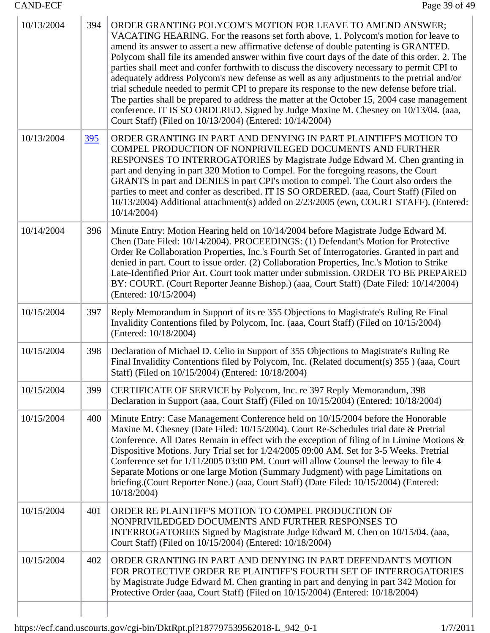$\begin{array}{c} \hline \end{array}$ 

| 10/13/2004 | 394        | ORDER GRANTING POLYCOM'S MOTION FOR LEAVE TO AMEND ANSWER;<br>VACATING HEARING. For the reasons set forth above, 1. Polycom's motion for leave to<br>amend its answer to assert a new affirmative defense of double patenting is GRANTED.<br>Polycom shall file its amended answer within five court days of the date of this order. 2. The<br>parties shall meet and confer forthwith to discuss the discovery necessary to permit CPI to<br>adequately address Polycom's new defense as well as any adjustments to the pretrial and/or<br>trial schedule needed to permit CPI to prepare its response to the new defense before trial.<br>The parties shall be prepared to address the matter at the October 15, 2004 case management<br>conference. IT IS SO ORDERED. Signed by Judge Maxine M. Chesney on 10/13/04. (aaa,<br>Court Staff) (Filed on 10/13/2004) (Entered: 10/14/2004) |
|------------|------------|-------------------------------------------------------------------------------------------------------------------------------------------------------------------------------------------------------------------------------------------------------------------------------------------------------------------------------------------------------------------------------------------------------------------------------------------------------------------------------------------------------------------------------------------------------------------------------------------------------------------------------------------------------------------------------------------------------------------------------------------------------------------------------------------------------------------------------------------------------------------------------------------|
| 10/13/2004 | <u>395</u> | ORDER GRANTING IN PART AND DENYING IN PART PLAINTIFF'S MOTION TO<br>COMPEL PRODUCTION OF NONPRIVILEGED DOCUMENTS AND FURTHER<br>RESPONSES TO INTERROGATORIES by Magistrate Judge Edward M. Chen granting in<br>part and denying in part 320 Motion to Compel. For the foregoing reasons, the Court<br>GRANTS in part and DENIES in part CPI's motion to compel. The Court also orders the<br>parties to meet and confer as described. IT IS SO ORDERED. (aaa, Court Staff) (Filed on<br>10/13/2004) Additional attachment(s) added on 2/23/2005 (ewn, COURT STAFF). (Entered:<br>10/14/2004)                                                                                                                                                                                                                                                                                              |
| 10/14/2004 | 396        | Minute Entry: Motion Hearing held on 10/14/2004 before Magistrate Judge Edward M.<br>Chen (Date Filed: 10/14/2004). PROCEEDINGS: (1) Defendant's Motion for Protective<br>Order Re Collaboration Properties, Inc.'s Fourth Set of Interrogatories. Granted in part and<br>denied in part. Court to issue order. (2) Collaboration Properties, Inc.'s Motion to Strike<br>Late-Identified Prior Art. Court took matter under submission. ORDER TO BE PREPARED<br>BY: COURT. (Court Reporter Jeanne Bishop.) (aaa, Court Staff) (Date Filed: 10/14/2004)<br>(Entered: 10/15/2004)                                                                                                                                                                                                                                                                                                           |
| 10/15/2004 | 397        | Reply Memorandum in Support of its re 355 Objections to Magistrate's Ruling Re Final<br>Invalidity Contentions filed by Polycom, Inc. (aaa, Court Staff) (Filed on 10/15/2004)<br>(Entered: 10/18/2004)                                                                                                                                                                                                                                                                                                                                                                                                                                                                                                                                                                                                                                                                                   |
| 10/15/2004 | 398        | Declaration of Michael D. Celio in Support of 355 Objections to Magistrate's Ruling Re<br>Final Invalidity Contentions filed by Polycom, Inc. (Related document(s) 355 ) (aaa, Court<br>Staff) (Filed on 10/15/2004) (Entered: 10/18/2004)                                                                                                                                                                                                                                                                                                                                                                                                                                                                                                                                                                                                                                                |
| 10/15/2004 | 399        | CERTIFICATE OF SERVICE by Polycom, Inc. re 397 Reply Memorandum, 398<br>Declaration in Support (aaa, Court Staff) (Filed on 10/15/2004) (Entered: 10/18/2004)                                                                                                                                                                                                                                                                                                                                                                                                                                                                                                                                                                                                                                                                                                                             |
| 10/15/2004 | 400        | Minute Entry: Case Management Conference held on 10/15/2004 before the Honorable<br>Maxine M. Chesney (Date Filed: 10/15/2004). Court Re-Schedules trial date & Pretrial<br>Conference. All Dates Remain in effect with the exception of filing of in Limine Motions &<br>Dispositive Motions. Jury Trial set for 1/24/2005 09:00 AM. Set for 3-5 Weeks. Pretrial<br>Conference set for 1/11/2005 03:00 PM. Court will allow Counsel the leeway to file 4<br>Separate Motions or one large Motion (Summary Judgment) with page Limitations on<br>briefing.(Court Reporter None.) (aaa, Court Staff) (Date Filed: 10/15/2004) (Entered:<br>10/18/2004)                                                                                                                                                                                                                                     |
| 10/15/2004 | 401        | ORDER RE PLAINTIFF'S MOTION TO COMPEL PRODUCTION OF<br>NONPRIVILEDGED DOCUMENTS AND FURTHER RESPONSES TO<br>INTERROGATORIES Signed by Magistrate Judge Edward M. Chen on 10/15/04. (aaa,<br>Court Staff) (Filed on 10/15/2004) (Entered: 10/18/2004)                                                                                                                                                                                                                                                                                                                                                                                                                                                                                                                                                                                                                                      |
| 10/15/2004 | 402        | ORDER GRANTING IN PART AND DENYING IN PART DEFENDANT'S MOTION<br>FOR PROTECTIVE ORDER RE PLAINTIFF'S FOURTH SET OF INTERROGATORIES<br>by Magistrate Judge Edward M. Chen granting in part and denying in part 342 Motion for<br>Protective Order (aaa, Court Staff) (Filed on 10/15/2004) (Entered: 10/18/2004)                                                                                                                                                                                                                                                                                                                                                                                                                                                                                                                                                                           |
|            |            |                                                                                                                                                                                                                                                                                                                                                                                                                                                                                                                                                                                                                                                                                                                                                                                                                                                                                           |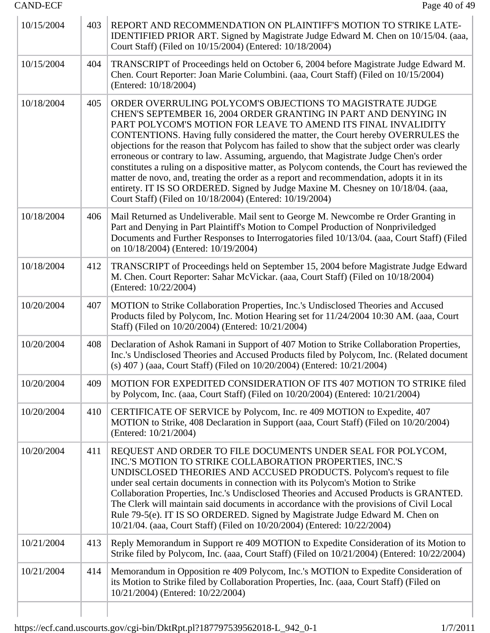| 10/15/2004 | 403 | REPORT AND RECOMMENDATION ON PLAINTIFF'S MOTION TO STRIKE LATE-<br>IDENTIFIED PRIOR ART. Signed by Magistrate Judge Edward M. Chen on 10/15/04. (aaa,<br>Court Staff) (Filed on 10/15/2004) (Entered: 10/18/2004)                                                                                                                                                                                                                                                                                                                                                                                                                                                                                                                                                                                                     |
|------------|-----|-----------------------------------------------------------------------------------------------------------------------------------------------------------------------------------------------------------------------------------------------------------------------------------------------------------------------------------------------------------------------------------------------------------------------------------------------------------------------------------------------------------------------------------------------------------------------------------------------------------------------------------------------------------------------------------------------------------------------------------------------------------------------------------------------------------------------|
| 10/15/2004 | 404 | TRANSCRIPT of Proceedings held on October 6, 2004 before Magistrate Judge Edward M.<br>Chen. Court Reporter: Joan Marie Columbini. (aaa, Court Staff) (Filed on 10/15/2004)<br>(Entered: 10/18/2004)                                                                                                                                                                                                                                                                                                                                                                                                                                                                                                                                                                                                                  |
| 10/18/2004 | 405 | ORDER OVERRULING POLYCOM'S OBJECTIONS TO MAGISTRATE JUDGE<br>CHEN'S SEPTEMBER 16, 2004 ORDER GRANTING IN PART AND DENYING IN<br>PART POLYCOM'S MOTION FOR LEAVE TO AMEND ITS FINAL INVALIDITY<br>CONTENTIONS. Having fully considered the matter, the Court hereby OVERRULES the<br>objections for the reason that Polycom has failed to show that the subject order was clearly<br>erroneous or contrary to law. Assuming, arguendo, that Magistrate Judge Chen's order<br>constitutes a ruling on a dispositive matter, as Polycom contends, the Court has reviewed the<br>matter de novo, and, treating the order as a report and recommendation, adopts it in its<br>entirety. IT IS SO ORDERED. Signed by Judge Maxine M. Chesney on 10/18/04. (aaa,<br>Court Staff) (Filed on 10/18/2004) (Entered: 10/19/2004) |
| 10/18/2004 | 406 | Mail Returned as Undeliverable. Mail sent to George M. Newcombe re Order Granting in<br>Part and Denying in Part Plaintiff's Motion to Compel Production of Nonpriviledged<br>Documents and Further Responses to Interrogatories filed 10/13/04. (aaa, Court Staff) (Filed<br>on 10/18/2004) (Entered: 10/19/2004)                                                                                                                                                                                                                                                                                                                                                                                                                                                                                                    |
| 10/18/2004 | 412 | TRANSCRIPT of Proceedings held on September 15, 2004 before Magistrate Judge Edward<br>M. Chen. Court Reporter: Sahar McVickar. (aaa, Court Staff) (Filed on 10/18/2004)<br>(Entered: 10/22/2004)                                                                                                                                                                                                                                                                                                                                                                                                                                                                                                                                                                                                                     |
| 10/20/2004 | 407 | MOTION to Strike Collaboration Properties, Inc.'s Undisclosed Theories and Accused<br>Products filed by Polycom, Inc. Motion Hearing set for 11/24/2004 10:30 AM. (aaa, Court<br>Staff) (Filed on 10/20/2004) (Entered: 10/21/2004)                                                                                                                                                                                                                                                                                                                                                                                                                                                                                                                                                                                   |
| 10/20/2004 | 408 | Declaration of Ashok Ramani in Support of 407 Motion to Strike Collaboration Properties,<br>Inc.'s Undisclosed Theories and Accused Products filed by Polycom, Inc. (Related document<br>(s) 407 ) (aaa, Court Staff) (Filed on 10/20/2004) (Entered: 10/21/2004)                                                                                                                                                                                                                                                                                                                                                                                                                                                                                                                                                     |
| 10/20/2004 | 409 | MOTION FOR EXPEDITED CONSIDERATION OF ITS 407 MOTION TO STRIKE filed<br>by Polycom, Inc. (aaa, Court Staff) (Filed on 10/20/2004) (Entered: 10/21/2004)                                                                                                                                                                                                                                                                                                                                                                                                                                                                                                                                                                                                                                                               |
| 10/20/2004 | 410 | CERTIFICATE OF SERVICE by Polycom, Inc. re 409 MOTION to Expedite, 407<br>MOTION to Strike, 408 Declaration in Support (aaa, Court Staff) (Filed on 10/20/2004)<br>(Entered: 10/21/2004)                                                                                                                                                                                                                                                                                                                                                                                                                                                                                                                                                                                                                              |
| 10/20/2004 | 411 | REQUEST AND ORDER TO FILE DOCUMENTS UNDER SEAL FOR POLYCOM,<br>INC.'S MOTION TO STRIKE COLLABORATION PROPERTIES, INC.'S<br>UNDISCLOSED THEORIES AND ACCUSED PRODUCTS. Polycom's request to file<br>under seal certain documents in connection with its Polycom's Motion to Strike<br>Collaboration Properties, Inc.'s Undisclosed Theories and Accused Products is GRANTED.<br>The Clerk will maintain said documents in accordance with the provisions of Civil Local<br>Rule 79-5(e). IT IS SO ORDERED. Signed by Magistrate Judge Edward M. Chen on<br>10/21/04. (aaa, Court Staff) (Filed on 10/20/2004) (Entered: 10/22/2004)                                                                                                                                                                                    |
| 10/21/2004 | 413 | Reply Memorandum in Support re 409 MOTION to Expedite Consideration of its Motion to<br>Strike filed by Polycom, Inc. (aaa, Court Staff) (Filed on 10/21/2004) (Entered: 10/22/2004)                                                                                                                                                                                                                                                                                                                                                                                                                                                                                                                                                                                                                                  |
| 10/21/2004 | 414 | Memorandum in Opposition re 409 Polycom, Inc.'s MOTION to Expedite Consideration of<br>its Motion to Strike filed by Collaboration Properties, Inc. (aaa, Court Staff) (Filed on<br>10/21/2004) (Entered: 10/22/2004)                                                                                                                                                                                                                                                                                                                                                                                                                                                                                                                                                                                                 |
|            |     |                                                                                                                                                                                                                                                                                                                                                                                                                                                                                                                                                                                                                                                                                                                                                                                                                       |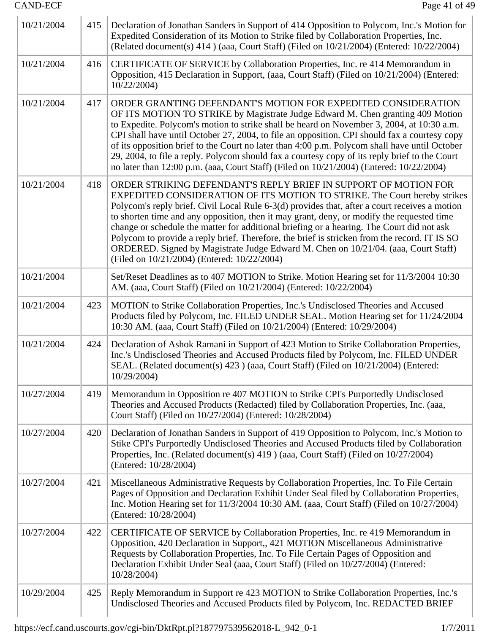| 10/21/2004 | 415 | Declaration of Jonathan Sanders in Support of 414 Opposition to Polycom, Inc.'s Motion for<br>Expedited Consideration of its Motion to Strike filed by Collaboration Properties, Inc.<br>(Related document(s) 414 ) (aaa, Court Staff) (Filed on 10/21/2004) (Entered: 10/22/2004)                                                                                                                                                                                                                                                                                                                                                                                           |
|------------|-----|------------------------------------------------------------------------------------------------------------------------------------------------------------------------------------------------------------------------------------------------------------------------------------------------------------------------------------------------------------------------------------------------------------------------------------------------------------------------------------------------------------------------------------------------------------------------------------------------------------------------------------------------------------------------------|
| 10/21/2004 | 416 | CERTIFICATE OF SERVICE by Collaboration Properties, Inc. re 414 Memorandum in<br>Opposition, 415 Declaration in Support, (aaa, Court Staff) (Filed on 10/21/2004) (Entered:<br>10/22/2004                                                                                                                                                                                                                                                                                                                                                                                                                                                                                    |
| 10/21/2004 | 417 | ORDER GRANTING DEFENDANT'S MOTION FOR EXPEDITED CONSIDERATION<br>OF ITS MOTION TO STRIKE by Magistrate Judge Edward M. Chen granting 409 Motion<br>to Expedite. Polycom's motion to strike shall be heard on November 3, 2004, at 10:30 a.m.<br>CPI shall have until October 27, 2004, to file an opposition. CPI should fax a courtesy copy<br>of its opposition brief to the Court no later than 4:00 p.m. Polycom shall have until October<br>29, 2004, to file a reply. Polycom should fax a courtesy copy of its reply brief to the Court<br>no later than 12:00 p.m. (aaa, Court Staff) (Filed on 10/21/2004) (Entered: 10/22/2004)                                    |
| 10/21/2004 | 418 | ORDER STRIKING DEFENDANT'S REPLY BRIEF IN SUPPORT OF MOTION FOR<br>EXPEDITED CONSIDERATION OF ITS MOTION TO STRIKE. The Court hereby strikes<br>Polycom's reply brief. Civil Local Rule 6-3(d) provides that, after a court receives a motion<br>to shorten time and any opposition, then it may grant, deny, or modify the requested time<br>change or schedule the matter for additional briefing or a hearing. The Court did not ask<br>Polycom to provide a reply brief. Therefore, the brief is stricken from the record. IT IS SO<br>ORDERED. Signed by Magistrate Judge Edward M. Chen on 10/21/04. (aaa, Court Staff)<br>(Filed on 10/21/2004) (Entered: 10/22/2004) |
| 10/21/2004 |     | Set/Reset Deadlines as to 407 MOTION to Strike. Motion Hearing set for 11/3/2004 10:30<br>AM. (aaa, Court Staff) (Filed on 10/21/2004) (Entered: 10/22/2004)                                                                                                                                                                                                                                                                                                                                                                                                                                                                                                                 |
| 10/21/2004 | 423 | MOTION to Strike Collaboration Properties, Inc.'s Undisclosed Theories and Accused<br>Products filed by Polycom, Inc. FILED UNDER SEAL. Motion Hearing set for 11/24/2004<br>10:30 AM. (aaa, Court Staff) (Filed on 10/21/2004) (Entered: 10/29/2004)                                                                                                                                                                                                                                                                                                                                                                                                                        |
| 10/21/2004 | 424 | Declaration of Ashok Ramani in Support of 423 Motion to Strike Collaboration Properties,<br>Inc.'s Undisclosed Theories and Accused Products filed by Polycom, Inc. FILED UNDER<br>SEAL. (Related document(s) 423 ) (aaa, Court Staff) (Filed on 10/21/2004) (Entered:<br>10/29/2004)                                                                                                                                                                                                                                                                                                                                                                                        |
| 10/27/2004 | 419 | Memorandum in Opposition re 407 MOTION to Strike CPI's Purportedly Undisclosed<br>Theories and Accused Products (Redacted) filed by Collaboration Properties, Inc. (aaa,<br>Court Staff) (Filed on 10/27/2004) (Entered: 10/28/2004)                                                                                                                                                                                                                                                                                                                                                                                                                                         |
| 10/27/2004 | 420 | Declaration of Jonathan Sanders in Support of 419 Opposition to Polycom, Inc.'s Motion to<br>Stike CPI's Purportedly Undisclosed Theories and Accused Products filed by Collaboration<br>Properties, Inc. (Related document(s) 419 ) (aaa, Court Staff) (Filed on 10/27/2004)<br>(Entered: 10/28/2004)                                                                                                                                                                                                                                                                                                                                                                       |
| 10/27/2004 | 421 | Miscellaneous Administrative Requests by Collaboration Properties, Inc. To File Certain<br>Pages of Opposition and Declaration Exhibit Under Seal filed by Collaboration Properties,<br>Inc. Motion Hearing set for 11/3/2004 10:30 AM. (aaa, Court Staff) (Filed on 10/27/2004)<br>(Entered: 10/28/2004)                                                                                                                                                                                                                                                                                                                                                                    |
| 10/27/2004 | 422 | CERTIFICATE OF SERVICE by Collaboration Properties, Inc. re 419 Memorandum in<br>Opposition, 420 Declaration in Support,, 421 MOTION Miscellaneous Administrative<br>Requests by Collaboration Properties, Inc. To File Certain Pages of Opposition and<br>Declaration Exhibit Under Seal (aaa, Court Staff) (Filed on 10/27/2004) (Entered:<br>10/28/2004)                                                                                                                                                                                                                                                                                                                  |
| 10/29/2004 | 425 | Reply Memorandum in Support re 423 MOTION to Strike Collaboration Properties, Inc.'s<br>Undisclosed Theories and Accused Products filed by Polycom, Inc. REDACTED BRIEF                                                                                                                                                                                                                                                                                                                                                                                                                                                                                                      |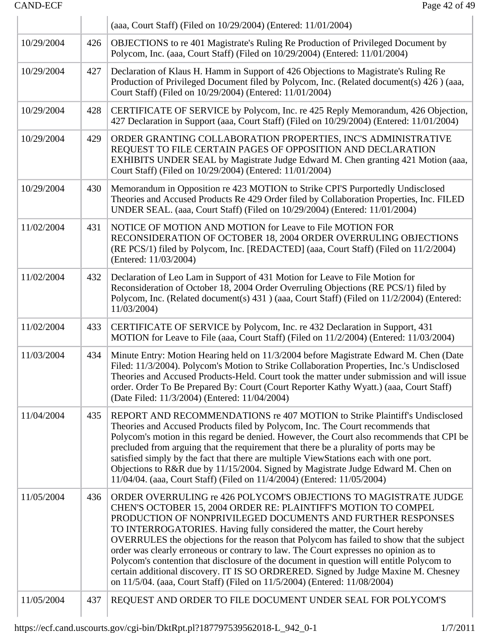|            |     | (aaa, Court Staff) (Filed on 10/29/2004) (Entered: 11/01/2004)                                                                                                                                                                                                                                                                                                                                                                                                                                                                                                                                                                                                                                                                   |  |
|------------|-----|----------------------------------------------------------------------------------------------------------------------------------------------------------------------------------------------------------------------------------------------------------------------------------------------------------------------------------------------------------------------------------------------------------------------------------------------------------------------------------------------------------------------------------------------------------------------------------------------------------------------------------------------------------------------------------------------------------------------------------|--|
| 10/29/2004 | 426 | OBJECTIONS to re 401 Magistrate's Ruling Re Production of Privileged Document by<br>Polycom, Inc. (aaa, Court Staff) (Filed on 10/29/2004) (Entered: 11/01/2004)                                                                                                                                                                                                                                                                                                                                                                                                                                                                                                                                                                 |  |
| 10/29/2004 | 427 | Declaration of Klaus H. Hamm in Support of 426 Objections to Magistrate's Ruling Re<br>Production of Privileged Document filed by Polycom, Inc. (Related document(s) 426) (aaa,<br>Court Staff) (Filed on 10/29/2004) (Entered: 11/01/2004)                                                                                                                                                                                                                                                                                                                                                                                                                                                                                      |  |
| 10/29/2004 | 428 | CERTIFICATE OF SERVICE by Polycom, Inc. re 425 Reply Memorandum, 426 Objection,<br>427 Declaration in Support (aaa, Court Staff) (Filed on 10/29/2004) (Entered: 11/01/2004)                                                                                                                                                                                                                                                                                                                                                                                                                                                                                                                                                     |  |
| 10/29/2004 | 429 | ORDER GRANTING COLLABORATION PROPERTIES, INC'S ADMINISTRATIVE<br>REQUEST TO FILE CERTAIN PAGES OF OPPOSITION AND DECLARATION<br>EXHIBITS UNDER SEAL by Magistrate Judge Edward M. Chen granting 421 Motion (aaa,<br>Court Staff) (Filed on 10/29/2004) (Entered: 11/01/2004)                                                                                                                                                                                                                                                                                                                                                                                                                                                     |  |
| 10/29/2004 | 430 | Memorandum in Opposition re 423 MOTION to Strike CPI'S Purportedly Undisclosed<br>Theories and Accused Products Re 429 Order filed by Collaboration Properties, Inc. FILED<br>UNDER SEAL. (aaa, Court Staff) (Filed on 10/29/2004) (Entered: 11/01/2004)                                                                                                                                                                                                                                                                                                                                                                                                                                                                         |  |
| 11/02/2004 | 431 | NOTICE OF MOTION AND MOTION for Leave to File MOTION FOR<br>RECONSIDERATION OF OCTOBER 18, 2004 ORDER OVERRULING OBJECTIONS<br>(RE PCS/1) filed by Polycom, Inc. [REDACTED] (aaa, Court Staff) (Filed on 11/2/2004)<br>(Entered: 11/03/2004)                                                                                                                                                                                                                                                                                                                                                                                                                                                                                     |  |
| 11/02/2004 | 432 | Declaration of Leo Lam in Support of 431 Motion for Leave to File Motion for<br>Reconsideration of October 18, 2004 Order Overruling Objections (RE PCS/1) filed by<br>Polycom, Inc. (Related document(s) 431) (aaa, Court Staff) (Filed on 11/2/2004) (Entered:<br>11/03/2004)                                                                                                                                                                                                                                                                                                                                                                                                                                                  |  |
| 11/02/2004 | 433 | CERTIFICATE OF SERVICE by Polycom, Inc. re 432 Declaration in Support, 431<br>MOTION for Leave to File (aaa, Court Staff) (Filed on 11/2/2004) (Entered: 11/03/2004)                                                                                                                                                                                                                                                                                                                                                                                                                                                                                                                                                             |  |
| 11/03/2004 | 434 | Minute Entry: Motion Hearing held on 11/3/2004 before Magistrate Edward M. Chen (Date<br>Filed: 11/3/2004). Polycom's Motion to Strike Collaboration Properties, Inc.'s Undisclosed<br>Theories and Accused Products-Held. Court took the matter under submission and will issue<br>order. Order To Be Prepared By: Court (Court Reporter Kathy Wyatt.) (aaa, Court Staff)<br>(Date Filed: 11/3/2004) (Entered: 11/04/2004)                                                                                                                                                                                                                                                                                                      |  |
| 11/04/2004 | 435 | REPORT AND RECOMMENDATIONS re 407 MOTION to Strike Plaintiff's Undisclosed<br>Theories and Accused Products filed by Polycom, Inc. The Court recommends that<br>Polycom's motion in this regard be denied. However, the Court also recommends that CPI be<br>precluded from arguing that the requirement that there be a plurality of ports may be<br>satisfied simply by the fact that there are multiple ViewStations each with one port.<br>Objections to R&R due by 11/15/2004. Signed by Magistrate Judge Edward M. Chen on<br>11/04/04. (aaa, Court Staff) (Filed on 11/4/2004) (Entered: 11/05/2004)                                                                                                                      |  |
| 11/05/2004 | 436 | ORDER OVERRULING re 426 POLYCOM'S OBJECTIONS TO MAGISTRATE JUDGE<br>CHEN'S OCTOBER 15, 2004 ORDER RE: PLAINTIFF'S MOTION TO COMPEL<br>PRODUCTION OF NONPRIVILEGED DOCUMENTS AND FURTHER RESPONSES<br>TO INTERROGATORIES. Having fully considered the matter, the Court hereby<br>OVERRULES the objections for the reason that Polycom has failed to show that the subject<br>order was clearly erroneous or contrary to law. The Court expresses no opinion as to<br>Polycom's contention that disclosure of the document in question will entitle Polycom to<br>certain additional discovery. IT IS SO ORDRERED. Signed by Judge Maxine M. Chesney<br>on 11/5/04. (aaa, Court Staff) (Filed on 11/5/2004) (Entered: 11/08/2004) |  |
| 11/05/2004 | 437 | REQUEST AND ORDER TO FILE DOCUMENT UNDER SEAL FOR POLYCOM'S                                                                                                                                                                                                                                                                                                                                                                                                                                                                                                                                                                                                                                                                      |  |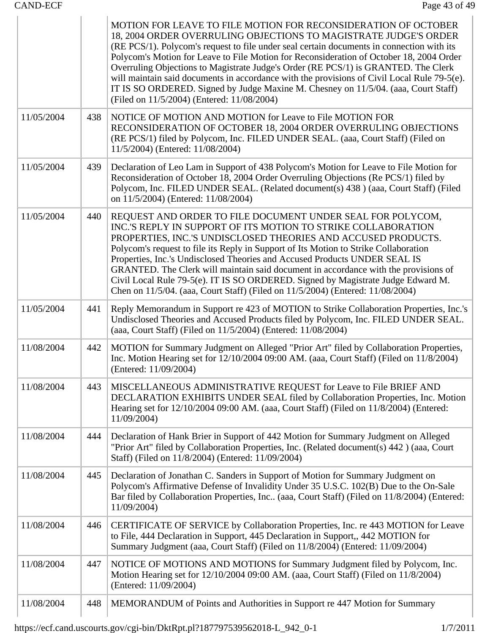|            |     | MOTION FOR LEAVE TO FILE MOTION FOR RECONSIDERATION OF OCTOBER<br>18, 2004 ORDER OVERRULING OBJECTIONS TO MAGISTRATE JUDGE'S ORDER<br>(RE PCS/1). Polycom's request to file under seal certain documents in connection with its<br>Polycom's Motion for Leave to File Motion for Reconsideration of October 18, 2004 Order<br>Overruling Objections to Magistrate Judge's Order (RE PCS/1) is GRANTED. The Clerk<br>will maintain said documents in accordance with the provisions of Civil Local Rule 79-5(e).<br>IT IS SO ORDERED. Signed by Judge Maxine M. Chesney on 11/5/04. (aaa, Court Staff)<br>(Filed on 11/5/2004) (Entered: 11/08/2004) |
|------------|-----|-----------------------------------------------------------------------------------------------------------------------------------------------------------------------------------------------------------------------------------------------------------------------------------------------------------------------------------------------------------------------------------------------------------------------------------------------------------------------------------------------------------------------------------------------------------------------------------------------------------------------------------------------------|
| 11/05/2004 | 438 | NOTICE OF MOTION AND MOTION for Leave to File MOTION FOR<br>RECONSIDERATION OF OCTOBER 18, 2004 ORDER OVERRULING OBJECTIONS<br>(RE PCS/1) filed by Polycom, Inc. FILED UNDER SEAL. (aaa, Court Staff) (Filed on<br>11/5/2004) (Entered: 11/08/2004)                                                                                                                                                                                                                                                                                                                                                                                                 |
| 11/05/2004 | 439 | Declaration of Leo Lam in Support of 438 Polycom's Motion for Leave to File Motion for<br>Reconsideration of October 18, 2004 Order Overruling Objections (Re PCS/1) filed by<br>Polycom, Inc. FILED UNDER SEAL. (Related document(s) 438 ) (aaa, Court Staff) (Filed<br>on 11/5/2004) (Entered: 11/08/2004)                                                                                                                                                                                                                                                                                                                                        |
| 11/05/2004 | 440 | REQUEST AND ORDER TO FILE DOCUMENT UNDER SEAL FOR POLYCOM,<br>INC.'S REPLY IN SUPPORT OF ITS MOTION TO STRIKE COLLABORATION<br>PROPERTIES, INC.'S UNDISCLOSED THEORIES AND ACCUSED PRODUCTS.<br>Polycom's request to file its Reply in Support of Its Motion to Strike Collaboration<br>Properties, Inc.'s Undisclosed Theories and Accused Products UNDER SEAL IS<br>GRANTED. The Clerk will maintain said document in accordance with the provisions of<br>Civil Local Rule 79-5(e). IT IS SO ORDERED. Signed by Magistrate Judge Edward M.<br>Chen on 11/5/04. (aaa, Court Staff) (Filed on 11/5/2004) (Entered: 11/08/2004)                     |
| 11/05/2004 | 441 | Reply Memorandum in Support re 423 of MOTION to Strike Collaboration Properties, Inc.'s<br>Undisclosed Theories and Accused Products filed by Polycom, Inc. FILED UNDER SEAL.<br>(aaa, Court Staff) (Filed on 11/5/2004) (Entered: 11/08/2004)                                                                                                                                                                                                                                                                                                                                                                                                      |
| 11/08/2004 | 442 | MOTION for Summary Judgment on Alleged "Prior Art" filed by Collaboration Properties,<br>Inc. Motion Hearing set for $12/10/2004$ 09:00 AM. (aaa, Court Staff) (Filed on $11/8/2004$ )<br>(Entered: 11/09/2004)                                                                                                                                                                                                                                                                                                                                                                                                                                     |
| 11/08/2004 | 443 | MISCELLANEOUS ADMINISTRATIVE REQUEST for Leave to File BRIEF AND<br>DECLARATION EXHIBITS UNDER SEAL filed by Collaboration Properties, Inc. Motion<br>Hearing set for 12/10/2004 09:00 AM. (aaa, Court Staff) (Filed on 11/8/2004) (Entered:<br>11/09/2004)                                                                                                                                                                                                                                                                                                                                                                                         |
| 11/08/2004 | 444 | Declaration of Hank Brier in Support of 442 Motion for Summary Judgment on Alleged<br>"Prior Art" filed by Collaboration Properties, Inc. (Related document(s) 442) (aaa, Court<br>Staff) (Filed on 11/8/2004) (Entered: 11/09/2004)                                                                                                                                                                                                                                                                                                                                                                                                                |
| 11/08/2004 | 445 | Declaration of Jonathan C. Sanders in Support of Motion for Summary Judgment on<br>Polycom's Affirmative Defense of Invalidity Under 35 U.S.C. 102(B) Due to the On-Sale<br>Bar filed by Collaboration Properties, Inc (aaa, Court Staff) (Filed on 11/8/2004) (Entered:<br>11/09/2004)                                                                                                                                                                                                                                                                                                                                                             |
| 11/08/2004 | 446 | CERTIFICATE OF SERVICE by Collaboration Properties, Inc. re 443 MOTION for Leave<br>to File, 444 Declaration in Support, 445 Declaration in Support,, 442 MOTION for<br>Summary Judgment (aaa, Court Staff) (Filed on 11/8/2004) (Entered: 11/09/2004)                                                                                                                                                                                                                                                                                                                                                                                              |
| 11/08/2004 | 447 | NOTICE OF MOTIONS AND MOTIONS for Summary Judgment filed by Polycom, Inc.<br>Motion Hearing set for 12/10/2004 09:00 AM. (aaa, Court Staff) (Filed on 11/8/2004)<br>(Entered: 11/09/2004)                                                                                                                                                                                                                                                                                                                                                                                                                                                           |
| 11/08/2004 | 448 | MEMORANDUM of Points and Authorities in Support re 447 Motion for Summary                                                                                                                                                                                                                                                                                                                                                                                                                                                                                                                                                                           |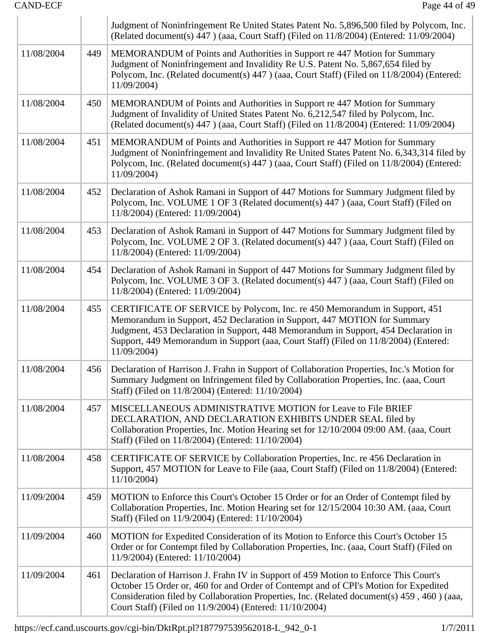|            |     | Judgment of Noninfringement Re United States Patent No. 5,896,500 filed by Polycom, Inc.<br>(Related document(s) 447) (aaa, Court Staff) (Filed on 11/8/2004) (Entered: 11/09/2004)                                                                                                                                                                  |  |
|------------|-----|------------------------------------------------------------------------------------------------------------------------------------------------------------------------------------------------------------------------------------------------------------------------------------------------------------------------------------------------------|--|
| 11/08/2004 | 449 | MEMORANDUM of Points and Authorities in Support re 447 Motion for Summary<br>Judgment of Noninfringement and Invalidity Re U.S. Patent No. 5,867,654 filed by<br>Polycom, Inc. (Related document(s) 447) (aaa, Court Staff) (Filed on 11/8/2004) (Entered:<br>11/09/2004)                                                                            |  |
| 11/08/2004 | 450 | MEMORANDUM of Points and Authorities in Support re 447 Motion for Summary<br>Judgment of Invalidity of United States Patent No. 6,212,547 filed by Polycom, Inc.<br>(Related document(s) 447) (aaa, Court Staff) (Filed on 11/8/2004) (Entered: 11/09/2004)                                                                                          |  |
| 11/08/2004 | 451 | MEMORANDUM of Points and Authorities in Support re 447 Motion for Summary<br>Judgment of Noninfringement and Invalidity Re United States Patent No. 6,343,314 filed by<br>Polycom, Inc. (Related document(s) 447 ) (aaa, Court Staff) (Filed on 11/8/2004) (Entered:<br>11/09/2004)                                                                  |  |
| 11/08/2004 | 452 | Declaration of Ashok Ramani in Support of 447 Motions for Summary Judgment filed by<br>Polycom, Inc. VOLUME 1 OF 3 (Related document(s) 447 ) (aaa, Court Staff) (Filed on<br>11/8/2004) (Entered: 11/09/2004)                                                                                                                                       |  |
| 11/08/2004 | 453 | Declaration of Ashok Ramani in Support of 447 Motions for Summary Judgment filed by<br>Polycom, Inc. VOLUME 2 OF 3. (Related document(s) 447 ) (aaa, Court Staff) (Filed on<br>11/8/2004) (Entered: 11/09/2004)                                                                                                                                      |  |
| 11/08/2004 | 454 | Declaration of Ashok Ramani in Support of 447 Motions for Summary Judgment filed by<br>Polycom, Inc. VOLUME 3 OF 3. (Related document(s) 447 ) (aaa, Court Staff) (Filed on<br>11/8/2004) (Entered: 11/09/2004)                                                                                                                                      |  |
| 11/08/2004 | 455 | CERTIFICATE OF SERVICE by Polycom, Inc. re 450 Memorandum in Support, 451<br>Memorandum in Support, 452 Declaration in Support, 447 MOTION for Summary<br>Judgment, 453 Declaration in Support, 448 Memorandum in Support, 454 Declaration in<br>Support, 449 Memorandum in Support (aaa, Court Staff) (Filed on 11/8/2004) (Entered:<br>11/09/2004) |  |
| 11/08/2004 | 456 | Declaration of Harrison J. Frahn in Support of Collaboration Properties, Inc.'s Motion for<br>Summary Judgment on Infringement filed by Collaboration Properties, Inc. (aaa, Court<br>Staff) (Filed on 11/8/2004) (Entered: 11/10/2004)                                                                                                              |  |
| 11/08/2004 | 457 | MISCELLANEOUS ADMINISTRATIVE MOTION for Leave to File BRIEF<br>DECLARATION, AND DECLARATION EXHIBITS UNDER SEAL filed by<br>Collaboration Properties, Inc. Motion Hearing set for 12/10/2004 09:00 AM. (aaa, Court<br>Staff) (Filed on 11/8/2004) (Entered: 11/10/2004)                                                                              |  |
| 11/08/2004 | 458 | CERTIFICATE OF SERVICE by Collaboration Properties, Inc. re 456 Declaration in<br>Support, 457 MOTION for Leave to File (aaa, Court Staff) (Filed on 11/8/2004) (Entered:<br>11/10/2004                                                                                                                                                              |  |
| 11/09/2004 | 459 | MOTION to Enforce this Court's October 15 Order or for an Order of Contempt filed by<br>Collaboration Properties, Inc. Motion Hearing set for 12/15/2004 10:30 AM. (aaa, Court<br>Staff) (Filed on 11/9/2004) (Entered: 11/10/2004)                                                                                                                  |  |
| 11/09/2004 | 460 | MOTION for Expedited Consideration of its Motion to Enforce this Court's October 15<br>Order or for Contempt filed by Collaboration Properties, Inc. (aaa, Court Staff) (Filed on<br>11/9/2004) (Entered: 11/10/2004)                                                                                                                                |  |
| 11/09/2004 | 461 | Declaration of Harrison J. Frahn IV in Support of 459 Motion to Enforce This Court's<br>October 15 Order or, 460 for and Order of Contempt and of CPI's Motion for Expedited<br>Consideration filed by Collaboration Properties, Inc. (Related document(s) 459, 460) (aaa,<br>Court Staff) (Filed on 11/9/2004) (Entered: 11/10/2004)                |  |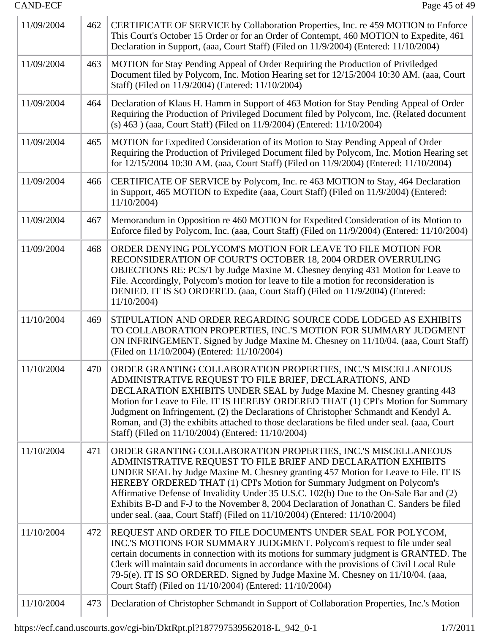| 11/09/2004 | 462 | CERTIFICATE OF SERVICE by Collaboration Properties, Inc. re 459 MOTION to Enforce<br>This Court's October 15 Order or for an Order of Contempt, 460 MOTION to Expedite, 461<br>Declaration in Support, (aaa, Court Staff) (Filed on 11/9/2004) (Entered: 11/10/2004)                                                                                                                                                                                                                                                                                                |  |
|------------|-----|---------------------------------------------------------------------------------------------------------------------------------------------------------------------------------------------------------------------------------------------------------------------------------------------------------------------------------------------------------------------------------------------------------------------------------------------------------------------------------------------------------------------------------------------------------------------|--|
| 11/09/2004 | 463 | MOTION for Stay Pending Appeal of Order Requiring the Production of Priviledged<br>Document filed by Polycom, Inc. Motion Hearing set for 12/15/2004 10:30 AM. (aaa, Court<br>Staff) (Filed on 11/9/2004) (Entered: 11/10/2004)                                                                                                                                                                                                                                                                                                                                     |  |
| 11/09/2004 | 464 | Declaration of Klaus H. Hamm in Support of 463 Motion for Stay Pending Appeal of Order<br>Requiring the Production of Privileged Document filed by Polycom, Inc. (Related document<br>(s) 463 ) (aaa, Court Staff) (Filed on 11/9/2004) (Entered: 11/10/2004)                                                                                                                                                                                                                                                                                                       |  |
| 11/09/2004 | 465 | MOTION for Expedited Consideration of its Motion to Stay Pending Appeal of Order<br>Requiring the Production of Privileged Document filed by Polycom, Inc. Motion Hearing set<br>for 12/15/2004 10:30 AM. (aaa, Court Staff) (Filed on 11/9/2004) (Entered: 11/10/2004)                                                                                                                                                                                                                                                                                             |  |
| 11/09/2004 | 466 | CERTIFICATE OF SERVICE by Polycom, Inc. re 463 MOTION to Stay, 464 Declaration<br>in Support, 465 MOTION to Expedite (aaa, Court Staff) (Filed on 11/9/2004) (Entered:<br>11/10/2004)                                                                                                                                                                                                                                                                                                                                                                               |  |
| 11/09/2004 | 467 | Memorandum in Opposition re 460 MOTION for Expedited Consideration of its Motion to<br>Enforce filed by Polycom, Inc. (aaa, Court Staff) (Filed on 11/9/2004) (Entered: 11/10/2004)                                                                                                                                                                                                                                                                                                                                                                                 |  |
| 11/09/2004 | 468 | ORDER DENYING POLYCOM'S MOTION FOR LEAVE TO FILE MOTION FOR<br>RECONSIDERATION OF COURT'S OCTOBER 18, 2004 ORDER OVERRULING<br>OBJECTIONS RE: PCS/1 by Judge Maxine M. Chesney denying 431 Motion for Leave to<br>File. Accordingly, Polycom's motion for leave to file a motion for reconsideration is<br>DENIED. IT IS SO ORDERED. (aaa, Court Staff) (Filed on 11/9/2004) (Entered:<br>11/10/2004)                                                                                                                                                               |  |
| 11/10/2004 | 469 | STIPULATION AND ORDER REGARDING SOURCE CODE LODGED AS EXHIBITS<br>TO COLLABORATION PROPERTIES, INC.'S MOTION FOR SUMMARY JUDGMENT<br>ON INFRINGEMENT. Signed by Judge Maxine M. Chesney on 11/10/04. (aaa, Court Staff)<br>(Filed on 11/10/2004) (Entered: 11/10/2004)                                                                                                                                                                                                                                                                                              |  |
| 11/10/2004 | 470 | ORDER GRANTING COLLABORATION PROPERTIES, INC.'S MISCELLANEOUS<br>ADMINISTRATIVE REQUEST TO FILE BRIEF, DECLARATIONS, AND<br>DECLARATION EXHIBITS UNDER SEAL by Judge Maxine M. Chesney granting 443<br>Motion for Leave to File. IT IS HEREBY ORDERED THAT (1) CPI's Motion for Summary<br>Judgment on Infringement, (2) the Declarations of Christopher Schmandt and Kendyl A.<br>Roman, and (3) the exhibits attached to those declarations be filed under seal. (aaa, Court<br>Staff) (Filed on 11/10/2004) (Entered: 11/10/2004)                                |  |
| 11/10/2004 | 471 | ORDER GRANTING COLLABORATION PROPERTIES, INC.'S MISCELLANEOUS<br>ADMINISTRATIVE REQUEST TO FILE BRIEF AND DECLARATION EXHIBITS<br>UNDER SEAL by Judge Maxine M. Chesney granting 457 Motion for Leave to File. IT IS<br>HEREBY ORDERED THAT (1) CPI's Motion for Summary Judgment on Polycom's<br>Affirmative Defense of Invalidity Under 35 U.S.C. 102(b) Due to the On-Sale Bar and (2)<br>Exhibits B-D and F-J to the November 8, 2004 Declaration of Jonathan C. Sanders be filed<br>under seal. (aaa, Court Staff) (Filed on 11/10/2004) (Entered: 11/10/2004) |  |
| 11/10/2004 | 472 | REQUEST AND ORDER TO FILE DOCUMENTS UNDER SEAL FOR POLYCOM,<br>INC.'S MOTIONS FOR SUMMARY JUDGMENT. Polycom's request to file under seal<br>certain documents in connection with its motions for summary judgment is GRANTED. The<br>Clerk will maintain said documents in accordance with the provisions of Civil Local Rule<br>79-5(e). IT IS SO ORDERED. Signed by Judge Maxine M. Chesney on 11/10/04. (aaa,<br>Court Staff) (Filed on 11/10/2004) (Entered: 11/10/2004)                                                                                        |  |
| 11/10/2004 | 473 | Declaration of Christopher Schmandt in Support of Collaboration Properties, Inc.'s Motion                                                                                                                                                                                                                                                                                                                                                                                                                                                                           |  |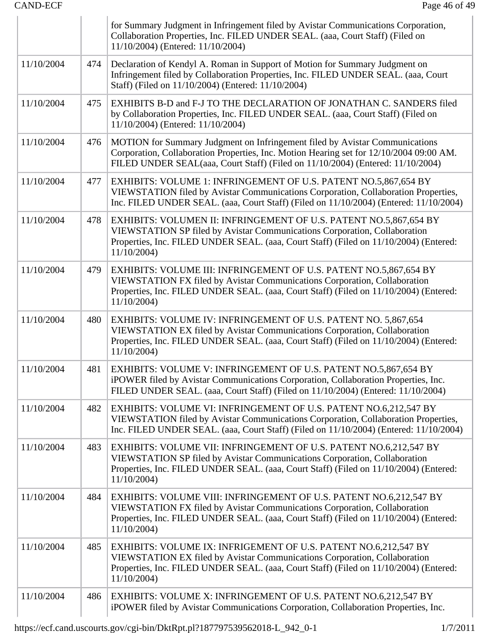| <b>CAND-ECF</b> |     | Page 46 of 49                                                                                                                                                                                                                                            |  |
|-----------------|-----|----------------------------------------------------------------------------------------------------------------------------------------------------------------------------------------------------------------------------------------------------------|--|
|                 |     | for Summary Judgment in Infringement filed by Avistar Communications Corporation,<br>Collaboration Properties, Inc. FILED UNDER SEAL. (aaa, Court Staff) (Filed on<br>11/10/2004) (Entered: 11/10/2004)                                                  |  |
| 11/10/2004      | 474 | Declaration of Kendyl A. Roman in Support of Motion for Summary Judgment on<br>Infringement filed by Collaboration Properties, Inc. FILED UNDER SEAL. (aaa, Court<br>Staff) (Filed on 11/10/2004) (Entered: 11/10/2004)                                  |  |
| 11/10/2004      | 475 | EXHIBITS B-D and F-J TO THE DECLARATION OF JONATHAN C. SANDERS filed<br>by Collaboration Properties, Inc. FILED UNDER SEAL. (aaa, Court Staff) (Filed on<br>11/10/2004) (Entered: 11/10/2004)                                                            |  |
| 11/10/2004      | 476 | MOTION for Summary Judgment on Infringement filed by Avistar Communications<br>Corporation, Collaboration Properties, Inc. Motion Hearing set for 12/10/2004 09:00 AM.<br>FILED UNDER SEAL(aaa, Court Staff) (Filed on 11/10/2004) (Entered: 11/10/2004) |  |
| 11/10/2004      | 477 | EXHIBITS: VOLUME 1: INFRINGEMENT OF U.S. PATENT NO.5,867,654 BY<br>VIEWSTATION filed by Avistar Communications Corporation, Collaboration Properties,<br>Inc. FILED UNDER SEAL. (aaa, Court Staff) (Filed on 11/10/2004) (Entered: 11/10/2004)           |  |
| 11/10/2004      | 478 | EXHIBITS: VOLUMEN II: INFRINGEMENT OF U.S. PATENT NO.5,867,654 BY<br>VIEWSTATION SP filed by Avistar Communications Corporation, Collaboration<br>Properties, Inc. FILED UNDER SEAL. (aaa, Court Staff) (Filed on 11/10/2004) (Entered:<br>11/10/2004)   |  |
| 11/10/2004      | 479 | EXHIBITS: VOLUME III: INFRINGEMENT OF U.S. PATENT NO.5,867,654 BY<br>VIEWSTATION FX filed by Avistar Communications Corporation, Collaboration<br>Properties, Inc. FILED UNDER SEAL. (aaa, Court Staff) (Filed on 11/10/2004) (Entered:<br>11/10/2004)   |  |
| 11/10/2004      | 480 | EXHIBITS: VOLUME IV: INFRINGEMENT OF U.S. PATENT NO. 5,867,654<br>VIEWSTATION EX filed by Avistar Communications Corporation, Collaboration<br>Properties, Inc. FILED UNDER SEAL. (aaa, Court Staff) (Filed on 11/10/2004) (Entered:<br>11/10/2004)      |  |
| 11/10/2004      | 481 | EXHIBITS: VOLUME V: INFRINGEMENT OF U.S. PATENT NO.5,867,654 BY<br>iPOWER filed by Avistar Communications Corporation, Collaboration Properties, Inc.<br>FILED UNDER SEAL. (aaa, Court Staff) (Filed on 11/10/2004) (Entered: 11/10/2004)                |  |
| 11/10/2004      | 482 | EXHIBITS: VOLUME VI: INFRINGEMENT OF U.S. PATENT NO.6,212,547 BY<br>VIEWSTATION filed by Avistar Communications Corporation, Collaboration Properties,<br>Inc. FILED UNDER SEAL. (aaa, Court Staff) (Filed on 11/10/2004) (Entered: 11/10/2004)          |  |
| 11/10/2004      | 483 | EXHIBITS: VOLUME VII: INFRINGEMENT OF U.S. PATENT NO.6,212,547 BY<br>VIEWSTATION SP filed by Avistar Communications Corporation, Collaboration<br>Properties, Inc. FILED UNDER SEAL. (aaa, Court Staff) (Filed on 11/10/2004) (Entered:<br>11/10/2004    |  |
| 11/10/2004      | 484 | EXHIBITS: VOLUME VIII: INFRINGEMENT OF U.S. PATENT NO.6,212,547 BY<br>VIEWSTATION FX filed by Avistar Communications Corporation, Collaboration<br>Properties, Inc. FILED UNDER SEAL. (aaa, Court Staff) (Filed on 11/10/2004) (Entered:<br>11/10/2004)  |  |
| 11/10/2004      | 485 | EXHIBITS: VOLUME IX: INFRIGEMENT OF U.S. PATENT NO.6,212,547 BY<br>VIEWSTATION EX filed by Avistar Communications Corporation, Collaboration<br>Properties, Inc. FILED UNDER SEAL. (aaa, Court Staff) (Filed on 11/10/2004) (Entered:<br>11/10/2004      |  |
| 11/10/2004      | 486 | EXHIBITS: VOLUME X: INFRINGEMENT OF U.S. PATENT NO.6,212,547 BY<br>iPOWER filed by Avistar Communications Corporation, Collaboration Properties, Inc.                                                                                                    |  |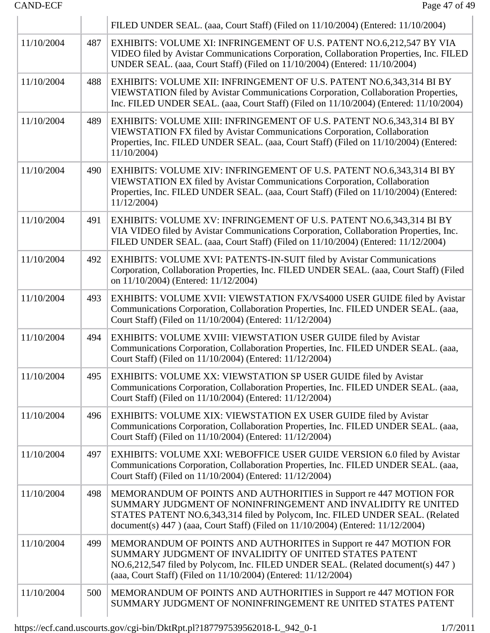|            |     | FILED UNDER SEAL. (aaa, Court Staff) (Filed on 11/10/2004) (Entered: 11/10/2004)                                                                                                                                                                                                                     |  |
|------------|-----|------------------------------------------------------------------------------------------------------------------------------------------------------------------------------------------------------------------------------------------------------------------------------------------------------|--|
| 11/10/2004 | 487 | EXHIBITS: VOLUME XI: INFRINGEMENT OF U.S. PATENT NO.6,212,547 BY VIA<br>VIDEO filed by Avistar Communications Corporation, Collaboration Properties, Inc. FILED<br>UNDER SEAL. (aaa, Court Staff) (Filed on 11/10/2004) (Entered: 11/10/2004)                                                        |  |
| 11/10/2004 | 488 | EXHIBITS: VOLUME XII: INFRINGEMENT OF U.S. PATENT NO.6,343,314 BI BY<br>VIEWSTATION filed by Avistar Communications Corporation, Collaboration Properties,<br>Inc. FILED UNDER SEAL. (aaa, Court Staff) (Filed on 11/10/2004) (Entered: 11/10/2004)                                                  |  |
| 11/10/2004 | 489 | EXHIBITS: VOLUME XIII: INFRINGEMENT OF U.S. PATENT NO.6,343,314 BI BY<br>VIEWSTATION FX filed by Avistar Communications Corporation, Collaboration<br>Properties, Inc. FILED UNDER SEAL. (aaa, Court Staff) (Filed on 11/10/2004) (Entered:<br>11/10/2004)                                           |  |
| 11/10/2004 | 490 | EXHIBITS: VOLUME XIV: INFRINGEMENT OF U.S. PATENT NO.6,343,314 BI BY<br>VIEWSTATION EX filed by Avistar Communications Corporation, Collaboration<br>Properties, Inc. FILED UNDER SEAL. (aaa, Court Staff) (Filed on 11/10/2004) (Entered:<br>11/12/2004                                             |  |
| 11/10/2004 | 491 | EXHIBITS: VOLUME XV: INFRINGEMENT OF U.S. PATENT NO.6,343,314 BI BY<br>VIA VIDEO filed by Avistar Communications Corporation, Collaboration Properties, Inc.<br>FILED UNDER SEAL. (aaa, Court Staff) (Filed on 11/10/2004) (Entered: 11/12/2004)                                                     |  |
| 11/10/2004 | 492 | EXHIBITS: VOLUME XVI: PATENTS-IN-SUIT filed by Avistar Communications<br>Corporation, Collaboration Properties, Inc. FILED UNDER SEAL. (aaa, Court Staff) (Filed<br>on 11/10/2004) (Entered: 11/12/2004)                                                                                             |  |
| 11/10/2004 | 493 | EXHIBITS: VOLUME XVII: VIEWSTATION FX/VS4000 USER GUIDE filed by Avistar<br>Communications Corporation, Collaboration Properties, Inc. FILED UNDER SEAL. (aaa,<br>Court Staff) (Filed on 11/10/2004) (Entered: 11/12/2004)                                                                           |  |
| 11/10/2004 | 494 | EXHIBITS: VOLUME XVIII: VIEWSTATION USER GUIDE filed by Avistar<br>Communications Corporation, Collaboration Properties, Inc. FILED UNDER SEAL. (aaa,<br>Court Staff) (Filed on 11/10/2004) (Entered: 11/12/2004)                                                                                    |  |
| 11/10/2004 | 495 | EXHIBITS: VOLUME XX: VIEWSTATION SP USER GUIDE filed by Avistar<br>Communications Corporation, Collaboration Properties, Inc. FILED UNDER SEAL. (aaa,<br>Court Staff) (Filed on 11/10/2004) (Entered: 11/12/2004)                                                                                    |  |
| 11/10/2004 | 496 | EXHIBITS: VOLUME XIX: VIEWSTATION EX USER GUIDE filed by Avistar<br>Communications Corporation, Collaboration Properties, Inc. FILED UNDER SEAL. (aaa,<br>Court Staff) (Filed on 11/10/2004) (Entered: 11/12/2004)                                                                                   |  |
| 11/10/2004 | 497 | EXHIBITS: VOLUME XXI: WEBOFFICE USER GUIDE VERSION 6.0 filed by Avistar<br>Communications Corporation, Collaboration Properties, Inc. FILED UNDER SEAL. (aaa,<br>Court Staff) (Filed on 11/10/2004) (Entered: 11/12/2004)                                                                            |  |
| 11/10/2004 | 498 | MEMORANDUM OF POINTS AND AUTHORITIES in Support re 447 MOTION FOR<br>SUMMARY JUDGMENT OF NONINFRINGEMENT AND INVALIDITY RE UNITED<br>STATES PATENT NO.6,343,314 filed by Polycom, Inc. FILED UNDER SEAL. (Related<br>document(s) 447) (aaa, Court Staff) (Filed on 11/10/2004) (Entered: 11/12/2004) |  |
| 11/10/2004 | 499 | MEMORANDUM OF POINTS AND AUTHORITES in Support re 447 MOTION FOR<br>SUMMARY JUDGMENT OF INVALIDITY OF UNITED STATES PATENT<br>NO.6,212,547 filed by Polycom, Inc. FILED UNDER SEAL. (Related document(s) 447)<br>(aaa, Court Staff) (Filed on 11/10/2004) (Entered: 11/12/2004)                      |  |
| 11/10/2004 | 500 | MEMORANDUM OF POINTS AND AUTHORITIES in Support re 447 MOTION FOR<br>SUMMARY JUDGMENT OF NONINFRINGEMENT RE UNITED STATES PATENT                                                                                                                                                                     |  |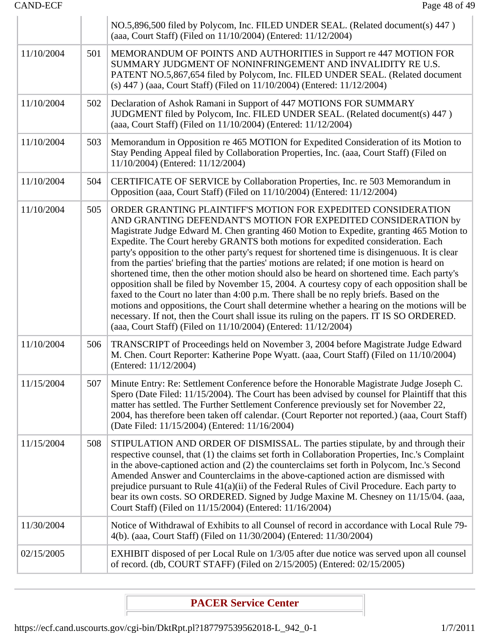|            |     | NO.5,896,500 filed by Polycom, Inc. FILED UNDER SEAL. (Related document(s) 447)                                                                                                                                                                                                                                                                                                                                                                                                                                                                                                                                                                                                                                                                                                                                                                                                                                                                                                                                                                                        |  |
|------------|-----|------------------------------------------------------------------------------------------------------------------------------------------------------------------------------------------------------------------------------------------------------------------------------------------------------------------------------------------------------------------------------------------------------------------------------------------------------------------------------------------------------------------------------------------------------------------------------------------------------------------------------------------------------------------------------------------------------------------------------------------------------------------------------------------------------------------------------------------------------------------------------------------------------------------------------------------------------------------------------------------------------------------------------------------------------------------------|--|
|            |     | (aaa, Court Staff) (Filed on 11/10/2004) (Entered: 11/12/2004)                                                                                                                                                                                                                                                                                                                                                                                                                                                                                                                                                                                                                                                                                                                                                                                                                                                                                                                                                                                                         |  |
| 11/10/2004 | 501 | MEMORANDUM OF POINTS AND AUTHORITIES in Support re 447 MOTION FOR<br>SUMMARY JUDGMENT OF NONINFRINGEMENT AND INVALIDITY RE U.S.<br>PATENT NO.5,867,654 filed by Polycom, Inc. FILED UNDER SEAL. (Related document<br>(s) 447) (aaa, Court Staff) (Filed on 11/10/2004) (Entered: 11/12/2004)                                                                                                                                                                                                                                                                                                                                                                                                                                                                                                                                                                                                                                                                                                                                                                           |  |
| 11/10/2004 | 502 | Declaration of Ashok Ramani in Support of 447 MOTIONS FOR SUMMARY<br>JUDGMENT filed by Polycom, Inc. FILED UNDER SEAL. (Related document(s) 447)<br>(aaa, Court Staff) (Filed on 11/10/2004) (Entered: 11/12/2004)                                                                                                                                                                                                                                                                                                                                                                                                                                                                                                                                                                                                                                                                                                                                                                                                                                                     |  |
| 11/10/2004 | 503 | Memorandum in Opposition re 465 MOTION for Expedited Consideration of its Motion to<br>Stay Pending Appeal filed by Collaboration Properties, Inc. (aaa, Court Staff) (Filed on<br>11/10/2004) (Entered: 11/12/2004)                                                                                                                                                                                                                                                                                                                                                                                                                                                                                                                                                                                                                                                                                                                                                                                                                                                   |  |
| 11/10/2004 | 504 | CERTIFICATE OF SERVICE by Collaboration Properties, Inc. re 503 Memorandum in<br>Opposition (aaa, Court Staff) (Filed on 11/10/2004) (Entered: 11/12/2004)                                                                                                                                                                                                                                                                                                                                                                                                                                                                                                                                                                                                                                                                                                                                                                                                                                                                                                             |  |
| 11/10/2004 | 505 | ORDER GRANTING PLAINTIFF'S MOTION FOR EXPEDITED CONSIDERATION<br>AND GRANTING DEFENDANT'S MOTION FOR EXPEDITED CONSIDERATION by<br>Magistrate Judge Edward M. Chen granting 460 Motion to Expedite, granting 465 Motion to<br>Expedite. The Court hereby GRANTS both motions for expedited consideration. Each<br>party's opposition to the other party's request for shortened time is disingenuous. It is clear<br>from the parties' briefing that the parties' motions are related; if one motion is heard on<br>shortened time, then the other motion should also be heard on shortened time. Each party's<br>opposition shall be filed by November 15, 2004. A courtesy copy of each opposition shall be<br>faxed to the Court no later than 4:00 p.m. There shall be no reply briefs. Based on the<br>motions and oppositions, the Court shall determine whether a hearing on the motions will be<br>necessary. If not, then the Court shall issue its ruling on the papers. IT IS SO ORDERED.<br>(aaa, Court Staff) (Filed on 11/10/2004) (Entered: 11/12/2004) |  |
| 11/10/2004 | 506 | TRANSCRIPT of Proceedings held on November 3, 2004 before Magistrate Judge Edward<br>M. Chen. Court Reporter: Katherine Pope Wyatt. (aaa, Court Staff) (Filed on 11/10/2004)<br>(Entered: 11/12/2004)                                                                                                                                                                                                                                                                                                                                                                                                                                                                                                                                                                                                                                                                                                                                                                                                                                                                  |  |
| 11/15/2004 | 507 | Minute Entry: Re: Settlement Conference before the Honorable Magistrate Judge Joseph C.<br>Spero (Date Filed: 11/15/2004). The Court has been advised by counsel for Plaintiff that this<br>matter has settled. The Further Settlement Conference previously set for November 22,<br>2004, has therefore been taken off calendar. (Court Reporter not reported.) (aaa, Court Staff)<br>(Date Filed: 11/15/2004) (Entered: 11/16/2004)                                                                                                                                                                                                                                                                                                                                                                                                                                                                                                                                                                                                                                  |  |
| 11/15/2004 | 508 | STIPULATION AND ORDER OF DISMISSAL. The parties stipulate, by and through their<br>respective counsel, that (1) the claims set forth in Collaboration Properties, Inc.'s Complaint<br>in the above-captioned action and (2) the counterclaims set forth in Polycom, Inc.'s Second<br>Amended Answer and Counterclaims in the above-captioned action are dismissed with<br>prejudice pursuant to Rule 41(a)(ii) of the Federal Rules of Civil Procedure. Each party to<br>bear its own costs. SO ORDERED. Signed by Judge Maxine M. Chesney on 11/15/04. (aaa,<br>Court Staff) (Filed on 11/15/2004) (Entered: 11/16/2004)                                                                                                                                                                                                                                                                                                                                                                                                                                              |  |
| 11/30/2004 |     | Notice of Withdrawal of Exhibits to all Counsel of record in accordance with Local Rule 79-<br>4(b). (aaa, Court Staff) (Filed on 11/30/2004) (Entered: 11/30/2004)                                                                                                                                                                                                                                                                                                                                                                                                                                                                                                                                                                                                                                                                                                                                                                                                                                                                                                    |  |
| 02/15/2005 |     | EXHIBIT disposed of per Local Rule on 1/3/05 after due notice was served upon all counsel<br>of record. (db, COURT STAFF) (Filed on 2/15/2005) (Entered: 02/15/2005)                                                                                                                                                                                                                                                                                                                                                                                                                                                                                                                                                                                                                                                                                                                                                                                                                                                                                                   |  |
|            |     |                                                                                                                                                                                                                                                                                                                                                                                                                                                                                                                                                                                                                                                                                                                                                                                                                                                                                                                                                                                                                                                                        |  |

# **PACER Service Center**